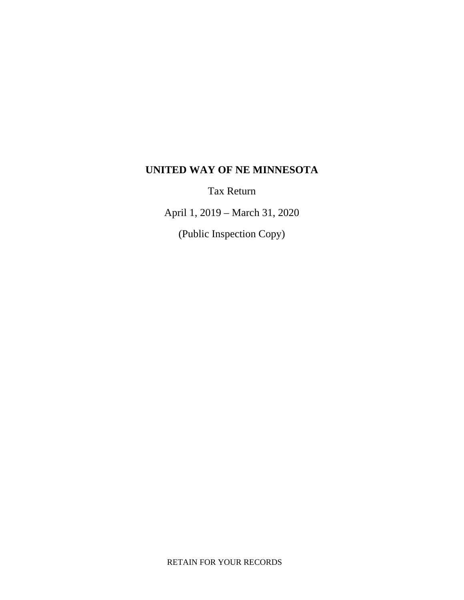# **UNITED WAY OF NE MINNESOTA**

Tax Return

April 1, 2019 – March 31, 2020

(Public Inspection Copy)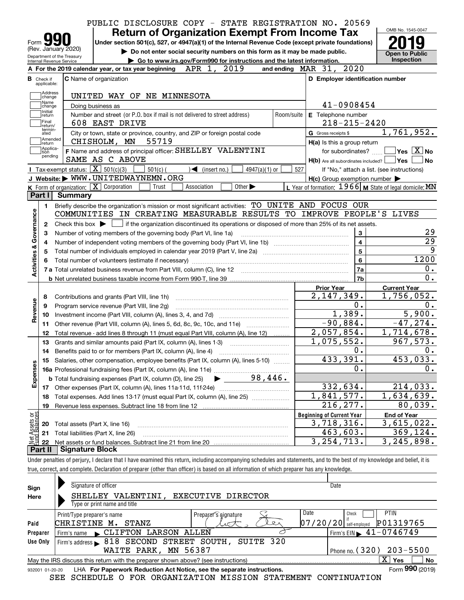|                                                                                  |                                  |                            | PUBLIC DISCLOSURE COPY - STATE REGISTRATION NO. 20569                                                            |                                                                             |                               |                                                                                                                                             |                             |            |                                  |                                                     | OMB No. 1545-0047                                         |
|----------------------------------------------------------------------------------|----------------------------------|----------------------------|------------------------------------------------------------------------------------------------------------------|-----------------------------------------------------------------------------|-------------------------------|---------------------------------------------------------------------------------------------------------------------------------------------|-----------------------------|------------|----------------------------------|-----------------------------------------------------|-----------------------------------------------------------|
|                                                                                  |                                  |                            |                                                                                                                  | <b>Return of Organization Exempt From Income Tax</b>                        |                               |                                                                                                                                             |                             |            |                                  |                                                     |                                                           |
|                                                                                  | Form $\sum$                      | (Rev. January 2020)        | Under section 501(c), 527, or 4947(a)(1) of the Internal Revenue Code (except private foundations)               |                                                                             |                               |                                                                                                                                             |                             |            |                                  |                                                     |                                                           |
|                                                                                  |                                  | Department of the Treasury |                                                                                                                  | Do not enter social security numbers on this form as it may be made public. |                               |                                                                                                                                             |                             |            |                                  |                                                     | <b>Open to Public</b>                                     |
|                                                                                  | Internal Revenue Service         |                            | A For the 2019 calendar year, or tax year beginning APR 1, 2019                                                  | Go to www.irs.gov/Form990 for instructions and the latest information.      |                               |                                                                                                                                             |                             |            | and ending MAR 31, 2020          |                                                     | Inspection                                                |
|                                                                                  |                                  |                            |                                                                                                                  |                                                                             |                               |                                                                                                                                             |                             |            |                                  |                                                     |                                                           |
|                                                                                  | <b>B</b> Check if<br>applicable: |                            | C Name of organization                                                                                           |                                                                             |                               |                                                                                                                                             |                             |            |                                  |                                                     | D Employer identification number                          |
|                                                                                  | Address<br>change                |                            | UNITED WAY OF NE MINNESOTA                                                                                       |                                                                             |                               |                                                                                                                                             |                             |            |                                  |                                                     |                                                           |
|                                                                                  | Name<br>change                   |                            | Doing business as                                                                                                |                                                                             |                               |                                                                                                                                             |                             |            |                                  | 41-0908454                                          |                                                           |
|                                                                                  | Initial<br>return                |                            | Number and street (or P.O. box if mail is not delivered to street address)                                       |                                                                             |                               |                                                                                                                                             |                             | Room/suite |                                  | E Telephone number                                  |                                                           |
|                                                                                  | Final<br>return/                 |                            | 608 EAST DRIVE                                                                                                   |                                                                             |                               |                                                                                                                                             |                             |            |                                  | $218 - 215 - 2420$                                  |                                                           |
|                                                                                  | termin-<br>ated                  |                            | City or town, state or province, country, and ZIP or foreign postal code                                         |                                                                             |                               |                                                                                                                                             |                             |            | G Gross receipts \$              |                                                     | 1,761,952.                                                |
|                                                                                  | Amended<br> return               |                            | CHISHOLM, MN                                                                                                     | 55719                                                                       |                               |                                                                                                                                             |                             |            |                                  | H(a) Is this a group return                         |                                                           |
|                                                                                  | Applica-<br>tion                 |                            | F Name and address of principal officer: SHELLEY VALENTINI                                                       |                                                                             |                               |                                                                                                                                             |                             |            |                                  | for subordinates? $\Box$                            | $\sqrt{}$ Yes $\sqrt{}$ X $\sqrt{}$ No                    |
|                                                                                  | pending                          |                            | SAME AS C ABOVE                                                                                                  |                                                                             |                               |                                                                                                                                             |                             |            |                                  |                                                     | $H(b)$ Are all subordinates included? $\Box$ Yes<br>∣No   |
|                                                                                  |                                  |                            | Tax-exempt status: $\boxed{\mathbf{X}}$ 501(c)(3)                                                                | $501(c)$ (                                                                  | $\sqrt{\bullet}$ (insert no.) |                                                                                                                                             | $4947(a)(1)$ or             | 527        |                                  |                                                     | If "No," attach a list. (see instructions)                |
|                                                                                  |                                  |                            | J Website: WWW.UNITEDWAYNEMN.ORG                                                                                 |                                                                             |                               |                                                                                                                                             |                             |            |                                  | $H(c)$ Group exemption number $\blacktriangleright$ |                                                           |
|                                                                                  |                                  |                            | <b>K</b> Form of organization: $\boxed{\mathbf{X}}$ Corporation                                                  | Trust                                                                       | Association                   |                                                                                                                                             | Other $\blacktriangleright$ |            |                                  |                                                     | L Year of formation: $1966$ M State of legal domicile: MN |
|                                                                                  | Part I                           | Summary                    | Briefly describe the organization's mission or most significant activities: TO UNITE AND FOCUS OUR               |                                                                             |                               |                                                                                                                                             |                             |            |                                  |                                                     |                                                           |
|                                                                                  | 2                                |                            |                                                                                                                  |                                                                             |                               |                                                                                                                                             |                             |            |                                  |                                                     |                                                           |
|                                                                                  | з                                |                            | Number of voting members of the governing body (Part VI, line 1a)                                                |                                                                             |                               | Check this box $\blacktriangleright$ $\Box$ if the organization discontinued its operations or disposed of more than 25% of its net assets. |                             |            |                                  | 3                                                   |                                                           |
|                                                                                  | 4                                |                            |                                                                                                                  |                                                                             |                               |                                                                                                                                             |                             |            |                                  | $\overline{\mathbf{4}}$                             |                                                           |
|                                                                                  | 5                                |                            | Total number of individuals employed in calendar year 2019 (Part V, line 2a) manufacture controller to intervent |                                                                             |                               |                                                                                                                                             |                             |            |                                  | $\overline{5}$                                      |                                                           |
|                                                                                  |                                  |                            |                                                                                                                  |                                                                             |                               |                                                                                                                                             |                             |            |                                  | $6\phantom{a}$                                      | 1200                                                      |
|                                                                                  |                                  |                            |                                                                                                                  |                                                                             |                               |                                                                                                                                             |                             |            |                                  | 7a                                                  |                                                           |
|                                                                                  |                                  |                            |                                                                                                                  |                                                                             |                               |                                                                                                                                             |                             |            |                                  | 7 <sub>b</sub>                                      |                                                           |
|                                                                                  |                                  |                            |                                                                                                                  |                                                                             |                               |                                                                                                                                             |                             |            | <b>Prior Year</b>                |                                                     | <b>Current Year</b>                                       |
|                                                                                  | 8                                |                            | Contributions and grants (Part VIII, line 1h)                                                                    |                                                                             |                               |                                                                                                                                             |                             |            |                                  | 2, 147, 349.<br>0.                                  | 1,756,052.                                                |
|                                                                                  | 9<br>10                          |                            | Program service revenue (Part VIII, line 2g)                                                                     |                                                                             |                               |                                                                                                                                             |                             |            |                                  |                                                     | 5,900.                                                    |
|                                                                                  | 11                               |                            |                                                                                                                  |                                                                             |                               |                                                                                                                                             |                             |            |                                  | 1,389.<br>$-90,884.$                                | $-47, 274.$                                               |
|                                                                                  | 12                               |                            | Total revenue - add lines 8 through 11 (must equal Part VIII, column (A), line 12)                               |                                                                             |                               |                                                                                                                                             |                             |            |                                  | 2,057,854.                                          | 1,714,678.                                                |
|                                                                                  | 13                               |                            | Grants and similar amounts paid (Part IX, column (A), lines 1-3)                                                 |                                                                             |                               |                                                                                                                                             |                             |            |                                  | 1,075,552.                                          | 967,573.                                                  |
|                                                                                  |                                  |                            | 14 Benefits paid to or for members (Part IX, column (A), line 4)                                                 |                                                                             |                               |                                                                                                                                             |                             |            |                                  | 0.                                                  |                                                           |
|                                                                                  | 15                               |                            | Salaries, other compensation, employee benefits (Part IX, column (A), lines 5-10)                                |                                                                             |                               |                                                                                                                                             |                             |            |                                  | 433,391.                                            | 453,033.                                                  |
|                                                                                  |                                  |                            |                                                                                                                  |                                                                             |                               |                                                                                                                                             |                             |            |                                  | 0.                                                  |                                                           |
|                                                                                  |                                  |                            | <b>b</b> Total fundraising expenses (Part IX, column (D), line 25)                                               |                                                                             |                               |                                                                                                                                             | 98,446.                     |            |                                  |                                                     |                                                           |
|                                                                                  | 17                               |                            | Other expenses (Part IX, column (A), lines 11a-11d, 11f-24e)                                                     |                                                                             |                               |                                                                                                                                             |                             |            |                                  | 332,634.                                            | 214,033.                                                  |
|                                                                                  | 18                               |                            | Total expenses. Add lines 13-17 (must equal Part IX, column (A), line 25)                                        |                                                                             |                               |                                                                                                                                             |                             |            |                                  | $\overline{1,841},577.$                             | 1,634,639.                                                |
|                                                                                  | 19                               |                            | Revenue less expenses. Subtract line 18 from line 12                                                             |                                                                             |                               |                                                                                                                                             |                             |            |                                  | $\overline{216}$ , 277.                             | 80,039.                                                   |
|                                                                                  |                                  |                            |                                                                                                                  |                                                                             |                               |                                                                                                                                             |                             |            | <b>Beginning of Current Year</b> |                                                     | <b>End of Year</b>                                        |
|                                                                                  | 20                               |                            | Total assets (Part X, line 16)                                                                                   |                                                                             |                               |                                                                                                                                             |                             |            |                                  | 3,718,316.                                          | 3,615,022.                                                |
| Activities & Governance<br>Revenue<br>Expenses<br>Net Assets or<br>Fund Balances | 21                               |                            | Total liabilities (Part X, line 26)                                                                              |                                                                             |                               |                                                                                                                                             |                             |            |                                  | 463,603.<br>$\overline{3}$ , 254, 713.              | 369,124.<br>$\overline{3}$ , 245, 898.                    |

Under penalties of perjury, I declare that I have examined this return, including accompanying schedules and statements, and to the best of my knowledge and belief, it is true, correct, and complete. Declaration of preparer (other than officer) is based on all information of which preparer has any knowledge.

| Sign            | Signature of officer<br>Date                                                      |                                             |  |  |  |  |  |  |  |
|-----------------|-----------------------------------------------------------------------------------|---------------------------------------------|--|--|--|--|--|--|--|
| Here            | EXECUTIVE DIRECTOR<br>VALENTINI,<br><b>SHELLEY</b>                                |                                             |  |  |  |  |  |  |  |
|                 | Type or print name and title                                                      |                                             |  |  |  |  |  |  |  |
|                 | Date<br>Preparer's aignature<br>Print/Type preparer's name                        | <b>PTIN</b><br>Check                        |  |  |  |  |  |  |  |
| Paid            | 07/20/20 <br>CHRISTINE M.<br>STANZ<br>バー                                          | P01319765<br>self-emploved                  |  |  |  |  |  |  |  |
| Preparer        | Firm's name CLIFTON LARSON ALLEN                                                  | Firm's EIN $\blacktriangleright$ 41-0746749 |  |  |  |  |  |  |  |
| Use Only        | 818 SECOND STREET SOUTH, SUITE 320<br>Firm's address                              |                                             |  |  |  |  |  |  |  |
|                 | WAITE PARK, MN 56387                                                              | $203 - 5500$<br>Phone no. $(320)$           |  |  |  |  |  |  |  |
|                 | May the IRS discuss this return with the preparer shown above? (see instructions) | $\overline{\mathbf{X}}$<br>Yes<br>No        |  |  |  |  |  |  |  |
| 932001 01-20-20 | LHA For Paperwork Reduction Act Notice, see the separate instructions.            | Form 990 (2019)                             |  |  |  |  |  |  |  |
|                 | SCHEDULE O FOR ORGANIZATION MISSION STATEMENT<br>SEE                              | CONTINUATION                                |  |  |  |  |  |  |  |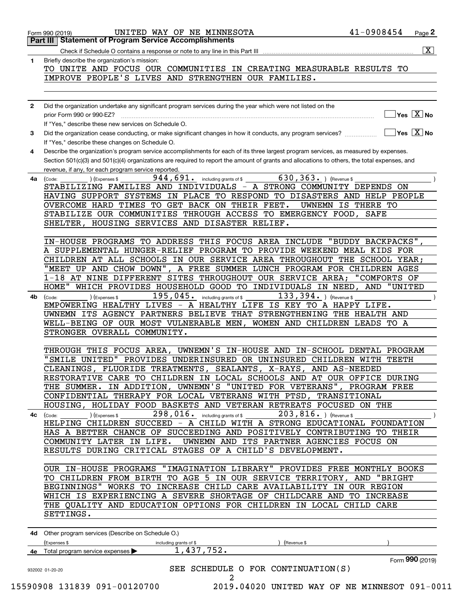|              | UNITED WAY OF NE MINNESOTA<br>Form 990 (2019)                                                                                                                | 41-0908454<br>Page 2                            |
|--------------|--------------------------------------------------------------------------------------------------------------------------------------------------------------|-------------------------------------------------|
|              | <b>Part III Statement of Program Service Accomplishments</b>                                                                                                 |                                                 |
|              | Check if Schedule O contains a response or note to any line in this Part III                                                                                 | $\overline{\mathbf{x}}$                         |
| 1.           | Briefly describe the organization's mission:                                                                                                                 |                                                 |
|              | TO UNITE AND FOCUS OUR COMMUNITIES IN CREATING MEASURABLE RESULTS TO                                                                                         |                                                 |
|              | IMPROVE PEOPLE'S LIVES AND STRENGTHEN OUR FAMILIES.                                                                                                          |                                                 |
|              |                                                                                                                                                              |                                                 |
|              |                                                                                                                                                              |                                                 |
| $\mathbf{2}$ | Did the organization undertake any significant program services during the year which were not listed on the                                                 | $\sqrt{}$ Yes $\sqrt{}$ X $\sqrt{}$ No          |
|              | prior Form 990 or 990-EZ?<br>If "Yes," describe these new services on Schedule O.                                                                            |                                                 |
| 3            | Did the organization cease conducting, or make significant changes in how it conducts, any program services?                                                 | $\boxed{\phantom{1}}$ Yes $\boxed{\text{X}}$ No |
|              | If "Yes," describe these changes on Schedule O.                                                                                                              |                                                 |
| 4            | Describe the organization's program service accomplishments for each of its three largest program services, as measured by expenses.                         |                                                 |
|              | Section 501(c)(3) and 501(c)(4) organizations are required to report the amount of grants and allocations to others, the total expenses, and                 |                                                 |
|              | revenue, if any, for each program service reported.                                                                                                          |                                                 |
| 4a           | $\overline{630}$ , 363. ) (Revenue \$<br>$944, 691$ and including grants of \$<br>) (Expenses \$<br>(Code:                                                   |                                                 |
|              | STABILIZING FAMILIES AND INDIVIDUALS - A STRONG COMMUNITY DEPENDS ON                                                                                         |                                                 |
|              | HAVING SUPPORT SYSTEMS IN PLACE TO RESPOND TO DISASTERS AND HELP PEOPLE                                                                                      |                                                 |
|              | OVERCOME HARD TIMES TO GET BACK ON THEIR FEET.                                                                                                               | UWNEMN IS THERE TO                              |
|              | STABILIZE OUR COMMUNITIES THROUGH ACCESS TO EMERGENCY FOOD, SAFE                                                                                             |                                                 |
|              | SHELTER, HOUSING SERVICES AND DISASTER RELIEF.                                                                                                               |                                                 |
|              |                                                                                                                                                              |                                                 |
|              | IN-HOUSE PROGRAMS TO ADDRESS THIS FOCUS AREA INCLUDE "BUDDY BACKPACKS"                                                                                       |                                                 |
|              | A SUPPLEMENTAL HUNGER-RELIEF PROGRAM TO PROVIDE WEEKEND MEAL KIDS FOR                                                                                        |                                                 |
|              | CHILDREN AT ALL SCHOOLS IN OUR SERVICE AREA THROUGHOUT THE SCHOOL YEAR;                                                                                      |                                                 |
|              | "MEET UP AND CHOW DOWN", A FREE SUMMER LUNCH PROGRAM FOR CHILDREN AGES<br>1-18 AT NINE DIFFERENT SITES THROUGHOUT OUR SERVICE AREA; "COMFORTS OF             |                                                 |
|              | HOME"<br>WHICH PROVIDES HOUSEHOLD GOOD TO INDIVIDUALS IN NEED, AND "UNITED                                                                                   |                                                 |
|              | $195,045$ . including grants of \$<br>$133, 394.$ ) (Revenue \$                                                                                              |                                                 |
| 4b           | (Expenses \$<br>(Code:<br>EMPOWERING HEALTHY LIVES - A HEALTHY LIFE IS KEY TO A HAPPY LIFE.                                                                  |                                                 |
|              | UWNEMN ITS AGENCY PARTNERS BELIEVE THAT STRENGTHENING THE HEALTH AND                                                                                         |                                                 |
|              | WELL-BEING OF OUR MOST VULNERABLE MEN, WOMEN AND CHILDREN LEADS TO A                                                                                         |                                                 |
|              | STRONGER OVERALL COMMUNITY.                                                                                                                                  |                                                 |
|              |                                                                                                                                                              |                                                 |
|              | THROUGH THIS FOCUS AREA, UWNEMN'S IN-HOUSE AND IN-SCHOOL DENTAL PROGRAM                                                                                      |                                                 |
|              | "SMILE UNITED" PROVIDES UNDERINSURED OR UNINSURED CHILDREN WITH TEETH                                                                                        |                                                 |
|              | CLEANINGS, FLUORIDE TREATMENTS, SEALANTS, X-RAYS, AND AS-NEEDED                                                                                              |                                                 |
|              | RESTORATIVE CARE TO CHILDREN IN LOCAL SCHOOLS AND AT OUR OFFICE DURING                                                                                       |                                                 |
|              | THE SUMMER. IN ADDITION, UWNEMN'S "UNITED FOR VETERANS", PROGRAM FREE                                                                                        |                                                 |
|              | CONFIDENTIAL THERAPY FOR LOCAL VETERANS WITH PTSD, TRANSITIONAL                                                                                              |                                                 |
|              | HOUSING, HOLIDAY FOOD BASKETS AND VETERAN RETREATS FOCUSED ON THE                                                                                            |                                                 |
| 4с           | 298, 016. including grants of \$203, 816. ) (Revenue \$<br>(Expenses \$<br>(Code:<br>HELPING CHILDREN SUCCEED - A CHILD WITH A STRONG EDUCATIONAL FOUNDATION |                                                 |
|              | HAS A BETTER CHANCE OF SUCCEEDING AND POSITIVELY CONTRIBUTING TO THEIR                                                                                       |                                                 |
|              | COMMUNITY LATER IN LIFE. UWNEMN AND ITS PARTNER AGENCIES FOCUS ON                                                                                            |                                                 |
|              | RESULTS DURING CRITICAL STAGES OF A CHILD'S DEVELOPMENT.                                                                                                     |                                                 |
|              |                                                                                                                                                              |                                                 |
|              | OUR IN-HOUSE PROGRAMS "IMAGINATION LIBRARY" PROVIDES FREE MONTHLY BOOKS                                                                                      |                                                 |
|              | TO CHILDREN FROM BIRTH TO AGE 5 IN OUR SERVICE TERRITORY, AND "BRIGHT                                                                                        |                                                 |
|              | BEGINNINGS" WORKS TO INCREASE CHILD CARE AVAILABILITY IN OUR REGION                                                                                          |                                                 |
|              | WHICH IS EXPERIENCING A SEVERE SHORTAGE OF CHILDCARE AND TO INCREASE                                                                                         |                                                 |
|              | THE QUALITY AND EDUCATION OPTIONS FOR CHILDREN IN LOCAL CHILD CARE                                                                                           |                                                 |
|              | SETTINGS.                                                                                                                                                    |                                                 |
|              |                                                                                                                                                              |                                                 |
|              | 4d Other program services (Describe on Schedule O.)                                                                                                          |                                                 |
|              | (Expenses \$<br>including grants of \$<br>(Revenue \$                                                                                                        |                                                 |
| 4е           | 1,437,752.<br>Total program service expenses                                                                                                                 |                                                 |
|              | SEE SCHEDULE O FOR CONTINUATION(S)                                                                                                                           | Form 990 (2019)                                 |
|              | 932002 01-20-20<br>2                                                                                                                                         |                                                 |
|              |                                                                                                                                                              |                                                 |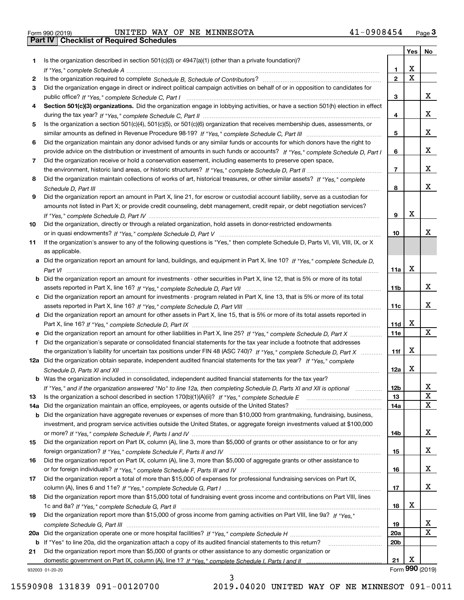| Form 990 (2019) |  |  |
|-----------------|--|--|

|     |                                                                                                                                                                                                                                                           |                 | Yes                     | No              |
|-----|-----------------------------------------------------------------------------------------------------------------------------------------------------------------------------------------------------------------------------------------------------------|-----------------|-------------------------|-----------------|
| 1.  | Is the organization described in section $501(c)(3)$ or $4947(a)(1)$ (other than a private foundation)?                                                                                                                                                   |                 |                         |                 |
|     |                                                                                                                                                                                                                                                           | 1.              | X                       |                 |
| 2   |                                                                                                                                                                                                                                                           | $\overline{2}$  | $\overline{\mathbf{x}}$ |                 |
| 3   | Did the organization engage in direct or indirect political campaign activities on behalf of or in opposition to candidates for                                                                                                                           |                 |                         |                 |
|     |                                                                                                                                                                                                                                                           | 3               |                         | х               |
| 4   | Section 501(c)(3) organizations. Did the organization engage in lobbying activities, or have a section 501(h) election in effect                                                                                                                          |                 |                         |                 |
|     |                                                                                                                                                                                                                                                           | 4               |                         | x               |
| 5   | Is the organization a section 501(c)(4), 501(c)(5), or 501(c)(6) organization that receives membership dues, assessments, or                                                                                                                              |                 |                         | х               |
|     |                                                                                                                                                                                                                                                           | 5               |                         |                 |
| 6   | Did the organization maintain any donor advised funds or any similar funds or accounts for which donors have the right to<br>provide advice on the distribution or investment of amounts in such funds or accounts? If "Yes," complete Schedule D, Part I | 6               |                         | x               |
| 7   | Did the organization receive or hold a conservation easement, including easements to preserve open space,                                                                                                                                                 |                 |                         |                 |
|     |                                                                                                                                                                                                                                                           | $\overline{7}$  |                         | x               |
| 8   | Did the organization maintain collections of works of art, historical treasures, or other similar assets? If "Yes," complete                                                                                                                              |                 |                         |                 |
|     |                                                                                                                                                                                                                                                           | 8               |                         | x               |
| 9   | Did the organization report an amount in Part X, line 21, for escrow or custodial account liability, serve as a custodian for                                                                                                                             |                 |                         |                 |
|     | amounts not listed in Part X; or provide credit counseling, debt management, credit repair, or debt negotiation services?                                                                                                                                 |                 |                         |                 |
|     |                                                                                                                                                                                                                                                           | 9               | X                       |                 |
| 10  | Did the organization, directly or through a related organization, hold assets in donor-restricted endowments                                                                                                                                              |                 |                         |                 |
|     |                                                                                                                                                                                                                                                           | 10              |                         | x               |
| 11  | If the organization's answer to any of the following questions is "Yes," then complete Schedule D, Parts VI, VIII, VIII, IX, or X                                                                                                                         |                 |                         |                 |
|     | as applicable.                                                                                                                                                                                                                                            |                 |                         |                 |
|     | a Did the organization report an amount for land, buildings, and equipment in Part X, line 10? If "Yes," complete Schedule D,                                                                                                                             |                 |                         |                 |
|     |                                                                                                                                                                                                                                                           | 11a             | X                       |                 |
|     | b Did the organization report an amount for investments - other securities in Part X, line 12, that is 5% or more of its total                                                                                                                            |                 |                         |                 |
|     |                                                                                                                                                                                                                                                           | 11 <sub>b</sub> |                         | x               |
|     | c Did the organization report an amount for investments - program related in Part X, line 13, that is 5% or more of its total                                                                                                                             |                 |                         |                 |
|     |                                                                                                                                                                                                                                                           | 11c             |                         | х               |
|     | d Did the organization report an amount for other assets in Part X, line 15, that is 5% or more of its total assets reported in                                                                                                                           |                 | х                       |                 |
|     |                                                                                                                                                                                                                                                           | 11d<br>11e      |                         | X               |
|     | e Did the organization report an amount for other liabilities in Part X, line 25? If "Yes," complete Schedule D, Part X<br>Did the organization's separate or consolidated financial statements for the tax year include a footnote that addresses        |                 |                         |                 |
|     | the organization's liability for uncertain tax positions under FIN 48 (ASC 740)? If "Yes," complete Schedule D, Part X                                                                                                                                    | 11f             | X                       |                 |
|     | 12a Did the organization obtain separate, independent audited financial statements for the tax year? If "Yes," complete                                                                                                                                   |                 |                         |                 |
|     |                                                                                                                                                                                                                                                           | 12a             | X                       |                 |
|     | <b>b</b> Was the organization included in consolidated, independent audited financial statements for the tax year?                                                                                                                                        |                 |                         |                 |
|     | If "Yes," and if the organization answered "No" to line 12a, then completing Schedule D, Parts XI and XII is optional                                                                                                                                     | 12b             |                         | ᅀ               |
| 13  |                                                                                                                                                                                                                                                           | 13              |                         | $\mathbf X$     |
| 14a | Did the organization maintain an office, employees, or agents outside of the United States?                                                                                                                                                               | 14a             |                         | X               |
|     | <b>b</b> Did the organization have aggregate revenues or expenses of more than \$10,000 from grantmaking, fundraising, business,                                                                                                                          |                 |                         |                 |
|     | investment, and program service activities outside the United States, or aggregate foreign investments valued at \$100,000                                                                                                                                |                 |                         |                 |
|     |                                                                                                                                                                                                                                                           | 14b             |                         | x               |
| 15  | Did the organization report on Part IX, column (A), line 3, more than \$5,000 of grants or other assistance to or for any                                                                                                                                 |                 |                         |                 |
|     |                                                                                                                                                                                                                                                           | 15              |                         | x               |
| 16  | Did the organization report on Part IX, column (A), line 3, more than \$5,000 of aggregate grants or other assistance to                                                                                                                                  |                 |                         |                 |
|     |                                                                                                                                                                                                                                                           | 16              |                         | x               |
| 17  | Did the organization report a total of more than \$15,000 of expenses for professional fundraising services on Part IX,                                                                                                                                   |                 |                         |                 |
|     |                                                                                                                                                                                                                                                           | 17              |                         | x               |
| 18  | Did the organization report more than \$15,000 total of fundraising event gross income and contributions on Part VIII, lines                                                                                                                              | 18              | х                       |                 |
| 19  | Did the organization report more than \$15,000 of gross income from gaming activities on Part VIII, line 9a? If "Yes."                                                                                                                                    |                 |                         |                 |
|     |                                                                                                                                                                                                                                                           | 19              |                         | X               |
|     |                                                                                                                                                                                                                                                           | 20a             |                         | X               |
|     | b If "Yes" to line 20a, did the organization attach a copy of its audited financial statements to this return?                                                                                                                                            | 20 <sub>b</sub> |                         |                 |
| 21  | Did the organization report more than \$5,000 of grants or other assistance to any domestic organization or                                                                                                                                               |                 |                         |                 |
|     |                                                                                                                                                                                                                                                           | 21              | х                       |                 |
|     | 932003 01-20-20                                                                                                                                                                                                                                           |                 |                         | Form 990 (2019) |

3

932003 01-20-20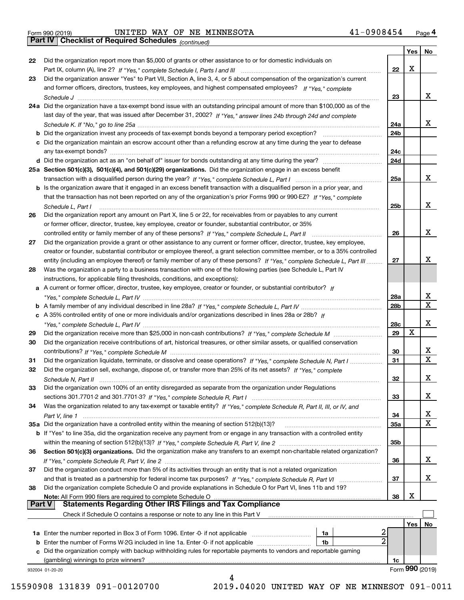*(continued)*

|               |                                                                                                                                     |                 |     | Yes   No        |
|---------------|-------------------------------------------------------------------------------------------------------------------------------------|-----------------|-----|-----------------|
| 22            | Did the organization report more than \$5,000 of grants or other assistance to or for domestic individuals on                       |                 |     |                 |
|               |                                                                                                                                     | $22\,$          | X   |                 |
| 23            | Did the organization answer "Yes" to Part VII, Section A, line 3, 4, or 5 about compensation of the organization's current          |                 |     |                 |
|               | and former officers, directors, trustees, key employees, and highest compensated employees? If "Yes," complete                      |                 |     |                 |
|               |                                                                                                                                     | 23              |     | x               |
|               | 24a Did the organization have a tax-exempt bond issue with an outstanding principal amount of more than \$100,000 as of the         |                 |     |                 |
|               | last day of the year, that was issued after December 31, 2002? If "Yes," answer lines 24b through 24d and complete                  |                 |     |                 |
|               |                                                                                                                                     | 24a             |     | x               |
|               |                                                                                                                                     |                 |     |                 |
|               | b Did the organization invest any proceeds of tax-exempt bonds beyond a temporary period exception?                                 | 24b             |     |                 |
|               | c Did the organization maintain an escrow account other than a refunding escrow at any time during the year to defease              |                 |     |                 |
|               | any tax-exempt bonds?                                                                                                               | 24c             |     |                 |
|               | d Did the organization act as an "on behalf of" issuer for bonds outstanding at any time during the year?                           | 24d             |     |                 |
|               | 25a Section 501(c)(3), 501(c)(4), and 501(c)(29) organizations. Did the organization engage in an excess benefit                    |                 |     |                 |
|               |                                                                                                                                     | 25a             |     | x               |
|               | b Is the organization aware that it engaged in an excess benefit transaction with a disqualified person in a prior year, and        |                 |     |                 |
|               | that the transaction has not been reported on any of the organization's prior Forms 990 or 990-EZ? If "Yes," complete               |                 |     |                 |
|               | Schedule L, Part I                                                                                                                  | 25b             |     | x               |
| 26            | Did the organization report any amount on Part X, line 5 or 22, for receivables from or payables to any current                     |                 |     |                 |
|               |                                                                                                                                     |                 |     |                 |
|               | or former officer, director, trustee, key employee, creator or founder, substantial contributor, or 35%                             |                 |     |                 |
|               |                                                                                                                                     | 26              |     | x               |
| 27            | Did the organization provide a grant or other assistance to any current or former officer, director, trustee, key employee,         |                 |     |                 |
|               | creator or founder, substantial contributor or employee thereof, a grant selection committee member, or to a 35% controlled         |                 |     |                 |
|               | entity (including an employee thereof) or family member of any of these persons? If "Yes," complete Schedule L, Part III            | 27              |     | х               |
| 28            | Was the organization a party to a business transaction with one of the following parties (see Schedule L, Part IV                   |                 |     |                 |
|               | instructions, for applicable filing thresholds, conditions, and exceptions):                                                        |                 |     |                 |
|               | a A current or former officer, director, trustee, key employee, creator or founder, or substantial contributor? If                  |                 |     |                 |
|               |                                                                                                                                     | 28a             |     | x               |
|               |                                                                                                                                     | 28 <sub>b</sub> |     | $\mathbf{x}$    |
|               |                                                                                                                                     |                 |     |                 |
|               | c A 35% controlled entity of one or more individuals and/or organizations described in lines 28a or 28b? If                         |                 |     | х               |
|               |                                                                                                                                     | 28c             |     |                 |
| 29            |                                                                                                                                     | 29              | х   |                 |
| 30            | Did the organization receive contributions of art, historical treasures, or other similar assets, or qualified conservation         |                 |     |                 |
|               |                                                                                                                                     | 30              |     | x               |
| 31            | Did the organization liquidate, terminate, or dissolve and cease operations? If "Yes," complete Schedule N, Part I                  | 31              |     | $\mathbf x$     |
| 32            | Did the organization sell, exchange, dispose of, or transfer more than 25% of its net assets? If "Yes," complete                    |                 |     |                 |
|               | Schedule N, Part II                                                                                                                 | 32              |     | х               |
| 33            | Did the organization own 100% of an entity disregarded as separate from the organization under Regulations                          |                 |     |                 |
|               |                                                                                                                                     | 33              |     | х               |
| 34            |                                                                                                                                     |                 |     |                 |
|               | Was the organization related to any tax-exempt or taxable entity? If "Yes," complete Schedule R, Part II, III, or IV, and           |                 |     | X               |
|               |                                                                                                                                     | 34              |     | X               |
|               | 35a Did the organization have a controlled entity within the meaning of section 512(b)(13)?                                         | 35a             |     |                 |
|               | b If "Yes" to line 35a, did the organization receive any payment from or engage in any transaction with a controlled entity         |                 |     |                 |
|               |                                                                                                                                     | 35b             |     |                 |
| 36            | Section 501(c)(3) organizations. Did the organization make any transfers to an exempt non-charitable related organization?          |                 |     |                 |
|               |                                                                                                                                     | 36              |     | x               |
| 37            | Did the organization conduct more than 5% of its activities through an entity that is not a related organization                    |                 |     |                 |
|               | and that is treated as a partnership for federal income tax purposes? If "Yes," complete Schedule R, Part VI                        | 37              |     | x               |
| 38            | Did the organization complete Schedule O and provide explanations in Schedule O for Part VI, lines 11b and 19?                      |                 |     |                 |
|               | Note: All Form 990 filers are required to complete Schedule O                                                                       | 38              | х   |                 |
| <b>Part V</b> | <b>Statements Regarding Other IRS Filings and Tax Compliance</b>                                                                    |                 |     |                 |
|               |                                                                                                                                     |                 |     |                 |
|               | Check if Schedule O contains a response or note to any line in this Part V                                                          |                 |     |                 |
|               |                                                                                                                                     |                 | Yes | No              |
|               | 2<br><b>1a</b> Enter the number reported in Box 3 of Form 1096. Enter -0- if not applicable <i>manumumumum</i><br>1a                |                 |     |                 |
|               | $\overline{2}$<br><b>b</b> Enter the number of Forms W-2G included in line 1a. Enter -0- if not applicable <i>manumumumum</i><br>1b |                 |     |                 |
|               | c Did the organization comply with backup withholding rules for reportable payments to vendors and reportable gaming                |                 |     |                 |
|               | (gambling) winnings to prize winners?                                                                                               | 1c              |     |                 |
|               | 932004 01-20-20                                                                                                                     |                 |     | Form 990 (2019) |
|               |                                                                                                                                     |                 |     |                 |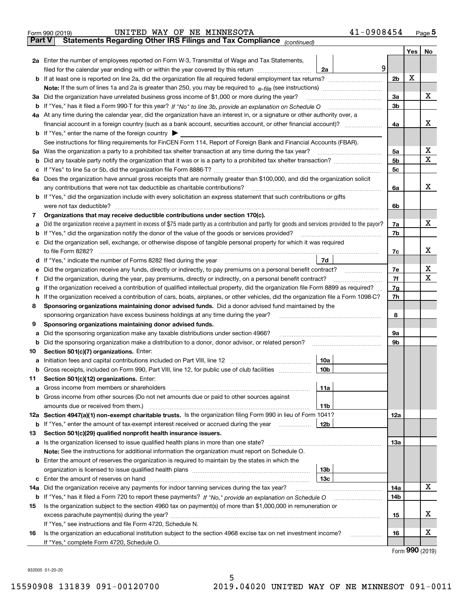|               | 41-0908454<br>UNITED WAY OF NE MINNESOTA<br>Form 990 (2019)                                                                                     |                |     | $_{\text{Page}}$ 5 |  |  |  |  |  |  |
|---------------|-------------------------------------------------------------------------------------------------------------------------------------------------|----------------|-----|--------------------|--|--|--|--|--|--|
| <b>Part V</b> | Statements Regarding Other IRS Filings and Tax Compliance (continued)                                                                           |                |     |                    |  |  |  |  |  |  |
|               |                                                                                                                                                 |                | Yes | No                 |  |  |  |  |  |  |
|               | 2a Enter the number of employees reported on Form W-3, Transmittal of Wage and Tax Statements,                                                  |                |     |                    |  |  |  |  |  |  |
|               | filed for the calendar year ending with or within the year covered by this return<br>2a                                                         | 9              | X   |                    |  |  |  |  |  |  |
|               |                                                                                                                                                 |                |     |                    |  |  |  |  |  |  |
|               |                                                                                                                                                 |                |     |                    |  |  |  |  |  |  |
| За            | Did the organization have unrelated business gross income of \$1,000 or more during the year?                                                   | 3a             |     | x                  |  |  |  |  |  |  |
| b             |                                                                                                                                                 | 3 <sub>b</sub> |     |                    |  |  |  |  |  |  |
|               | 4a At any time during the calendar year, did the organization have an interest in, or a signature or other authority over, a                    |                |     |                    |  |  |  |  |  |  |
|               |                                                                                                                                                 | 4a             |     | х                  |  |  |  |  |  |  |
|               | <b>b</b> If "Yes," enter the name of the foreign country $\blacktriangleright$                                                                  |                |     |                    |  |  |  |  |  |  |
|               | See instructions for filing requirements for FinCEN Form 114, Report of Foreign Bank and Financial Accounts (FBAR).                             |                |     |                    |  |  |  |  |  |  |
| 5a            | Was the organization a party to a prohibited tax shelter transaction at any time during the tax year?                                           | 5a             |     | х                  |  |  |  |  |  |  |
| b             |                                                                                                                                                 | 5b             |     | X                  |  |  |  |  |  |  |
| с             |                                                                                                                                                 | 5c             |     |                    |  |  |  |  |  |  |
|               | 6a Does the organization have annual gross receipts that are normally greater than \$100,000, and did the organization solicit                  |                |     |                    |  |  |  |  |  |  |
|               | any contributions that were not tax deductible as charitable contributions?                                                                     | 6a             |     | x                  |  |  |  |  |  |  |
|               | <b>b</b> If "Yes," did the organization include with every solicitation an express statement that such contributions or gifts                   |                |     |                    |  |  |  |  |  |  |
|               | were not tax deductible?                                                                                                                        | 6b             |     |                    |  |  |  |  |  |  |
| 7             | Organizations that may receive deductible contributions under section 170(c).                                                                   |                |     |                    |  |  |  |  |  |  |
| а             | Did the organization receive a payment in excess of \$75 made partly as a contribution and partly for goods and services provided to the payor? | 7a             |     | x                  |  |  |  |  |  |  |
| b             | If "Yes," did the organization notify the donor of the value of the goods or services provided?                                                 | 7b             |     |                    |  |  |  |  |  |  |
|               | Did the organization sell, exchange, or otherwise dispose of tangible personal property for which it was required                               |                |     |                    |  |  |  |  |  |  |
|               |                                                                                                                                                 | 7c             |     | x                  |  |  |  |  |  |  |
| d             | 7d                                                                                                                                              |                |     |                    |  |  |  |  |  |  |
| е             |                                                                                                                                                 | 7e             |     | х                  |  |  |  |  |  |  |
| f             | Did the organization, during the year, pay premiums, directly or indirectly, on a personal benefit contract?                                    | 7f             |     | X                  |  |  |  |  |  |  |
| g             | If the organization received a contribution of qualified intellectual property, did the organization file Form 8899 as required?                | 7g             |     |                    |  |  |  |  |  |  |
| h             | If the organization received a contribution of cars, boats, airplanes, or other vehicles, did the organization file a Form 1098-C?              | 7h             |     |                    |  |  |  |  |  |  |
| 8             | Sponsoring organizations maintaining donor advised funds. Did a donor advised fund maintained by the                                            |                |     |                    |  |  |  |  |  |  |
|               | sponsoring organization have excess business holdings at any time during the year?                                                              | 8              |     |                    |  |  |  |  |  |  |
| 9             | Sponsoring organizations maintaining donor advised funds.                                                                                       |                |     |                    |  |  |  |  |  |  |
| а             | Did the sponsoring organization make any taxable distributions under section 4966?                                                              | 9а             |     |                    |  |  |  |  |  |  |
| b             | Did the sponsoring organization make a distribution to a donor, donor advisor, or related person?                                               | 9b             |     |                    |  |  |  |  |  |  |
| 10            | Section 501(c)(7) organizations. Enter:                                                                                                         |                |     |                    |  |  |  |  |  |  |
| а             | 10a<br>Initiation fees and capital contributions included on Part VIII, line 12 [111] [11] [12] [11] [12] [11] [12] [                           |                |     |                    |  |  |  |  |  |  |
|               | 10b <br>Gross receipts, included on Form 990, Part VIII, line 12, for public use of club facilities                                             |                |     |                    |  |  |  |  |  |  |
| 11            | Section 501(c)(12) organizations. Enter:                                                                                                        |                |     |                    |  |  |  |  |  |  |
| а             | Gross income from members or shareholders<br>11a                                                                                                |                |     |                    |  |  |  |  |  |  |
| b             | Gross income from other sources (Do not net amounts due or paid to other sources against                                                        |                |     |                    |  |  |  |  |  |  |
|               | 11 <sub>b</sub><br>amounts due or received from them.)                                                                                          |                |     |                    |  |  |  |  |  |  |
|               | 12a Section 4947(a)(1) non-exempt charitable trusts. Is the organization filing Form 990 in lieu of Form 1041?                                  | <b>12a</b>     |     |                    |  |  |  |  |  |  |
|               | 12b<br><b>b</b> If "Yes," enter the amount of tax-exempt interest received or accrued during the year <i>manument</i>                           |                |     |                    |  |  |  |  |  |  |
| 13            | Section 501(c)(29) qualified nonprofit health insurance issuers.                                                                                |                |     |                    |  |  |  |  |  |  |
| a             | Is the organization licensed to issue qualified health plans in more than one state?                                                            | <b>13a</b>     |     |                    |  |  |  |  |  |  |
|               | Note: See the instructions for additional information the organization must report on Schedule O.                                               |                |     |                    |  |  |  |  |  |  |
| b             | Enter the amount of reserves the organization is required to maintain by the states in which the                                                |                |     |                    |  |  |  |  |  |  |
|               | 13 <sub>b</sub>                                                                                                                                 |                |     |                    |  |  |  |  |  |  |
| с             | 13 <sub>c</sub>                                                                                                                                 |                |     |                    |  |  |  |  |  |  |
| 14a           | Did the organization receive any payments for indoor tanning services during the tax year?                                                      | 14a            |     | x                  |  |  |  |  |  |  |
|               | <b>b</b> If "Yes," has it filed a Form 720 to report these payments? If "No," provide an explanation on Schedule O                              | 14b            |     |                    |  |  |  |  |  |  |
| 15            | Is the organization subject to the section 4960 tax on payment(s) of more than \$1,000,000 in remuneration or                                   |                |     |                    |  |  |  |  |  |  |
|               | excess parachute payment(s) during the year?                                                                                                    | 15             |     | х                  |  |  |  |  |  |  |
|               | If "Yes," see instructions and file Form 4720, Schedule N.                                                                                      |                |     |                    |  |  |  |  |  |  |
| 16            | Is the organization an educational institution subject to the section 4968 excise tax on net investment income?                                 | 16             |     | х                  |  |  |  |  |  |  |
|               | If "Yes," complete Form 4720, Schedule O.                                                                                                       |                |     |                    |  |  |  |  |  |  |

Form (2019) **990**

932005 01-20-20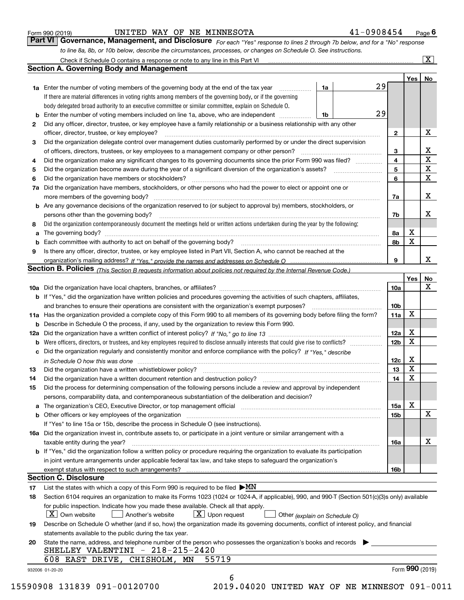| Form 990 (2019) |  |  |
|-----------------|--|--|
|                 |  |  |

# UNITED WAY OF NE MINNESOTA 4

| -0908454<br>Page ' |
|--------------------|
|--------------------|

*For each "Yes" response to lines 2 through 7b below, and for a "No" response to line 8a, 8b, or 10b below, describe the circumstances, processes, or changes on Schedule O. See instructions.* Form 990 (2019) **CONTIBER WAY OF NE MINNESOTA 1-0908454** Page 6<br>**Part VI Governance, Management, and Disclosure** For each "Yes" response to lines 2 through 7b below, and for a "No" response

|    |                                                                                                                                                                            |    |    |                 | Yes   No        |             |
|----|----------------------------------------------------------------------------------------------------------------------------------------------------------------------------|----|----|-----------------|-----------------|-------------|
|    | <b>1a</b> Enter the number of voting members of the governing body at the end of the tax year <i>manumum</i>                                                               | 1a | 29 |                 |                 |             |
|    | If there are material differences in voting rights among members of the governing body, or if the governing                                                                |    |    |                 |                 |             |
|    | body delegated broad authority to an executive committee or similar committee, explain on Schedule O.                                                                      |    |    |                 |                 |             |
|    |                                                                                                                                                                            | 1b | 29 |                 |                 |             |
| 2  | Did any officer, director, trustee, or key employee have a family relationship or a business relationship with any other                                                   |    |    |                 |                 |             |
|    | officer, director, trustee, or key employee?                                                                                                                               |    |    | $\mathbf{2}$    |                 | X           |
| 3  | Did the organization delegate control over management duties customarily performed by or under the direct supervision                                                      |    |    |                 |                 |             |
|    |                                                                                                                                                                            |    |    | 3               |                 | X           |
| 4  | Did the organization make any significant changes to its governing documents since the prior Form 990 was filed?                                                           |    |    | 4               |                 | $\mathbf X$ |
| 5  |                                                                                                                                                                            |    |    | 5               |                 | $\mathbf X$ |
| 6  | Did the organization have members or stockholders?                                                                                                                         |    |    | 6               |                 | X           |
|    | 7a Did the organization have members, stockholders, or other persons who had the power to elect or appoint one or                                                          |    |    |                 |                 |             |
|    |                                                                                                                                                                            |    |    | 7a              |                 | X           |
|    | <b>b</b> Are any governance decisions of the organization reserved to (or subject to approval by) members, stockholders, or                                                |    |    |                 |                 |             |
|    | persons other than the governing body?                                                                                                                                     |    |    | 7b              |                 | Х           |
| 8  | Did the organization contemporaneously document the meetings held or written actions undertaken during the year by the following:                                          |    |    |                 |                 |             |
| a  |                                                                                                                                                                            |    |    | 8a              | X               |             |
|    |                                                                                                                                                                            |    |    | 8b              | $\mathbf X$     |             |
| 9  | Is there any officer, director, trustee, or key employee listed in Part VII, Section A, who cannot be reached at the                                                       |    |    |                 |                 |             |
|    |                                                                                                                                                                            |    |    | 9               |                 | X           |
|    | Section B. Policies <sub>(This</sub> Section B requests information about policies not required by the Internal Revenue Code.)                                             |    |    |                 |                 |             |
|    |                                                                                                                                                                            |    |    |                 | Yes             | <b>No</b>   |
|    |                                                                                                                                                                            |    |    | <b>10a</b>      |                 | X           |
|    | <b>b</b> If "Yes," did the organization have written policies and procedures governing the activities of such chapters, affiliates,                                        |    |    |                 |                 |             |
|    |                                                                                                                                                                            |    |    | 10 <sub>b</sub> |                 |             |
|    | 11a Has the organization provided a complete copy of this Form 990 to all members of its governing body before filing the form?                                            |    |    | 11a             | X               |             |
|    | <b>b</b> Describe in Schedule O the process, if any, used by the organization to review this Form 990.                                                                     |    |    |                 |                 |             |
|    |                                                                                                                                                                            |    |    | 12a             | X               |             |
| b  |                                                                                                                                                                            |    |    | 12 <sub>b</sub> | X               |             |
|    | c Did the organization regularly and consistently monitor and enforce compliance with the policy? If "Yes," describe                                                       |    |    |                 |                 |             |
|    | in Schedule O how this was done www.communication.com/www.communications.com/www.communications.com/                                                                       |    |    | 12c             | X               |             |
| 13 |                                                                                                                                                                            |    |    | 13              | $\mathbf X$     |             |
| 14 | Did the organization have a written document retention and destruction policy? manufactured and the organization have a written document retention and destruction policy? |    |    | 14              | $\mathbf X$     |             |
| 15 | Did the process for determining compensation of the following persons include a review and approval by independent                                                         |    |    |                 |                 |             |
|    | persons, comparability data, and contemporaneous substantiation of the deliberation and decision?                                                                          |    |    |                 |                 |             |
|    |                                                                                                                                                                            |    |    | 15a             | X               |             |
|    | <b>b</b> Other officers or key employees of the organization                                                                                                               |    |    | 15 <sub>b</sub> |                 | X           |
|    | If "Yes" to line 15a or 15b, describe the process in Schedule O (see instructions).                                                                                        |    |    |                 |                 |             |
|    | 16a Did the organization invest in, contribute assets to, or participate in a joint venture or similar arrangement with a                                                  |    |    |                 |                 |             |
|    |                                                                                                                                                                            |    |    | 16a             |                 | х           |
|    | taxable entity during the year?<br>b If "Yes," did the organization follow a written policy or procedure requiring the organization to evaluate its participation          |    |    |                 |                 |             |
|    |                                                                                                                                                                            |    |    |                 |                 |             |
|    | in joint venture arrangements under applicable federal tax law, and take steps to safeguard the organization's                                                             |    |    |                 |                 |             |
|    | exempt status with respect to such arrangements?<br><b>Section C. Disclosure</b>                                                                                           |    |    | <b>16b</b>      |                 |             |
|    |                                                                                                                                                                            |    |    |                 |                 |             |
| 17 | List the states with which a copy of this Form 990 is required to be filed $\blacktriangleright MN$                                                                        |    |    |                 |                 |             |
| 18 | Section 6104 requires an organization to make its Forms 1023 (1024 or 1024-A, if applicable), 990, and 990-T (Section 501(c)(3)s only) available                           |    |    |                 |                 |             |
|    | for public inspection. Indicate how you made these available. Check all that apply.                                                                                        |    |    |                 |                 |             |
|    | $X$ Upon request<br>$ X $ Own website<br>Another's website<br>Other (explain on Schedule O)                                                                                |    |    |                 |                 |             |
| 19 | Describe on Schedule O whether (and if so, how) the organization made its governing documents, conflict of interest policy, and financial                                  |    |    |                 |                 |             |
|    | statements available to the public during the tax year.                                                                                                                    |    |    |                 |                 |             |
| 20 | State the name, address, and telephone number of the person who possesses the organization's books and records                                                             |    |    |                 |                 |             |
|    | SHELLEY VALENTINI - 218-215-2420                                                                                                                                           |    |    |                 |                 |             |
|    | 55719<br>608 EAST DRIVE, CHISHOLM, MN                                                                                                                                      |    |    |                 |                 |             |
|    | 932006 01-20-20                                                                                                                                                            |    |    |                 | Form 990 (2019) |             |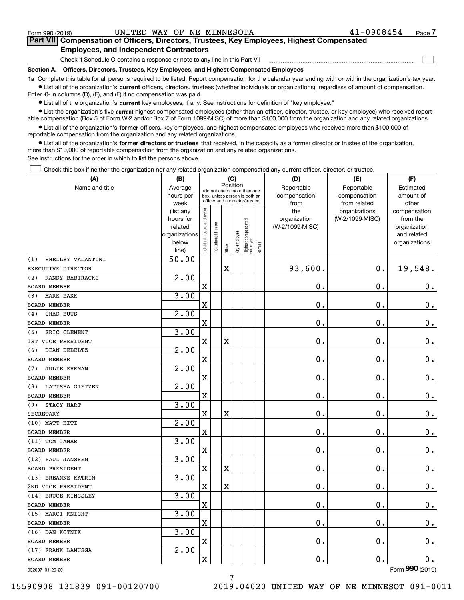$\mathcal{L}^{\text{max}}$ 

# **7Part VII Compensation of Officers, Directors, Trustees, Key Employees, Highest Compensated Employees, and Independent Contractors**

Check if Schedule O contains a response or note to any line in this Part VII

**Section A. Officers, Directors, Trustees, Key Employees, and Highest Compensated Employees**

**1a**  Complete this table for all persons required to be listed. Report compensation for the calendar year ending with or within the organization's tax year. **•** List all of the organization's current officers, directors, trustees (whether individuals or organizations), regardless of amount of compensation.

Enter -0- in columns (D), (E), and (F) if no compensation was paid.

 $\bullet$  List all of the organization's  $\,$ current key employees, if any. See instructions for definition of "key employee."

**•** List the organization's five current highest compensated employees (other than an officer, director, trustee, or key employee) who received reportable compensation (Box 5 of Form W-2 and/or Box 7 of Form 1099-MISC) of more than \$100,000 from the organization and any related organizations.

**•** List all of the organization's former officers, key employees, and highest compensated employees who received more than \$100,000 of reportable compensation from the organization and any related organizations.

**former directors or trustees**  ¥ List all of the organization's that received, in the capacity as a former director or trustee of the organization, more than \$10,000 of reportable compensation from the organization and any related organizations.

See instructions for the order in which to list the persons above.

Check this box if neither the organization nor any related organization compensated any current officer, director, or trustee.  $\mathcal{L}^{\text{max}}$ 

| (A)                        | (B)<br>(C)               |                                         |                       |             |              |                                  |        | (D)             | (E)             | (F)                         |
|----------------------------|--------------------------|-----------------------------------------|-----------------------|-------------|--------------|----------------------------------|--------|-----------------|-----------------|-----------------------------|
| Name and title             | Average                  | Position<br>(do not check more than one |                       |             |              |                                  |        | Reportable      | Reportable      | Estimated                   |
|                            | hours per                |                                         |                       |             |              | box, unless person is both an    |        | compensation    | compensation    | amount of                   |
|                            | week                     | officer and a director/trustee)         |                       |             |              |                                  |        | from            | from related    | other                       |
|                            | (list any                |                                         |                       |             |              |                                  |        | the             | organizations   | compensation                |
|                            | hours for                |                                         |                       |             |              |                                  |        | organization    | (W-2/1099-MISC) | from the                    |
|                            | related<br>organizations |                                         |                       |             |              |                                  |        | (W-2/1099-MISC) |                 | organization<br>and related |
|                            | below                    |                                         |                       |             |              |                                  |        |                 |                 | organizations               |
|                            | line)                    | Individual trustee or director          | Institutional trustee | Officer     | Key employee | Highest compensated<br> employee | Former |                 |                 |                             |
| SHELLEY VALANTINI<br>(1)   | 50.00                    |                                         |                       |             |              |                                  |        |                 |                 |                             |
| EXECUTIVE DIRECTOR         |                          |                                         |                       | $\mathbf X$ |              |                                  |        | 93,600.         | $\mathbf 0$ .   | 19,548.                     |
| RANDY BABIRACKI<br>(2)     | $\overline{2.00}$        |                                         |                       |             |              |                                  |        |                 |                 |                             |
| <b>BOARD MEMBER</b>        |                          | X                                       |                       |             |              |                                  |        | 0.              | 0.              | 0.                          |
| MARK BAKK<br>(3)           | 3.00                     |                                         |                       |             |              |                                  |        |                 |                 |                             |
| <b>BOARD MEMBER</b>        |                          | X                                       |                       |             |              |                                  |        | 0.              | 0.              | $0_{.}$                     |
| CHAD BUUS<br>(4)           | 2.00                     |                                         |                       |             |              |                                  |        |                 |                 |                             |
| <b>BOARD MEMBER</b>        |                          | X                                       |                       |             |              |                                  |        | 0.              | 0.              | 0.                          |
| ERIC CLEMENT<br>(5)        | 3.00                     |                                         |                       |             |              |                                  |        |                 |                 |                             |
| 1ST VICE PRESIDENT         |                          | $\mathbf X$                             |                       | $\mathbf X$ |              |                                  |        | 0.              | 0.              | $0_{.}$                     |
| DEAN DEBELTZ<br>(6)        | 2.00                     |                                         |                       |             |              |                                  |        |                 |                 |                             |
| <b>BOARD MEMBER</b>        |                          | X                                       |                       |             |              |                                  |        | 0.              | 0.              | $0_{.}$                     |
| <b>JULIE EHRMAN</b><br>(7) | 2.00                     |                                         |                       |             |              |                                  |        |                 |                 |                             |
| <b>BOARD MEMBER</b>        |                          | X                                       |                       |             |              |                                  |        | 0.              | 0.              | $0_{.}$                     |
| LATISHA GIETZEN<br>(8)     | 2.00                     |                                         |                       |             |              |                                  |        |                 |                 |                             |
| <b>BOARD MEMBER</b>        |                          | X                                       |                       |             |              |                                  |        | 0.              | 0.              | $\mathbf 0$ .               |
| STACY HART<br>(9)          | 3.00                     |                                         |                       |             |              |                                  |        |                 |                 |                             |
| <b>SECRETARY</b>           |                          | $\mathbf X$                             |                       | $\mathbf X$ |              |                                  |        | 0.              | 0.              | $\mathbf 0$ .               |
| (10) MATT HITI             | 2.00                     |                                         |                       |             |              |                                  |        |                 |                 |                             |
| <b>BOARD MEMBER</b>        |                          | X                                       |                       |             |              |                                  |        | 0.              | 0.              | $\mathbf 0$ .               |
| (11) TOM JAMAR             | 3.00                     |                                         |                       |             |              |                                  |        |                 |                 |                             |
| <b>BOARD MEMBER</b>        |                          | X                                       |                       |             |              |                                  |        | 0.              | 0.              | $\mathbf 0$ .               |
| (12) PAUL JANSSEN          | 3.00                     |                                         |                       |             |              |                                  |        |                 |                 |                             |
| <b>BOARD PRESIDENT</b>     |                          | X                                       |                       | X           |              |                                  |        | 0.              | 0.              | $\mathbf 0$ .               |
| (13) BREANNE KATRIN        | 3.00                     |                                         |                       |             |              |                                  |        |                 |                 |                             |
| 2ND VICE PRESIDENT         |                          | $\mathbf X$                             |                       | $\mathbf X$ |              |                                  |        | 0.              | 0.              | 0.                          |
| (14) BRUCE KINGSLEY        | 3.00                     |                                         |                       |             |              |                                  |        |                 |                 |                             |
| <b>BOARD MEMBER</b>        |                          | X                                       |                       |             |              |                                  |        | 0.              | $\mathbf 0$ .   | 0.                          |
| (15) MARCI KNIGHT          | 3.00                     |                                         |                       |             |              |                                  |        |                 |                 |                             |
| <b>BOARD MEMBER</b>        |                          | $\mathbf X$                             |                       |             |              |                                  |        | $\mathbf 0$ .   | $\mathbf 0$ .   | 0.                          |
| (16) DAN KOTNIK            | 3.00                     |                                         |                       |             |              |                                  |        |                 |                 |                             |
| BOARD MEMBER               |                          | $\mathbf X$                             |                       |             |              |                                  |        | 0.              | $\mathbf 0$ .   | $0_{\cdot}$                 |
| (17) FRANK LAMUSGA         | 2.00                     |                                         |                       |             |              |                                  |        |                 |                 |                             |
| BOARD MEMBER               |                          | $\mathbf X$                             |                       |             |              |                                  |        | 0.              | $\mathbf 0$ .   | 0.                          |
| 932007 01-20-20            |                          |                                         |                       |             |              |                                  |        |                 |                 | Form 990 (2019)             |

932007 01-20-20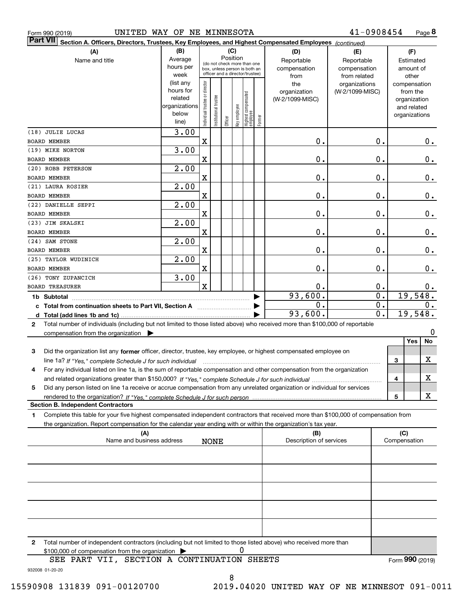| Form 990 (2019)                                                                                                                                   | UNITED WAY OF NE MINNESOTA |                                |                      |                                                              |              |                                  |        |                                | 41-0908454      |                             |              | Page 8          |
|---------------------------------------------------------------------------------------------------------------------------------------------------|----------------------------|--------------------------------|----------------------|--------------------------------------------------------------|--------------|----------------------------------|--------|--------------------------------|-----------------|-----------------------------|--------------|-----------------|
| <b>Part VII</b><br>Section A. Officers, Directors, Trustees, Key Employees, and Highest Compensated Employees (continued)                         |                            |                                |                      |                                                              |              |                                  |        |                                |                 |                             |              |                 |
| (A)                                                                                                                                               | (B)                        |                                |                      | (C)                                                          |              |                                  |        | (D)                            | (E)             |                             |              | (F)             |
| Name and title                                                                                                                                    | Average                    |                                |                      | Position                                                     |              |                                  |        | Reportable                     | Reportable      |                             |              | Estimated       |
|                                                                                                                                                   | hours per                  |                                |                      | (do not check more than one<br>box, unless person is both an |              |                                  |        | compensation                   | compensation    |                             |              | amount of       |
|                                                                                                                                                   | week                       |                                |                      | officer and a director/trustee)                              |              |                                  |        | from                           | from related    |                             |              | other           |
|                                                                                                                                                   | (list any                  |                                |                      |                                                              |              |                                  |        | the                            | organizations   |                             |              | compensation    |
|                                                                                                                                                   | hours for                  |                                |                      |                                                              |              |                                  |        | organization                   | (W-2/1099-MISC) |                             |              | from the        |
|                                                                                                                                                   | related                    |                                |                      |                                                              |              |                                  |        | (W-2/1099-MISC)                |                 |                             |              | organization    |
|                                                                                                                                                   | organizations              |                                |                      |                                                              |              |                                  |        |                                |                 |                             |              | and related     |
|                                                                                                                                                   | below                      |                                | nstitutional trustee |                                                              |              |                                  |        |                                |                 |                             |              | organizations   |
|                                                                                                                                                   | line)                      | Individual trustee or director |                      | Officer                                                      | Key employee | Highest compensated<br> employee | Former |                                |                 |                             |              |                 |
| (18) JULIE LUCAS                                                                                                                                  | 3.00                       |                                |                      |                                                              |              |                                  |        |                                |                 |                             |              |                 |
| <b>BOARD MEMBER</b>                                                                                                                               |                            | X                              |                      |                                                              |              |                                  |        | 0.                             |                 | 0.                          |              | О.              |
| (19) MIKE NORTON                                                                                                                                  | 3.00                       |                                |                      |                                                              |              |                                  |        |                                |                 |                             |              |                 |
|                                                                                                                                                   |                            |                                |                      |                                                              |              |                                  |        |                                |                 | 0.                          |              |                 |
| <b>BOARD MEMBER</b>                                                                                                                               |                            | $\mathbf X$                    |                      |                                                              |              |                                  |        | 0.                             |                 |                             |              | $0$ .           |
| (20) ROBB PETERSON                                                                                                                                | $\overline{2.00}$          |                                |                      |                                                              |              |                                  |        |                                |                 |                             |              |                 |
| <b>BOARD MEMBER</b>                                                                                                                               |                            | $\mathbf X$                    |                      |                                                              |              |                                  |        | 0.                             |                 | 0.                          |              | $0$ .           |
| (21) LAURA ROSIER                                                                                                                                 | $\overline{2.00}$          |                                |                      |                                                              |              |                                  |        |                                |                 |                             |              |                 |
| <b>BOARD MEMBER</b>                                                                                                                               |                            | $\mathbf X$                    |                      |                                                              |              |                                  |        | 0.                             |                 | 0.                          |              | $0$ .           |
| (22) DANIELLE SEPPI                                                                                                                               | $\overline{2.00}$          |                                |                      |                                                              |              |                                  |        |                                |                 |                             |              |                 |
| <b>BOARD MEMBER</b>                                                                                                                               |                            | X                              |                      |                                                              |              |                                  |        | 0.                             |                 | 0.                          |              | $0$ .           |
| (23) JIM SKALSKI                                                                                                                                  | $\overline{2.00}$          |                                |                      |                                                              |              |                                  |        |                                |                 |                             |              |                 |
| BOARD MEMBER                                                                                                                                      |                            | X                              |                      |                                                              |              |                                  |        | 0.                             |                 | 0.                          |              | $0\,.$          |
|                                                                                                                                                   |                            |                                |                      |                                                              |              |                                  |        |                                |                 |                             |              |                 |
| (24) SAM STONE                                                                                                                                    | $\overline{2.00}$          |                                |                      |                                                              |              |                                  |        |                                |                 |                             |              |                 |
| BOARD MEMBER                                                                                                                                      |                            | X                              |                      |                                                              |              |                                  |        | 0.                             |                 | 0.                          |              | 0.              |
| (25) TAYLOR WUDINICH                                                                                                                              | $\overline{2}$ .00         |                                |                      |                                                              |              |                                  |        |                                |                 |                             |              |                 |
| BOARD MEMBER                                                                                                                                      |                            | X                              |                      |                                                              |              |                                  |        | 0.                             |                 | 0.                          |              | 0.              |
| (26) TONY ZUPANCICH                                                                                                                               | 3.00                       |                                |                      |                                                              |              |                                  |        |                                |                 |                             |              |                 |
| <b>BOARD TREASURER</b>                                                                                                                            |                            | X                              |                      |                                                              |              |                                  |        | 0.                             |                 | 0.                          |              | 0.              |
| 1b Subtotal                                                                                                                                       |                            |                                |                      |                                                              |              |                                  |        | 93,600.                        |                 | $\overline{\mathfrak{o}}$ . |              | 19,548.         |
| c Total from continuation sheets to Part VII, Section A                                                                                           |                            |                                |                      |                                                              |              |                                  |        | 0.                             |                 | $\overline{0}$ .            |              | $0$ .           |
|                                                                                                                                                   |                            |                                |                      |                                                              |              |                                  |        | 93,600.                        |                 | $\overline{0}$ .            |              | 19,548.         |
|                                                                                                                                                   |                            |                                |                      |                                                              |              |                                  |        |                                |                 |                             |              |                 |
| Total number of individuals (including but not limited to those listed above) who received more than \$100,000 of reportable<br>2                 |                            |                                |                      |                                                              |              |                                  |        |                                |                 |                             |              |                 |
| compensation from the organization $\blacktriangleright$                                                                                          |                            |                                |                      |                                                              |              |                                  |        |                                |                 |                             |              | 0               |
|                                                                                                                                                   |                            |                                |                      |                                                              |              |                                  |        |                                |                 |                             |              | Yes<br>No       |
| 3<br>Did the organization list any former officer, director, trustee, key employee, or highest compensated employee on                            |                            |                                |                      |                                                              |              |                                  |        |                                |                 |                             |              |                 |
| line 1a? If "Yes," complete Schedule J for such individual material content content to the content of the complete schedule J for such individual |                            |                                |                      |                                                              |              |                                  |        |                                |                 |                             | 3            | X               |
| For any individual listed on line 1a, is the sum of reportable compensation and other compensation from the organization                          |                            |                                |                      |                                                              |              |                                  |        |                                |                 |                             |              |                 |
|                                                                                                                                                   |                            |                                |                      |                                                              |              |                                  |        |                                |                 |                             | 4            | х               |
| Did any person listed on line 1a receive or accrue compensation from any unrelated organization or individual for services<br>5                   |                            |                                |                      |                                                              |              |                                  |        |                                |                 |                             |              |                 |
|                                                                                                                                                   |                            |                                |                      |                                                              |              |                                  |        |                                |                 |                             | 5            | х               |
| <b>Section B. Independent Contractors</b>                                                                                                         |                            |                                |                      |                                                              |              |                                  |        |                                |                 |                             |              |                 |
| Complete this table for your five highest compensated independent contractors that received more than \$100,000 of compensation from              |                            |                                |                      |                                                              |              |                                  |        |                                |                 |                             |              |                 |
| 1.                                                                                                                                                |                            |                                |                      |                                                              |              |                                  |        |                                |                 |                             |              |                 |
| the organization. Report compensation for the calendar year ending with or within the organization's tax year.                                    |                            |                                |                      |                                                              |              |                                  |        |                                |                 |                             |              |                 |
| (A)<br>Name and business address                                                                                                                  |                            |                                |                      |                                                              |              |                                  |        | (B)<br>Description of services |                 |                             | (C)          |                 |
|                                                                                                                                                   |                            |                                | <b>NONE</b>          |                                                              |              |                                  |        |                                |                 |                             | Compensation |                 |
|                                                                                                                                                   |                            |                                |                      |                                                              |              |                                  |        |                                |                 |                             |              |                 |
|                                                                                                                                                   |                            |                                |                      |                                                              |              |                                  |        |                                |                 |                             |              |                 |
|                                                                                                                                                   |                            |                                |                      |                                                              |              |                                  |        |                                |                 |                             |              |                 |
|                                                                                                                                                   |                            |                                |                      |                                                              |              |                                  |        |                                |                 |                             |              |                 |
|                                                                                                                                                   |                            |                                |                      |                                                              |              |                                  |        |                                |                 |                             |              |                 |
|                                                                                                                                                   |                            |                                |                      |                                                              |              |                                  |        |                                |                 |                             |              |                 |
|                                                                                                                                                   |                            |                                |                      |                                                              |              |                                  |        |                                |                 |                             |              |                 |
|                                                                                                                                                   |                            |                                |                      |                                                              |              |                                  |        |                                |                 |                             |              |                 |
|                                                                                                                                                   |                            |                                |                      |                                                              |              |                                  |        |                                |                 |                             |              |                 |
|                                                                                                                                                   |                            |                                |                      |                                                              |              |                                  |        |                                |                 |                             |              |                 |
|                                                                                                                                                   |                            |                                |                      |                                                              |              |                                  |        |                                |                 |                             |              |                 |
| Total number of independent contractors (including but not limited to those listed above) who received more than<br>2                             |                            |                                |                      |                                                              |              |                                  |        |                                |                 |                             |              |                 |
| \$100,000 of compensation from the organization                                                                                                   |                            |                                |                      |                                                              | 0            |                                  |        |                                |                 |                             |              |                 |
| SEE PART VII, SECTION A CONTINUATION SHEETS                                                                                                       |                            |                                |                      |                                                              |              |                                  |        |                                |                 |                             |              | Form 990 (2019) |

932008 01-20-20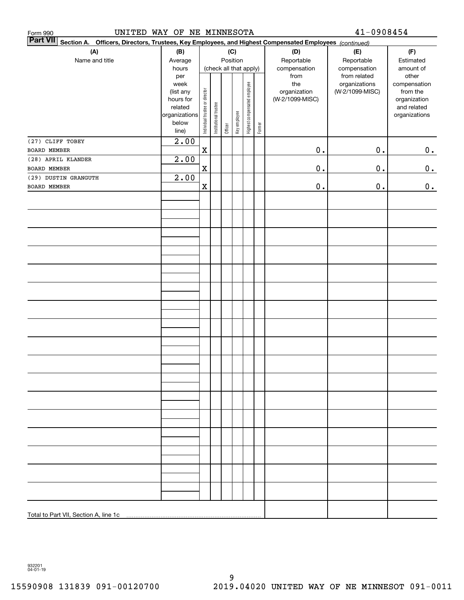| UNITED WAY OF NE MINNESOTA<br>Form 990                                                                          | 41-0908454                                                                          |                                |                       |         |                 |                              |        |                                                |                                                  |                                                                                   |
|-----------------------------------------------------------------------------------------------------------------|-------------------------------------------------------------------------------------|--------------------------------|-----------------------|---------|-----------------|------------------------------|--------|------------------------------------------------|--------------------------------------------------|-----------------------------------------------------------------------------------|
| Part VII Section A. Officers, Directors, Trustees, Key Employees, and Highest Compensated Employees (continued) |                                                                                     |                                |                       |         |                 |                              |        |                                                |                                                  |                                                                                   |
| (A)<br>Name and title                                                                                           | (B)<br>Average<br>hours                                                             |                                |                       |         | (C)<br>Position | (check all that apply)       |        | (D)<br>Reportable<br>compensation              | (E)<br>Reportable<br>compensation                | (F)<br>Estimated<br>amount of                                                     |
|                                                                                                                 | per<br>week<br>(list any<br>hours for<br>related<br>organizations<br>below<br>line) | Individual trustee or director | Institutional trustee | Officer | Key employee    | Highest compensated employee | Former | from<br>the<br>organization<br>(W-2/1099-MISC) | from related<br>organizations<br>(W-2/1099-MISC) | other<br>compensation<br>from the<br>organization<br>and related<br>organizations |
| (27) CLIFF TOBEY                                                                                                | 2.00                                                                                |                                |                       |         |                 |                              |        |                                                |                                                  |                                                                                   |
| BOARD MEMBER<br>(28) APRIL KLANDER                                                                              | 2.00                                                                                | $\mathbf X$                    |                       |         |                 |                              |        | $0$ .                                          | $\mathbf 0$ .                                    | 0.                                                                                |
| BOARD MEMBER                                                                                                    |                                                                                     | $\mathbf X$                    |                       |         |                 |                              |        | $\mathbf 0$ .                                  | $\mathbf 0$ .                                    | 0.                                                                                |
| (29) DUSTIN GRANGUTH                                                                                            | 2.00                                                                                |                                |                       |         |                 |                              |        |                                                |                                                  |                                                                                   |
| <b>BOARD MEMBER</b>                                                                                             |                                                                                     | $\mathbf X$                    |                       |         |                 |                              |        | $\mathbf 0$ .                                  | $\mathbf 0$ .                                    | 0.                                                                                |
|                                                                                                                 |                                                                                     |                                |                       |         |                 |                              |        |                                                |                                                  |                                                                                   |
|                                                                                                                 |                                                                                     |                                |                       |         |                 |                              |        |                                                |                                                  |                                                                                   |
|                                                                                                                 |                                                                                     |                                |                       |         |                 |                              |        |                                                |                                                  |                                                                                   |
|                                                                                                                 |                                                                                     |                                |                       |         |                 |                              |        |                                                |                                                  |                                                                                   |
|                                                                                                                 |                                                                                     |                                |                       |         |                 |                              |        |                                                |                                                  |                                                                                   |
|                                                                                                                 |                                                                                     |                                |                       |         |                 |                              |        |                                                |                                                  |                                                                                   |
|                                                                                                                 |                                                                                     |                                |                       |         |                 |                              |        |                                                |                                                  |                                                                                   |
|                                                                                                                 |                                                                                     |                                |                       |         |                 |                              |        |                                                |                                                  |                                                                                   |
|                                                                                                                 |                                                                                     |                                |                       |         |                 |                              |        |                                                |                                                  |                                                                                   |
|                                                                                                                 |                                                                                     |                                |                       |         |                 |                              |        |                                                |                                                  |                                                                                   |
|                                                                                                                 |                                                                                     |                                |                       |         |                 |                              |        |                                                |                                                  |                                                                                   |
|                                                                                                                 |                                                                                     |                                |                       |         |                 |                              |        |                                                |                                                  |                                                                                   |
|                                                                                                                 |                                                                                     |                                |                       |         |                 |                              |        |                                                |                                                  |                                                                                   |
|                                                                                                                 |                                                                                     |                                |                       |         |                 |                              |        |                                                |                                                  |                                                                                   |
|                                                                                                                 |                                                                                     |                                |                       |         |                 |                              |        |                                                |                                                  |                                                                                   |
|                                                                                                                 |                                                                                     |                                |                       |         |                 |                              |        |                                                |                                                  |                                                                                   |
| Total to Part VII, Section A, line 1c                                                                           |                                                                                     |                                |                       |         |                 |                              |        |                                                |                                                  |                                                                                   |

932201 04-01-19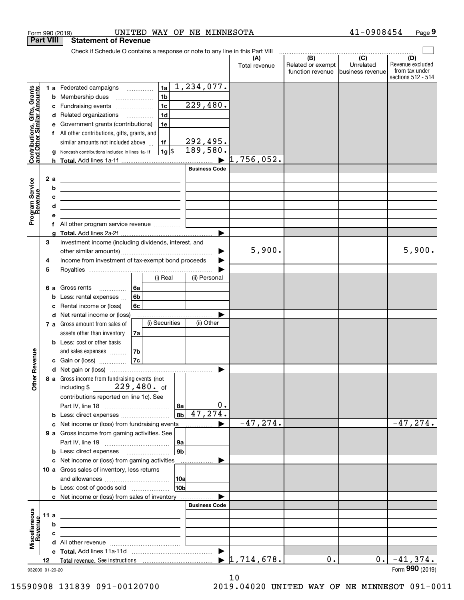|                                                           |                  | UNITED WAY OF NE MINNESOTA<br>Form 990 (2019)                                                                                                                                                                                               |                                  |                                                                                               | 41-0908454                    | Page 9                                                          |
|-----------------------------------------------------------|------------------|---------------------------------------------------------------------------------------------------------------------------------------------------------------------------------------------------------------------------------------------|----------------------------------|-----------------------------------------------------------------------------------------------|-------------------------------|-----------------------------------------------------------------|
|                                                           | <b>Part VIII</b> | <b>Statement of Revenue</b>                                                                                                                                                                                                                 |                                  |                                                                                               |                               |                                                                 |
|                                                           |                  | Check if Schedule O contains a response or note to any line in this Part VIII                                                                                                                                                               |                                  | $\begin{array}{c c c c c c} \hline \text{ } & \text{(B)} & \text{(C)} & \text{ } \end{array}$ |                               |                                                                 |
|                                                           |                  |                                                                                                                                                                                                                                             | (A)<br>Total revenue             | Related or exempt<br>function revenue                                                         | Unrelated<br>business revenue | (D)<br>Revenue excluded<br>from tax under<br>sections 512 - 514 |
|                                                           |                  | $\overline{1,234,077}$ .<br>1a<br>1 a Federated campaigns                                                                                                                                                                                   |                                  |                                                                                               |                               |                                                                 |
| Contributions, Gifts, Grants<br>and Other Similar Amounts |                  | 1 <sub>b</sub><br>Membership dues<br>b<br>$\ldots \ldots \ldots \ldots \ldots$                                                                                                                                                              |                                  |                                                                                               |                               |                                                                 |
|                                                           |                  | 229,480.<br>1 <sub>c</sub><br>Fundraising events<br>c                                                                                                                                                                                       |                                  |                                                                                               |                               |                                                                 |
|                                                           |                  | 1 <sub>d</sub><br>d Related organizations                                                                                                                                                                                                   |                                  |                                                                                               |                               |                                                                 |
|                                                           |                  | Government grants (contributions)<br>1e<br>е                                                                                                                                                                                                |                                  |                                                                                               |                               |                                                                 |
|                                                           |                  | f All other contributions, gifts, grants, and                                                                                                                                                                                               |                                  |                                                                                               |                               |                                                                 |
|                                                           |                  | 292,495.<br>similar amounts not included above<br>1f                                                                                                                                                                                        |                                  |                                                                                               |                               |                                                                 |
|                                                           |                  | 189,580.<br>$1g$ \$<br>Noncash contributions included in lines 1a-1f<br>g                                                                                                                                                                   |                                  |                                                                                               |                               |                                                                 |
|                                                           |                  | h.                                                                                                                                                                                                                                          | $1,756,052$ .                    |                                                                                               |                               |                                                                 |
|                                                           |                  | <b>Business Code</b>                                                                                                                                                                                                                        |                                  |                                                                                               |                               |                                                                 |
|                                                           |                  | 2 a<br><u>and the state of the state of the state of the state of the state of the state of the state of the state of the state of the state of the state of the state of the state of the state of the state of the state of the state</u> |                                  |                                                                                               |                               |                                                                 |
|                                                           |                  | b<br><u> 1989 - Johann Stoff, fransk politik (d. 1989)</u>                                                                                                                                                                                  |                                  |                                                                                               |                               |                                                                 |
| Program Service<br>Revenue                                |                  | с<br><u> 1989 - John Harry Harry Harry Harry Harry Harry Harry Harry Harry Harry Harry Harry Harry Harry Harry Harry H</u>                                                                                                                  |                                  |                                                                                               |                               |                                                                 |
|                                                           |                  | d<br><u> 1989 - Johann Barn, mars ann an t-Amhain an t-Amhain an t-Amhain an t-Amhain an t-Amhain an t-Amhain an t-Amh</u>                                                                                                                  |                                  |                                                                                               |                               |                                                                 |
|                                                           |                  | е                                                                                                                                                                                                                                           |                                  |                                                                                               |                               |                                                                 |
|                                                           |                  | f All other program service revenue                                                                                                                                                                                                         |                                  |                                                                                               |                               |                                                                 |
|                                                           |                  | a                                                                                                                                                                                                                                           |                                  |                                                                                               |                               |                                                                 |
|                                                           | 3                | Investment income (including dividends, interest, and                                                                                                                                                                                       |                                  |                                                                                               |                               |                                                                 |
|                                                           |                  |                                                                                                                                                                                                                                             | 5,900.                           |                                                                                               |                               | 5,900.                                                          |
|                                                           | 4                | Income from investment of tax-exempt bond proceeds                                                                                                                                                                                          |                                  |                                                                                               |                               |                                                                 |
|                                                           | 5                |                                                                                                                                                                                                                                             |                                  |                                                                                               |                               |                                                                 |
|                                                           |                  | (i) Real<br>(ii) Personal                                                                                                                                                                                                                   |                                  |                                                                                               |                               |                                                                 |
|                                                           |                  | 6а<br>6 a Gross rents                                                                                                                                                                                                                       |                                  |                                                                                               |                               |                                                                 |
|                                                           |                  | 6b<br>Less: rental expenses<br>b                                                                                                                                                                                                            |                                  |                                                                                               |                               |                                                                 |
|                                                           |                  | Rental income or (loss)<br>6c<br>c                                                                                                                                                                                                          |                                  |                                                                                               |                               |                                                                 |
|                                                           |                  | d Net rental income or (loss)<br>(i) Securities<br>(ii) Other                                                                                                                                                                               |                                  |                                                                                               |                               |                                                                 |
|                                                           |                  | 7 a Gross amount from sales of                                                                                                                                                                                                              |                                  |                                                                                               |                               |                                                                 |
|                                                           |                  | assets other than inventory<br>7a<br><b>b</b> Less: cost or other basis                                                                                                                                                                     |                                  |                                                                                               |                               |                                                                 |
|                                                           |                  | 7b                                                                                                                                                                                                                                          |                                  |                                                                                               |                               |                                                                 |
| evenue                                                    |                  | and sales expenses <b>contained</b><br>7c                                                                                                                                                                                                   |                                  |                                                                                               |                               |                                                                 |
|                                                           |                  | c Gain or (loss)                                                                                                                                                                                                                            |                                  |                                                                                               |                               |                                                                 |
| Œ                                                         |                  | 8 a Gross income from fundraising events (not                                                                                                                                                                                               |                                  |                                                                                               |                               |                                                                 |
| Other                                                     |                  | including \$229, 480. of                                                                                                                                                                                                                    |                                  |                                                                                               |                               |                                                                 |
|                                                           |                  | contributions reported on line 1c). See                                                                                                                                                                                                     |                                  |                                                                                               |                               |                                                                 |
|                                                           |                  | 0.<br> 8a                                                                                                                                                                                                                                   |                                  |                                                                                               |                               |                                                                 |
|                                                           |                  | $8b \mid 47, 274.$<br><b>b</b> Less: direct expenses <i></i>                                                                                                                                                                                |                                  |                                                                                               |                               |                                                                 |
|                                                           |                  | c Net income or (loss) from fundraising events                                                                                                                                                                                              | $-47, 274.$                      |                                                                                               |                               | $-47, 274.$                                                     |
|                                                           |                  | 9 a Gross income from gaming activities. See                                                                                                                                                                                                |                                  |                                                                                               |                               |                                                                 |
|                                                           |                  | 9a                                                                                                                                                                                                                                          |                                  |                                                                                               |                               |                                                                 |
|                                                           |                  | 9b                                                                                                                                                                                                                                          |                                  |                                                                                               |                               |                                                                 |
|                                                           |                  | c Net income or (loss) from gaming activities<br>.                                                                                                                                                                                          |                                  |                                                                                               |                               |                                                                 |
|                                                           |                  | 10 a Gross sales of inventory, less returns                                                                                                                                                                                                 |                                  |                                                                                               |                               |                                                                 |
|                                                           |                  | 10a                                                                                                                                                                                                                                         |                                  |                                                                                               |                               |                                                                 |
|                                                           |                  | 10b<br><b>b</b> Less: cost of goods sold                                                                                                                                                                                                    |                                  |                                                                                               |                               |                                                                 |
|                                                           |                  | c Net income or (loss) from sales of inventory                                                                                                                                                                                              |                                  |                                                                                               |                               |                                                                 |
|                                                           |                  | <b>Business Code</b>                                                                                                                                                                                                                        |                                  |                                                                                               |                               |                                                                 |
|                                                           | 11 a             | <u> 1989 - Johann Barn, mars and de Brasilian (b. 1989)</u>                                                                                                                                                                                 |                                  |                                                                                               |                               |                                                                 |
| Revenue                                                   |                  | b<br>the contract of the contract of the contract of the contract of the contract of                                                                                                                                                        |                                  |                                                                                               |                               |                                                                 |
|                                                           |                  | с<br>the control of the control of the control of the control of the control of                                                                                                                                                             |                                  |                                                                                               |                               |                                                                 |
| Miscellaneous                                             |                  |                                                                                                                                                                                                                                             |                                  |                                                                                               |                               |                                                                 |
|                                                           |                  | $\blacktriangleright$                                                                                                                                                                                                                       |                                  |                                                                                               |                               |                                                                 |
|                                                           | 12               |                                                                                                                                                                                                                                             | $\blacktriangleright$ 1,714,678. | 0.                                                                                            | $0$ .                         | $-41,374.$                                                      |
|                                                           |                  | 932009 01-20-20                                                                                                                                                                                                                             |                                  |                                                                                               |                               | Form 990 (2019)                                                 |

932009 01-20-20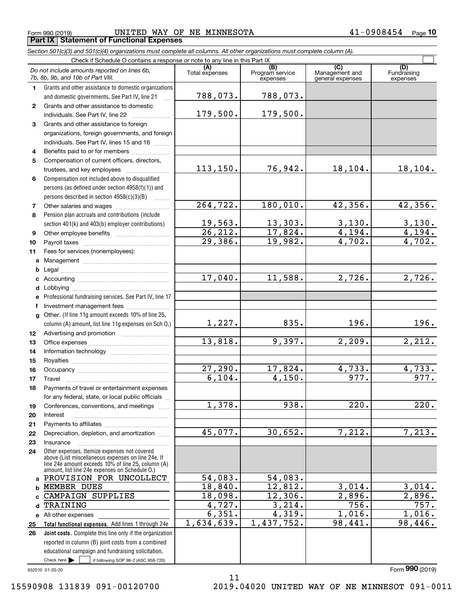$_{\rm Form}$   $_{990}$  (2019) <code>UNITED</code> WAY OF NE MINNESOTA  $41-0908454$   $_{\rm Page}$ **Part IX Statement of Functional Expenses**

*Section 501(c)(3) and 501(c)(4) organizations must complete all columns. All other organizations must complete column (A).*

|              | Do not include amounts reported on lines 6b,<br>7b, 8b, 9b, and 10b of Part VIII.                  | (A)<br>Total expenses | (B)<br>Program service<br>expenses | $\overline{C}$<br>Management and<br>general expenses | (D)<br>Fundraising<br>expenses |  |  |  |  |
|--------------|----------------------------------------------------------------------------------------------------|-----------------------|------------------------------------|------------------------------------------------------|--------------------------------|--|--|--|--|
| 1            | Grants and other assistance to domestic organizations                                              |                       |                                    |                                                      |                                |  |  |  |  |
|              | and domestic governments. See Part IV, line 21                                                     | 788,073.              | 788,073.                           |                                                      |                                |  |  |  |  |
| 2            | Grants and other assistance to domestic                                                            |                       |                                    |                                                      |                                |  |  |  |  |
|              | individuals. See Part IV, line 22                                                                  | 179,500.              | 179,500.                           |                                                      |                                |  |  |  |  |
| 3            | Grants and other assistance to foreign                                                             |                       |                                    |                                                      |                                |  |  |  |  |
|              | organizations, foreign governments, and foreign                                                    |                       |                                    |                                                      |                                |  |  |  |  |
|              | individuals. See Part IV, lines 15 and 16                                                          |                       |                                    |                                                      |                                |  |  |  |  |
| 4            | Benefits paid to or for members                                                                    |                       |                                    |                                                      |                                |  |  |  |  |
| 5            | Compensation of current officers, directors,                                                       |                       |                                    |                                                      |                                |  |  |  |  |
|              | trustees, and key employees                                                                        | 113, 150.             | 76,942.                            | 18,104.                                              | 18, 104.                       |  |  |  |  |
| 6            | Compensation not included above to disqualified                                                    |                       |                                    |                                                      |                                |  |  |  |  |
|              | persons (as defined under section 4958(f)(1)) and                                                  |                       |                                    |                                                      |                                |  |  |  |  |
|              | persons described in section 4958(c)(3)(B)                                                         |                       |                                    |                                                      |                                |  |  |  |  |
| 7            |                                                                                                    | 264, 722.             | 180,010.                           | 42,356.                                              | 42,356.                        |  |  |  |  |
| 8            | Pension plan accruals and contributions (include                                                   |                       |                                    |                                                      |                                |  |  |  |  |
|              | section 401(k) and 403(b) employer contributions)                                                  | 19,563.               | 13,303.                            | 3,130.                                               | 3,130.                         |  |  |  |  |
| 9            |                                                                                                    | $\overline{26,212.}$  | 17,824.                            | $\overline{4,194.}$                                  | 4,194.                         |  |  |  |  |
| 10           |                                                                                                    | $\overline{29,386}$ . | 19,982.                            | 4,702.                                               | 4,702.                         |  |  |  |  |
| 11           | Fees for services (nonemployees):                                                                  |                       |                                    |                                                      |                                |  |  |  |  |
| a            |                                                                                                    |                       |                                    |                                                      |                                |  |  |  |  |
| b            |                                                                                                    |                       |                                    | 2,726.                                               |                                |  |  |  |  |
| c            |                                                                                                    | 17,040.               | 11,588.                            |                                                      | $\overline{2,726}$ .           |  |  |  |  |
| d            |                                                                                                    |                       |                                    |                                                      |                                |  |  |  |  |
| е            | Professional fundraising services. See Part IV, line 17                                            |                       |                                    |                                                      |                                |  |  |  |  |
| f            | Investment management fees                                                                         |                       |                                    |                                                      |                                |  |  |  |  |
| $\mathbf{q}$ | Other. (If line 11g amount exceeds 10% of line 25,                                                 | 1,227.                | 835.                               | 196.                                                 | 196.                           |  |  |  |  |
|              | column (A) amount, list line 11g expenses on Sch O.)                                               |                       |                                    |                                                      |                                |  |  |  |  |
| 12           |                                                                                                    | 13,818.               | 9,397.                             | 2,209.                                               | 2,212.                         |  |  |  |  |
| 13<br>14     |                                                                                                    |                       |                                    |                                                      |                                |  |  |  |  |
| 15           |                                                                                                    |                       |                                    |                                                      |                                |  |  |  |  |
| 16           |                                                                                                    | 27,290.               | 17,824.                            | 4,733.                                               | 4,733.                         |  |  |  |  |
| 17           | Travel                                                                                             | 6,104.                | 4,150.                             | 977.                                                 | 977.                           |  |  |  |  |
| 18           | Payments of travel or entertainment expenses                                                       |                       |                                    |                                                      |                                |  |  |  |  |
|              | for any federal, state, or local public officials                                                  |                       |                                    |                                                      |                                |  |  |  |  |
| 19           | Conferences, conventions, and meetings                                                             | $\overline{1,378}$ .  | 938.                               | 220.                                                 | 220.                           |  |  |  |  |
| 20           | Interest                                                                                           |                       |                                    |                                                      |                                |  |  |  |  |
| 21           |                                                                                                    |                       |                                    |                                                      |                                |  |  |  |  |
| 22           | Depreciation, depletion, and amortization                                                          | 45,077.               | 30,652.                            | 7,212.                                               | 7,213.                         |  |  |  |  |
| 23           | Insurance                                                                                          |                       |                                    |                                                      |                                |  |  |  |  |
| 24           | Other expenses. Itemize expenses not covered<br>above (List miscellaneous expenses on line 24e. If |                       |                                    |                                                      |                                |  |  |  |  |
|              | line 24e amount exceeds 10% of line 25, column (A)                                                 |                       |                                    |                                                      |                                |  |  |  |  |
|              | amount, list line 24e expenses on Schedule O.)<br>PROVISION FOR UNCOLLECT                          | 54,083.               | 54,083.                            |                                                      |                                |  |  |  |  |
| a<br>b       | MEMBER DUES                                                                                        | 18,840.               | 12,812.                            | 3,014.                                               | 3,014.                         |  |  |  |  |
| C.           | CAMPAIGN SUPPLIES                                                                                  | 18,098.               | 12,306.                            | 2,896.                                               | 2,896.                         |  |  |  |  |
| d            | TRAINING                                                                                           | $\overline{4,727}$ .  | 3,214.                             | 756.                                                 | 757.                           |  |  |  |  |
|              | e All other expenses                                                                               | 6,351.                | 4,319.                             | 1,016.                                               | 1,016.                         |  |  |  |  |
| 25           | Total functional expenses. Add lines 1 through 24e                                                 | 1,634,639.            | 1,437,752.                         | 98,441.                                              | 98,446.                        |  |  |  |  |
| 26           | <b>Joint costs.</b> Complete this line only if the organization                                    |                       |                                    |                                                      |                                |  |  |  |  |
|              | reported in column (B) joint costs from a combined                                                 |                       |                                    |                                                      |                                |  |  |  |  |
|              | educational campaign and fundraising solicitation.                                                 |                       |                                    |                                                      |                                |  |  |  |  |
|              | Check here $\blacktriangleright$<br>if following SOP 98-2 (ASC 958-720)                            |                       |                                    |                                                      |                                |  |  |  |  |

11

932010 01-20-20

Form (2019) **990**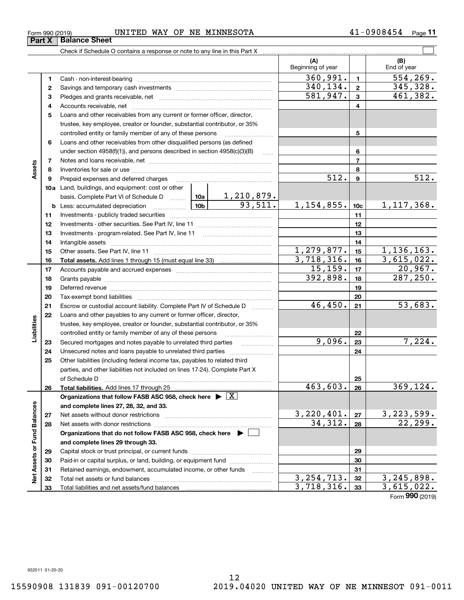|        | Form 990 (2019) | UNITED WAY OF NE MINNESOTA                                                                                     |          |                         |                          |                 | 41-0908454<br>$Page$ 11 |
|--------|-----------------|----------------------------------------------------------------------------------------------------------------|----------|-------------------------|--------------------------|-----------------|-------------------------|
|        | Part X          | <b>Balance Sheet</b>                                                                                           |          |                         |                          |                 |                         |
|        |                 |                                                                                                                |          |                         |                          |                 |                         |
|        |                 |                                                                                                                |          |                         | (A)<br>Beginning of year |                 | (B)<br>End of year      |
|        | 1               |                                                                                                                | 360,991. | $\blacksquare$          | 554, 269.                |                 |                         |
|        | 2               |                                                                                                                |          | 340, 134.               | $\overline{2}$           | 345,328.        |                         |
|        | 3               |                                                                                                                | 581,947. | $\mathbf{3}$            | 461,382.                 |                 |                         |
|        | 4               |                                                                                                                |          | 4                       |                          |                 |                         |
|        | 5               | Loans and other receivables from any current or former officer, director,                                      |          |                         |                          |                 |                         |
|        |                 | trustee, key employee, creator or founder, substantial contributor, or 35%                                     |          |                         |                          |                 |                         |
|        |                 | controlled entity or family member of any of these persons                                                     |          | 5                       |                          |                 |                         |
|        | 6               | Loans and other receivables from other disqualified persons (as defined                                        |          |                         |                          |                 |                         |
|        |                 | under section 4958(f)(1)), and persons described in section 4958(c)(3)(B)                                      |          | 6                       |                          |                 |                         |
|        | 7               |                                                                                                                |          |                         |                          | $\overline{7}$  |                         |
| Assets | 8               |                                                                                                                |          | 8                       |                          |                 |                         |
|        | 9               | Prepaid expenses and deferred charges [11] [11] [11] [12] [12] [12] [12] [13] [13] [13] [13] [13] [13] [13] [1 |          |                         | 512.                     | 9               | 512.                    |
|        | 10a             | Land, buildings, and equipment: cost or other                                                                  |          |                         |                          |                 |                         |
|        |                 | basis. Complete Part VI of Schedule D  10a                                                                     |          | 1,210,879.              |                          |                 |                         |
|        |                 |                                                                                                                |          | 93,511.                 | 1, 154, 855.             | 10 <sub>c</sub> | 1, 117, 368.            |
|        | 11              |                                                                                                                |          |                         |                          | 11              |                         |
|        | 12              |                                                                                                                |          |                         |                          | 12              |                         |
|        | 13              |                                                                                                                |          |                         | 13                       |                 |                         |
|        | 14              |                                                                                                                |          | 14                      |                          |                 |                         |
|        | 15              | Other assets. See Part IV, line 11                                                                             |          | $\overline{1,279},877.$ | 15                       | 1, 136, 163.    |                         |
|        | 16              |                                                                                                                |          |                         | 3,718,316.               | 16              | 3,615,022.              |
|        | 17              | Accounts payable and accrued expenses                                                                          |          |                         | 15, 159.                 | 17              | 20,967.                 |

|                      | 16 |                                                                                                                                                                                                                                | 3,718,316.   | 16 | 3,615,022.                   |
|----------------------|----|--------------------------------------------------------------------------------------------------------------------------------------------------------------------------------------------------------------------------------|--------------|----|------------------------------|
|                      | 17 |                                                                                                                                                                                                                                | 15, 159.     | 17 | 20,967.                      |
|                      | 18 |                                                                                                                                                                                                                                | 392,898.     | 18 | 287, 250.                    |
|                      | 19 | Deferred revenue imminimum contracts and all the contracts and all the contracts and all the contracts are contracted and all the contracts and all the contracts and all the contracts and contracts are contracted and contr |              | 19 |                              |
|                      | 20 |                                                                                                                                                                                                                                |              | 20 |                              |
|                      | 21 | Escrow or custodial account liability. Complete Part IV of Schedule D                                                                                                                                                          | 46,450.      | 21 | 53,683.                      |
|                      | 22 | Loans and other payables to any current or former officer, director,                                                                                                                                                           |              |    |                              |
| Liabilities          |    | trustee, key employee, creator or founder, substantial contributor, or 35%                                                                                                                                                     |              |    |                              |
|                      |    | controlled entity or family member of any of these persons                                                                                                                                                                     |              | 22 |                              |
|                      | 23 | Secured mortgages and notes payable to unrelated third parties                                                                                                                                                                 | 9,096.       | 23 | 7,224.                       |
|                      | 24 |                                                                                                                                                                                                                                |              | 24 |                              |
|                      | 25 | Other liabilities (including federal income tax, payables to related third                                                                                                                                                     |              |    |                              |
|                      |    | parties, and other liabilities not included on lines 17-24). Complete Part X                                                                                                                                                   |              |    |                              |
|                      |    | of Schedule D                                                                                                                                                                                                                  |              | 25 |                              |
|                      | 26 |                                                                                                                                                                                                                                | 463,603.     | 26 | 369,124.                     |
|                      |    | Organizations that follow FASB ASC 958, check here $\triangleright \lfloor X \rfloor$                                                                                                                                          |              |    |                              |
|                      |    | and complete lines 27, 28, 32, and 33.                                                                                                                                                                                         |              |    |                              |
|                      | 27 |                                                                                                                                                                                                                                | 3,220,401.   | 27 | $\frac{3,223,599.}{22,299.}$ |
|                      | 28 |                                                                                                                                                                                                                                | 34,312.      | 28 |                              |
| <b>Fund Balances</b> |    | Organizations that do not follow FASB ASC 958, check here $\blacktriangleright \begin{array}{c} \perp \end{array}$                                                                                                             |              |    |                              |
|                      |    | and complete lines 29 through 33.                                                                                                                                                                                              |              |    |                              |
|                      | 29 |                                                                                                                                                                                                                                |              | 29 |                              |
|                      | 30 | Paid-in or capital surplus, or land, building, or equipment fund                                                                                                                                                               |              | 30 |                              |
| Net Assets or        | 31 | Retained earnings, endowment, accumulated income, or other funds                                                                                                                                                               |              | 31 |                              |
|                      | 32 |                                                                                                                                                                                                                                | 3, 254, 713. | 32 | 3, 245, 898.                 |
|                      | 33 | Total liabilities and net assets/fund balances contain and intermal contained and net assets and net all all t                                                                                                                 | 3,718,316.   | 33 | 3,615,022.                   |
|                      |    |                                                                                                                                                                                                                                |              |    | Form 990 (2019)              |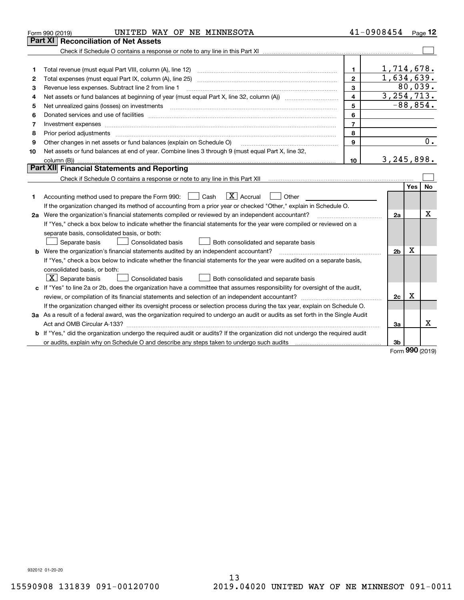|    | UNITED WAY OF NE MINNESOTA<br>Form 990 (2019)                                                                                   |                         | 41-0908454   |             | Page 12          |
|----|---------------------------------------------------------------------------------------------------------------------------------|-------------------------|--------------|-------------|------------------|
|    | Part XI<br><b>Reconciliation of Net Assets</b>                                                                                  |                         |              |             |                  |
|    |                                                                                                                                 |                         |              |             |                  |
|    |                                                                                                                                 |                         |              |             |                  |
| 1  |                                                                                                                                 | 1.                      | 1,714,678.   |             |                  |
| 2  | Total expenses (must equal Part IX, column (A), line 25)                                                                        | $\mathbf{2}$            | 1,634,639.   |             |                  |
| 3  | Revenue less expenses. Subtract line 2 from line 1                                                                              | 3                       |              |             | 80,039.          |
| 4  |                                                                                                                                 | $\overline{\mathbf{4}}$ | 3, 254, 713. |             |                  |
| 5  |                                                                                                                                 | 5                       |              |             | $-88,854.$       |
| 6  |                                                                                                                                 | 6                       |              |             |                  |
| 7  |                                                                                                                                 | $\overline{7}$          |              |             |                  |
| 8  | Prior period adjustments                                                                                                        | 8                       |              |             |                  |
| 9  | Other changes in net assets or fund balances (explain on Schedule O)                                                            | 9                       |              |             | $\overline{0}$ . |
| 10 | Net assets or fund balances at end of year. Combine lines 3 through 9 (must equal Part X, line 32,                              |                         |              |             |                  |
|    |                                                                                                                                 | 10 <sup>1</sup>         | 3, 245, 898. |             |                  |
|    | Part XII Financial Statements and Reporting                                                                                     |                         |              |             |                  |
|    |                                                                                                                                 |                         |              |             |                  |
|    |                                                                                                                                 |                         |              | Yes         | No               |
| 1  | $\boxed{\text{X}}$ Accrual<br>Accounting method used to prepare the Form 990: <u>[</u> Cash<br>Other                            |                         |              |             |                  |
|    | If the organization changed its method of accounting from a prior year or checked "Other," explain in Schedule O.               |                         |              |             |                  |
|    | 2a Were the organization's financial statements compiled or reviewed by an independent accountant?                              |                         | 2a           |             | X                |
|    | If "Yes," check a box below to indicate whether the financial statements for the year were compiled or reviewed on a            |                         |              |             |                  |
|    | separate basis, consolidated basis, or both:                                                                                    |                         |              |             |                  |
|    | Separate basis<br>Both consolidated and separate basis<br>Consolidated basis                                                    |                         |              |             |                  |
|    | <b>b</b> Were the organization's financial statements audited by an independent accountant?                                     |                         | 2b           | $\mathbf X$ |                  |
|    | If "Yes," check a box below to indicate whether the financial statements for the year were audited on a separate basis,         |                         |              |             |                  |
|    | consolidated basis, or both:                                                                                                    |                         |              |             |                  |
|    | $ \mathbf{X} $ Separate basis<br><b>Consolidated basis</b><br>Both consolidated and separate basis                              |                         |              |             |                  |
|    | c If "Yes" to line 2a or 2b, does the organization have a committee that assumes responsibility for oversight of the audit,     |                         |              |             |                  |
|    |                                                                                                                                 |                         | 2c           | Χ           |                  |
|    | If the organization changed either its oversight process or selection process during the tax year, explain on Schedule O.       |                         |              |             |                  |
|    | 3a As a result of a federal award, was the organization required to undergo an audit or audits as set forth in the Single Audit |                         |              |             |                  |
|    |                                                                                                                                 |                         | За           |             | x                |
|    | b If "Yes," did the organization undergo the required audit or audits? If the organization did not undergo the required audit   |                         |              |             |                  |
|    | or audits, explain why on Schedule O and describe any steps taken to undergo such audits manufactured content to                |                         | Зb           | nnn         |                  |
|    |                                                                                                                                 |                         |              |             |                  |

Form (2019) **990**

932012 01-20-20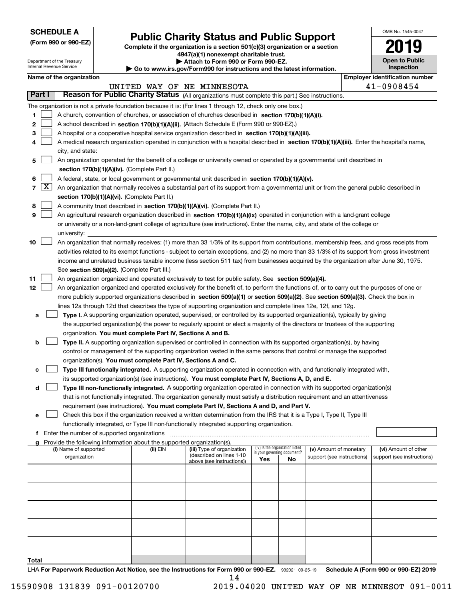| <b>SCHEDULE A</b> |
|-------------------|
|-------------------|

Department of the Treasury Internal Revenue Service

**(Form 990 or 990-EZ)**

# **Public Charity Status and Public Support**

**Complete if the organization is a section 501(c)(3) organization or a section 4947(a)(1) nonexempt charitable trust.**

**| Attach to Form 990 or Form 990-EZ.** 

**| Go to www.irs.gov/Form990 for instructions and the latest information.**

| OMB No. 1545-0047                   |
|-------------------------------------|
| HU.                                 |
| <b>Open to Public</b><br>Inspection |
|                                     |

 $\mathbf{I}$ 

| Name of the organization |  |  |  |
|--------------------------|--|--|--|
|                          |  |  |  |

|        |                                                                                                                           | Name of the organization                                                                                                                      |          |                                                       |                             |                                 |                            |  | <b>Employer identification number</b> |  |  |  |
|--------|---------------------------------------------------------------------------------------------------------------------------|-----------------------------------------------------------------------------------------------------------------------------------------------|----------|-------------------------------------------------------|-----------------------------|---------------------------------|----------------------------|--|---------------------------------------|--|--|--|
|        |                                                                                                                           |                                                                                                                                               |          | UNITED WAY OF NE MINNESOTA                            |                             |                                 |                            |  | 41-0908454                            |  |  |  |
| Part I |                                                                                                                           | Reason for Public Charity Status (All organizations must complete this part.) See instructions.                                               |          |                                                       |                             |                                 |                            |  |                                       |  |  |  |
|        |                                                                                                                           | The organization is not a private foundation because it is: (For lines 1 through 12, check only one box.)                                     |          |                                                       |                             |                                 |                            |  |                                       |  |  |  |
| 1      |                                                                                                                           | A church, convention of churches, or association of churches described in section 170(b)(1)(A)(i).                                            |          |                                                       |                             |                                 |                            |  |                                       |  |  |  |
| 2      |                                                                                                                           | A school described in section 170(b)(1)(A)(ii). (Attach Schedule E (Form 990 or 990-EZ).)                                                     |          |                                                       |                             |                                 |                            |  |                                       |  |  |  |
| 3      | A hospital or a cooperative hospital service organization described in section 170(b)(1)(A)(iii).                         |                                                                                                                                               |          |                                                       |                             |                                 |                            |  |                                       |  |  |  |
| 4      |                                                                                                                           | A medical research organization operated in conjunction with a hospital described in section 170(b)(1)(A)(iii). Enter the hospital's name,    |          |                                                       |                             |                                 |                            |  |                                       |  |  |  |
|        | city, and state:                                                                                                          |                                                                                                                                               |          |                                                       |                             |                                 |                            |  |                                       |  |  |  |
| 5      | An organization operated for the benefit of a college or university owned or operated by a governmental unit described in |                                                                                                                                               |          |                                                       |                             |                                 |                            |  |                                       |  |  |  |
|        |                                                                                                                           | section 170(b)(1)(A)(iv). (Complete Part II.)                                                                                                 |          |                                                       |                             |                                 |                            |  |                                       |  |  |  |
| 6      |                                                                                                                           | A federal, state, or local government or governmental unit described in section 170(b)(1)(A)(v).                                              |          |                                                       |                             |                                 |                            |  |                                       |  |  |  |
|        | $7 \times$                                                                                                                | An organization that normally receives a substantial part of its support from a governmental unit or from the general public described in     |          |                                                       |                             |                                 |                            |  |                                       |  |  |  |
|        |                                                                                                                           | section 170(b)(1)(A)(vi). (Complete Part II.)                                                                                                 |          |                                                       |                             |                                 |                            |  |                                       |  |  |  |
| 8      |                                                                                                                           | A community trust described in section 170(b)(1)(A)(vi). (Complete Part II.)                                                                  |          |                                                       |                             |                                 |                            |  |                                       |  |  |  |
| 9      |                                                                                                                           | An agricultural research organization described in section 170(b)(1)(A)(ix) operated in conjunction with a land-grant college                 |          |                                                       |                             |                                 |                            |  |                                       |  |  |  |
|        |                                                                                                                           | or university or a non-land-grant college of agriculture (see instructions). Enter the name, city, and state of the college or                |          |                                                       |                             |                                 |                            |  |                                       |  |  |  |
|        |                                                                                                                           | university:                                                                                                                                   |          |                                                       |                             |                                 |                            |  |                                       |  |  |  |
| 10     |                                                                                                                           | An organization that normally receives: (1) more than 33 1/3% of its support from contributions, membership fees, and gross receipts from     |          |                                                       |                             |                                 |                            |  |                                       |  |  |  |
|        |                                                                                                                           | activities related to its exempt functions - subject to certain exceptions, and (2) no more than 33 1/3% of its support from gross investment |          |                                                       |                             |                                 |                            |  |                                       |  |  |  |
|        |                                                                                                                           | income and unrelated business taxable income (less section 511 tax) from businesses acquired by the organization after June 30, 1975.         |          |                                                       |                             |                                 |                            |  |                                       |  |  |  |
|        |                                                                                                                           | See section 509(a)(2). (Complete Part III.)                                                                                                   |          |                                                       |                             |                                 |                            |  |                                       |  |  |  |
| 11     |                                                                                                                           | An organization organized and operated exclusively to test for public safety. See section 509(a)(4).                                          |          |                                                       |                             |                                 |                            |  |                                       |  |  |  |
| 12     |                                                                                                                           | An organization organized and operated exclusively for the benefit of, to perform the functions of, or to carry out the purposes of one or    |          |                                                       |                             |                                 |                            |  |                                       |  |  |  |
|        |                                                                                                                           | more publicly supported organizations described in section 509(a)(1) or section 509(a)(2). See section 509(a)(3). Check the box in            |          |                                                       |                             |                                 |                            |  |                                       |  |  |  |
|        |                                                                                                                           | lines 12a through 12d that describes the type of supporting organization and complete lines 12e, 12f, and 12g.                                |          |                                                       |                             |                                 |                            |  |                                       |  |  |  |
| а      |                                                                                                                           | Type I. A supporting organization operated, supervised, or controlled by its supported organization(s), typically by giving                   |          |                                                       |                             |                                 |                            |  |                                       |  |  |  |
|        |                                                                                                                           | the supported organization(s) the power to regularly appoint or elect a majority of the directors or trustees of the supporting               |          |                                                       |                             |                                 |                            |  |                                       |  |  |  |
|        |                                                                                                                           | organization. You must complete Part IV, Sections A and B.                                                                                    |          |                                                       |                             |                                 |                            |  |                                       |  |  |  |
| b      |                                                                                                                           | Type II. A supporting organization supervised or controlled in connection with its supported organization(s), by having                       |          |                                                       |                             |                                 |                            |  |                                       |  |  |  |
|        |                                                                                                                           | control or management of the supporting organization vested in the same persons that control or manage the supported                          |          |                                                       |                             |                                 |                            |  |                                       |  |  |  |
|        |                                                                                                                           | organization(s). You must complete Part IV, Sections A and C.                                                                                 |          |                                                       |                             |                                 |                            |  |                                       |  |  |  |
| с      |                                                                                                                           | Type III functionally integrated. A supporting organization operated in connection with, and functionally integrated with,                    |          |                                                       |                             |                                 |                            |  |                                       |  |  |  |
|        |                                                                                                                           | its supported organization(s) (see instructions). You must complete Part IV, Sections A, D, and E.                                            |          |                                                       |                             |                                 |                            |  |                                       |  |  |  |
| d      |                                                                                                                           | Type III non-functionally integrated. A supporting organization operated in connection with its supported organization(s)                     |          |                                                       |                             |                                 |                            |  |                                       |  |  |  |
|        |                                                                                                                           | that is not functionally integrated. The organization generally must satisfy a distribution requirement and an attentiveness                  |          |                                                       |                             |                                 |                            |  |                                       |  |  |  |
|        |                                                                                                                           | requirement (see instructions). You must complete Part IV, Sections A and D, and Part V.                                                      |          |                                                       |                             |                                 |                            |  |                                       |  |  |  |
|        |                                                                                                                           | Check this box if the organization received a written determination from the IRS that it is a Type I, Type II, Type III                       |          |                                                       |                             |                                 |                            |  |                                       |  |  |  |
|        |                                                                                                                           | functionally integrated, or Type III non-functionally integrated supporting organization.                                                     |          |                                                       |                             |                                 |                            |  |                                       |  |  |  |
|        |                                                                                                                           | f Enter the number of supported organizations                                                                                                 |          |                                                       |                             |                                 |                            |  |                                       |  |  |  |
|        |                                                                                                                           | g Provide the following information about the supported organization(s).                                                                      |          |                                                       |                             |                                 |                            |  |                                       |  |  |  |
|        |                                                                                                                           | (i) Name of supported                                                                                                                         | (ii) EIN | (iii) Type of organization                            | in your governing document? | (iv) Is the organization listed | (v) Amount of monetary     |  | (vi) Amount of other                  |  |  |  |
|        |                                                                                                                           | organization                                                                                                                                  |          | (described on lines 1-10<br>above (see instructions)) | Yes                         | No                              | support (see instructions) |  | support (see instructions)            |  |  |  |
|        |                                                                                                                           |                                                                                                                                               |          |                                                       |                             |                                 |                            |  |                                       |  |  |  |
|        |                                                                                                                           |                                                                                                                                               |          |                                                       |                             |                                 |                            |  |                                       |  |  |  |
|        |                                                                                                                           |                                                                                                                                               |          |                                                       |                             |                                 |                            |  |                                       |  |  |  |
|        |                                                                                                                           |                                                                                                                                               |          |                                                       |                             |                                 |                            |  |                                       |  |  |  |
|        |                                                                                                                           |                                                                                                                                               |          |                                                       |                             |                                 |                            |  |                                       |  |  |  |
|        |                                                                                                                           |                                                                                                                                               |          |                                                       |                             |                                 |                            |  |                                       |  |  |  |
|        |                                                                                                                           |                                                                                                                                               |          |                                                       |                             |                                 |                            |  |                                       |  |  |  |
|        |                                                                                                                           |                                                                                                                                               |          |                                                       |                             |                                 |                            |  |                                       |  |  |  |
|        |                                                                                                                           |                                                                                                                                               |          |                                                       |                             |                                 |                            |  |                                       |  |  |  |
|        |                                                                                                                           |                                                                                                                                               |          |                                                       |                             |                                 |                            |  |                                       |  |  |  |
| Total  |                                                                                                                           |                                                                                                                                               |          |                                                       |                             |                                 |                            |  |                                       |  |  |  |

LHA For Paperwork Reduction Act Notice, see the Instructions for Form 990 or 990-EZ. 932021 09-25-19 Schedule A (Form 990 or 990-EZ) 2019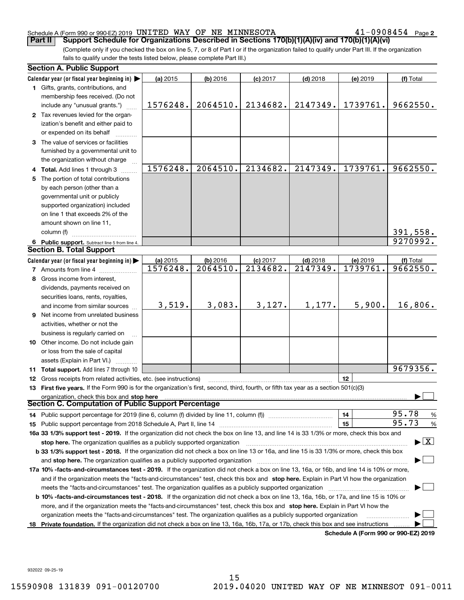## Schedule A (Form 990 or 990-EZ) 2019 <code>UNITED WAY OF NE MINNESOTA</code>  $41\text{--}0908454$  <code>Page</code>

(Complete only if you checked the box on line 5, 7, or 8 of Part I or if the organization failed to qualify under Part III. If the organization **Part II Support Schedule for Organizations Described in Sections 170(b)(1)(A)(iv) and 170(b)(1)(A)(vi)**

fails to qualify under the tests listed below, please complete Part III.)

|   | <b>Section A. Public Support</b>                                                                                                                                                                                                                                                                          |          |            |            |            |                                      |                                          |
|---|-----------------------------------------------------------------------------------------------------------------------------------------------------------------------------------------------------------------------------------------------------------------------------------------------------------|----------|------------|------------|------------|--------------------------------------|------------------------------------------|
|   | Calendar year (or fiscal year beginning in) $\blacktriangleright$                                                                                                                                                                                                                                         | (a) 2015 | $(b)$ 2016 | $(c)$ 2017 | $(d)$ 2018 | (e) 2019                             | (f) Total                                |
|   | 1 Gifts, grants, contributions, and                                                                                                                                                                                                                                                                       |          |            |            |            |                                      |                                          |
|   | membership fees received. (Do not                                                                                                                                                                                                                                                                         |          |            |            |            |                                      |                                          |
|   | include any "unusual grants.")                                                                                                                                                                                                                                                                            | 1576248. | 2064510.   | 2134682.   | 2147349.   | 1739761.                             | 9662550.                                 |
|   | 2 Tax revenues levied for the organ-                                                                                                                                                                                                                                                                      |          |            |            |            |                                      |                                          |
|   | ization's benefit and either paid to                                                                                                                                                                                                                                                                      |          |            |            |            |                                      |                                          |
|   | or expended on its behalf                                                                                                                                                                                                                                                                                 |          |            |            |            |                                      |                                          |
|   | 3 The value of services or facilities                                                                                                                                                                                                                                                                     |          |            |            |            |                                      |                                          |
|   | furnished by a governmental unit to                                                                                                                                                                                                                                                                       |          |            |            |            |                                      |                                          |
|   | the organization without charge                                                                                                                                                                                                                                                                           |          |            |            |            |                                      |                                          |
|   | 4 Total. Add lines 1 through 3                                                                                                                                                                                                                                                                            | 1576248. | 2064510.   | 2134682.   | 2147349.   | 1739761.                             | 9662550.                                 |
| 5 | The portion of total contributions                                                                                                                                                                                                                                                                        |          |            |            |            |                                      |                                          |
|   | by each person (other than a                                                                                                                                                                                                                                                                              |          |            |            |            |                                      |                                          |
|   | governmental unit or publicly                                                                                                                                                                                                                                                                             |          |            |            |            |                                      |                                          |
|   | supported organization) included                                                                                                                                                                                                                                                                          |          |            |            |            |                                      |                                          |
|   | on line 1 that exceeds 2% of the                                                                                                                                                                                                                                                                          |          |            |            |            |                                      |                                          |
|   | amount shown on line 11,                                                                                                                                                                                                                                                                                  |          |            |            |            |                                      |                                          |
|   | column (f)                                                                                                                                                                                                                                                                                                |          |            |            |            |                                      | 391,558.                                 |
|   | 6 Public support. Subtract line 5 from line 4.                                                                                                                                                                                                                                                            |          |            |            |            |                                      | 9270992.                                 |
|   | <b>Section B. Total Support</b>                                                                                                                                                                                                                                                                           |          |            |            |            |                                      |                                          |
|   | Calendar year (or fiscal year beginning in)                                                                                                                                                                                                                                                               | (a) 2015 | $(b)$ 2016 | $(c)$ 2017 | $(d)$ 2018 | (e) 2019                             | (f) Total                                |
|   | <b>7</b> Amounts from line 4                                                                                                                                                                                                                                                                              | 1576248. | 2064510.   | 2134682.   | 2147349.   | 1739761.                             | 9662550.                                 |
| 8 | Gross income from interest,                                                                                                                                                                                                                                                                               |          |            |            |            |                                      |                                          |
|   | dividends, payments received on                                                                                                                                                                                                                                                                           |          |            |            |            |                                      |                                          |
|   | securities loans, rents, royalties,                                                                                                                                                                                                                                                                       |          |            |            |            |                                      |                                          |
|   | and income from similar sources                                                                                                                                                                                                                                                                           | 3,519.   | 3,083.     | 3,127.     | 1,177.     | 5,900.                               | 16,806.                                  |
|   | 9 Net income from unrelated business                                                                                                                                                                                                                                                                      |          |            |            |            |                                      |                                          |
|   | activities, whether or not the                                                                                                                                                                                                                                                                            |          |            |            |            |                                      |                                          |
|   | business is regularly carried on                                                                                                                                                                                                                                                                          |          |            |            |            |                                      |                                          |
|   | 10 Other income. Do not include gain                                                                                                                                                                                                                                                                      |          |            |            |            |                                      |                                          |
|   | or loss from the sale of capital                                                                                                                                                                                                                                                                          |          |            |            |            |                                      |                                          |
|   | assets (Explain in Part VI.)                                                                                                                                                                                                                                                                              |          |            |            |            |                                      |                                          |
|   | 11 Total support. Add lines 7 through 10                                                                                                                                                                                                                                                                  |          |            |            |            |                                      | 9679356.                                 |
|   | 12 Gross receipts from related activities, etc. (see instructions)                                                                                                                                                                                                                                        |          |            |            |            | 12                                   |                                          |
|   | 13 First five years. If the Form 990 is for the organization's first, second, third, fourth, or fifth tax year as a section 501(c)(3)                                                                                                                                                                     |          |            |            |            |                                      |                                          |
|   |                                                                                                                                                                                                                                                                                                           |          |            |            |            |                                      |                                          |
|   | organization, check this box and stop here<br>Section C. Computation of Public Support Percentage                                                                                                                                                                                                         |          |            |            |            |                                      |                                          |
|   | 14 Public support percentage for 2019 (line 6, column (f) divided by line 11, column (f) <i>mummumumum</i>                                                                                                                                                                                                |          |            |            |            | 14                                   | 95.78<br>$\frac{9}{6}$                   |
|   |                                                                                                                                                                                                                                                                                                           |          |            |            |            | 15                                   | 95.73<br>$\frac{9}{6}$                   |
|   | 16a 33 1/3% support test - 2019. If the organization did not check the box on line 13, and line 14 is 33 1/3% or more, check this box and                                                                                                                                                                 |          |            |            |            |                                      |                                          |
|   | stop here. The organization qualifies as a publicly supported organization                                                                                                                                                                                                                                |          |            |            |            |                                      | $\blacktriangleright$ $\boxed{\text{X}}$ |
|   | b 33 1/3% support test - 2018. If the organization did not check a box on line 13 or 16a, and line 15 is 33 1/3% or more, check this box                                                                                                                                                                  |          |            |            |            |                                      |                                          |
|   |                                                                                                                                                                                                                                                                                                           |          |            |            |            |                                      |                                          |
|   | and stop here. The organization qualifies as a publicly supported organization material content and stop here. The organization distribution and stop here.<br>17a 10% -facts-and-circumstances test - 2019. If the organization did not check a box on line 13, 16a, or 16b, and line 14 is 10% or more, |          |            |            |            |                                      |                                          |
|   |                                                                                                                                                                                                                                                                                                           |          |            |            |            |                                      |                                          |
|   | and if the organization meets the "facts-and-circumstances" test, check this box and stop here. Explain in Part VI how the organization                                                                                                                                                                   |          |            |            |            |                                      |                                          |
|   | meets the "facts-and-circumstances" test. The organization qualifies as a publicly supported organization manument                                                                                                                                                                                        |          |            |            |            |                                      |                                          |
|   | <b>b 10% -facts-and-circumstances test - 2018.</b> If the organization did not check a box on line 13, 16a, 16b, or 17a, and line 15 is 10% or                                                                                                                                                            |          |            |            |            |                                      |                                          |
|   | more, and if the organization meets the "facts-and-circumstances" test, check this box and stop here. Explain in Part VI how the                                                                                                                                                                          |          |            |            |            |                                      |                                          |
|   | organization meets the "facts-and-circumstances" test. The organization qualifies as a publicly supported organization                                                                                                                                                                                    |          |            |            |            |                                      |                                          |
|   | 18 Private foundation. If the organization did not check a box on line 13, 16a, 16b, 17a, or 17b, check this box and see instructions                                                                                                                                                                     |          |            |            |            | Schedule A (Form 990 or 990-F7) 2019 |                                          |

**Schedule A (Form 990 or 990-EZ) 2019**

932022 09-25-19

 $41 - 0908454$  Page 2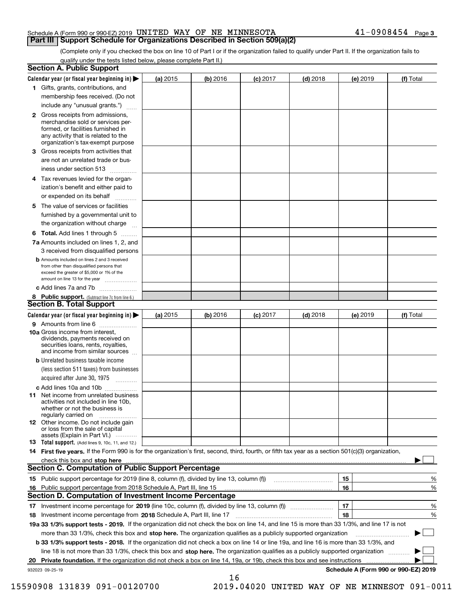| Schedule A (Form 990 or 990-EZ) 2019 $\,$ UNITED $\,$ WAY $\,$ OF $\,$ NE $\,$ MINNESOTA $\,$ |  |  | $41 - 0908454$ Page 3 |  |
|-----------------------------------------------------------------------------------------------|--|--|-----------------------|--|
| Part III   Support Schedule for Organizations Described in Section 509(a)(2)                  |  |  |                       |  |

(Complete only if you checked the box on line 10 of Part I or if the organization failed to qualify under Part II. If the organization fails to qualify under the tests listed below, please complete Part II.)

|    | <b>Section A. Public Support</b>                                                                                                                                                         |          |            |            |            |          |                                      |
|----|------------------------------------------------------------------------------------------------------------------------------------------------------------------------------------------|----------|------------|------------|------------|----------|--------------------------------------|
|    | Calendar year (or fiscal year beginning in) $\blacktriangleright$                                                                                                                        | (a) 2015 | $(b)$ 2016 | $(c)$ 2017 | $(d)$ 2018 | (e) 2019 | (f) Total                            |
|    | 1 Gifts, grants, contributions, and                                                                                                                                                      |          |            |            |            |          |                                      |
|    | membership fees received. (Do not                                                                                                                                                        |          |            |            |            |          |                                      |
|    | include any "unusual grants.")                                                                                                                                                           |          |            |            |            |          |                                      |
|    | 2 Gross receipts from admissions,<br>merchandise sold or services per-<br>formed, or facilities furnished in<br>any activity that is related to the<br>organization's tax-exempt purpose |          |            |            |            |          |                                      |
|    | 3 Gross receipts from activities that<br>are not an unrelated trade or bus-                                                                                                              |          |            |            |            |          |                                      |
|    | iness under section 513                                                                                                                                                                  |          |            |            |            |          |                                      |
|    | 4 Tax revenues levied for the organ-                                                                                                                                                     |          |            |            |            |          |                                      |
|    | ization's benefit and either paid to<br>or expended on its behalf<br>.                                                                                                                   |          |            |            |            |          |                                      |
|    | 5 The value of services or facilities                                                                                                                                                    |          |            |            |            |          |                                      |
|    | furnished by a governmental unit to                                                                                                                                                      |          |            |            |            |          |                                      |
|    | the organization without charge                                                                                                                                                          |          |            |            |            |          |                                      |
|    | <b>6 Total.</b> Add lines 1 through 5                                                                                                                                                    |          |            |            |            |          |                                      |
|    | 7a Amounts included on lines 1, 2, and<br>3 received from disqualified persons                                                                                                           |          |            |            |            |          |                                      |
|    | <b>b</b> Amounts included on lines 2 and 3 received<br>from other than disqualified persons that<br>exceed the greater of \$5,000 or 1% of the<br>amount on line 13 for the year         |          |            |            |            |          |                                      |
|    | c Add lines 7a and 7b                                                                                                                                                                    |          |            |            |            |          |                                      |
|    | 8 Public support. (Subtract line 7c from line 6.)                                                                                                                                        |          |            |            |            |          |                                      |
|    | <b>Section B. Total Support</b>                                                                                                                                                          |          |            |            |            |          |                                      |
|    | Calendar year (or fiscal year beginning in) $\blacktriangleright$                                                                                                                        | (a) 2015 | (b) 2016   | $(c)$ 2017 | $(d)$ 2018 | (e) 2019 | (f) Total                            |
|    | 9 Amounts from line 6                                                                                                                                                                    |          |            |            |            |          |                                      |
|    | 10a Gross income from interest,<br>dividends, payments received on<br>securities loans, rents, royalties,<br>and income from similar sources                                             |          |            |            |            |          |                                      |
|    | <b>b</b> Unrelated business taxable income<br>(less section 511 taxes) from businesses                                                                                                   |          |            |            |            |          |                                      |
|    | acquired after June 30, 1975                                                                                                                                                             |          |            |            |            |          |                                      |
|    | c Add lines 10a and 10b<br>11 Net income from unrelated business<br>activities not included in line 10b,<br>whether or not the business is<br>regularly carried on                       |          |            |            |            |          |                                      |
|    | 12 Other income. Do not include gain<br>or loss from the sale of capital<br>assets (Explain in Part VI.)                                                                                 |          |            |            |            |          |                                      |
|    | <b>13</b> Total support. (Add lines 9, 10c, 11, and 12.)                                                                                                                                 |          |            |            |            |          |                                      |
|    | 14 First five years. If the Form 990 is for the organization's first, second, third, fourth, or fifth tax year as a section 501(c)(3) organization,                                      |          |            |            |            |          |                                      |
|    | check this box and stop here measurements are constructed as the state of the state of the state of the state o                                                                          |          |            |            |            |          |                                      |
|    | <b>Section C. Computation of Public Support Percentage</b>                                                                                                                               |          |            |            |            |          |                                      |
|    | 15 Public support percentage for 2019 (line 8, column (f), divided by line 13, column (f))                                                                                               |          |            |            |            | 15       | %                                    |
|    | 16 Public support percentage from 2018 Schedule A, Part III, line 15                                                                                                                     |          |            |            |            | 16       | %                                    |
|    | <b>Section D. Computation of Investment Income Percentage</b>                                                                                                                            |          |            |            |            |          |                                      |
|    | 17 Investment income percentage for 2019 (line 10c, column (f), divided by line 13, column (f))                                                                                          |          |            |            |            | 17       | %                                    |
|    | <b>18</b> Investment income percentage from <b>2018</b> Schedule A, Part III, line 17                                                                                                    |          |            |            |            | 18       | %                                    |
|    | 19a 33 1/3% support tests - 2019. If the organization did not check the box on line 14, and line 15 is more than 33 1/3%, and line 17 is not                                             |          |            |            |            |          |                                      |
|    | more than 33 1/3%, check this box and stop here. The organization qualifies as a publicly supported organization                                                                         |          |            |            |            |          | ▶                                    |
|    | b 33 1/3% support tests - 2018. If the organization did not check a box on line 14 or line 19a, and line 16 is more than 33 1/3%, and                                                    |          |            |            |            |          |                                      |
|    | line 18 is not more than 33 1/3%, check this box and stop here. The organization qualifies as a publicly supported organization                                                          |          |            |            |            |          |                                      |
| 20 | <b>Private foundation.</b> If the organization did not check a box on line 14, 19a, or 19b, check this box and see instructions                                                          |          |            |            |            |          |                                      |
|    | 932023 09-25-19                                                                                                                                                                          |          | 16         |            |            |          | Schedule A (Form 990 or 990-EZ) 2019 |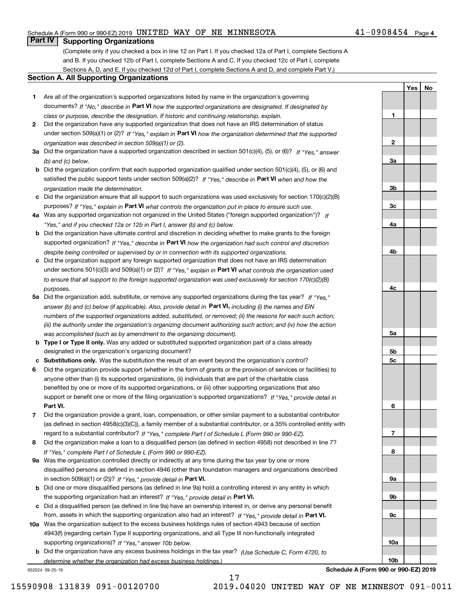# Schedule A (Form 990 or 990-EZ) 2019 <code>UNITED WAY OF NE MINNESOTA</code>  $41\text{--}0908454$  <code>Page</code>

# **Part IV Supporting Organizations**

(Complete only if you checked a box in line 12 on Part I. If you checked 12a of Part I, complete Sections A and B. If you checked 12b of Part I, complete Sections A and C. If you checked 12c of Part I, complete Sections A, D, and E. If you checked 12d of Part I, complete Sections A and D, and complete Part V.)

### **Section A. All Supporting Organizations**

- **1** Are all of the organization's supported organizations listed by name in the organization's governing documents? If "No," describe in **Part VI** how the supported organizations are designated. If designated by *class or purpose, describe the designation. If historic and continuing relationship, explain.*
- **2** Did the organization have any supported organization that does not have an IRS determination of status under section 509(a)(1) or (2)? If "Yes," explain in Part VI how the organization determined that the supported *organization was described in section 509(a)(1) or (2).*
- **3a** Did the organization have a supported organization described in section 501(c)(4), (5), or (6)? If "Yes," answer *(b) and (c) below.*
- **b** Did the organization confirm that each supported organization qualified under section 501(c)(4), (5), or (6) and satisfied the public support tests under section 509(a)(2)? If "Yes," describe in **Part VI** when and how the *organization made the determination.*
- **c**Did the organization ensure that all support to such organizations was used exclusively for section 170(c)(2)(B) purposes? If "Yes," explain in **Part VI** what controls the organization put in place to ensure such use.
- **4a***If* Was any supported organization not organized in the United States ("foreign supported organization")? *"Yes," and if you checked 12a or 12b in Part I, answer (b) and (c) below.*
- **b** Did the organization have ultimate control and discretion in deciding whether to make grants to the foreign supported organization? If "Yes," describe in **Part VI** how the organization had such control and discretion *despite being controlled or supervised by or in connection with its supported organizations.*
- **c** Did the organization support any foreign supported organization that does not have an IRS determination under sections 501(c)(3) and 509(a)(1) or (2)? If "Yes," explain in **Part VI** what controls the organization used *to ensure that all support to the foreign supported organization was used exclusively for section 170(c)(2)(B) purposes.*
- **5a** Did the organization add, substitute, or remove any supported organizations during the tax year? If "Yes," answer (b) and (c) below (if applicable). Also, provide detail in **Part VI,** including (i) the names and EIN *numbers of the supported organizations added, substituted, or removed; (ii) the reasons for each such action; (iii) the authority under the organization's organizing document authorizing such action; and (iv) how the action was accomplished (such as by amendment to the organizing document).*
- **b** Type I or Type II only. Was any added or substituted supported organization part of a class already designated in the organization's organizing document?
- **cSubstitutions only.**  Was the substitution the result of an event beyond the organization's control?
- **6** Did the organization provide support (whether in the form of grants or the provision of services or facilities) to **Part VI.** *If "Yes," provide detail in* support or benefit one or more of the filing organization's supported organizations? anyone other than (i) its supported organizations, (ii) individuals that are part of the charitable class benefited by one or more of its supported organizations, or (iii) other supporting organizations that also
- **7**Did the organization provide a grant, loan, compensation, or other similar payment to a substantial contributor *If "Yes," complete Part I of Schedule L (Form 990 or 990-EZ).* regard to a substantial contributor? (as defined in section 4958(c)(3)(C)), a family member of a substantial contributor, or a 35% controlled entity with
- **8** Did the organization make a loan to a disqualified person (as defined in section 4958) not described in line 7? *If "Yes," complete Part I of Schedule L (Form 990 or 990-EZ).*
- **9a** Was the organization controlled directly or indirectly at any time during the tax year by one or more in section 509(a)(1) or (2))? If "Yes," *provide detail in* <code>Part VI.</code> disqualified persons as defined in section 4946 (other than foundation managers and organizations described
- **b** Did one or more disqualified persons (as defined in line 9a) hold a controlling interest in any entity in which the supporting organization had an interest? If "Yes," provide detail in P**art VI**.
- **c**Did a disqualified person (as defined in line 9a) have an ownership interest in, or derive any personal benefit from, assets in which the supporting organization also had an interest? If "Yes," provide detail in P**art VI.**
- **10a** Was the organization subject to the excess business holdings rules of section 4943 because of section supporting organizations)? If "Yes," answer 10b below. 4943(f) (regarding certain Type II supporting organizations, and all Type III non-functionally integrated
- **b** Did the organization have any excess business holdings in the tax year? (Use Schedule C, Form 4720, to *determine whether the organization had excess business holdings.)*

932024 09-25-19

**Schedule A (Form 990 or 990-EZ) 2019**

**1**

**2**

**3a**

**3b**

**3c**

**4a**

**4b**

**4c**

**5a**

**5b5c**

**6**

**7**

**8**

**9a**

**9b**

**9c**

**10a**

**10b**

**YesNo**

17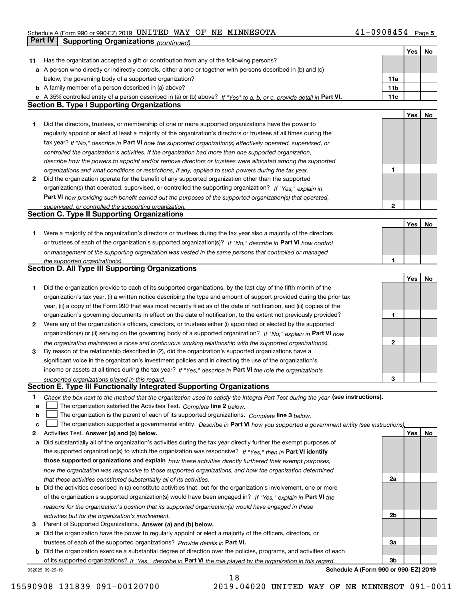# Schedule A (Form 990 or 990-EZ) 2019 <code>UNITED WAY OF NE MINNESOTA</code>  $41\text{--}0908454$  <code>Page</code> **Part IV | Supporting Organizations** *(continued)*

|    |                                                                                                                                                                                                                      |              | Yes | No |
|----|----------------------------------------------------------------------------------------------------------------------------------------------------------------------------------------------------------------------|--------------|-----|----|
| 11 | Has the organization accepted a gift or contribution from any of the following persons?                                                                                                                              |              |     |    |
|    | a A person who directly or indirectly controls, either alone or together with persons described in (b) and (c)                                                                                                       |              |     |    |
|    | below, the governing body of a supported organization?                                                                                                                                                               | 11a          |     |    |
|    | <b>b</b> A family member of a person described in (a) above?                                                                                                                                                         | 11b          |     |    |
|    | c A 35% controlled entity of a person described in (a) or (b) above? If "Yes" to a, b, or c, provide detail in Part VI.                                                                                              | 11c          |     |    |
|    | <b>Section B. Type I Supporting Organizations</b>                                                                                                                                                                    |              |     |    |
|    |                                                                                                                                                                                                                      |              | Yes | No |
|    |                                                                                                                                                                                                                      |              |     |    |
| 1  | Did the directors, trustees, or membership of one or more supported organizations have the power to                                                                                                                  |              |     |    |
|    | regularly appoint or elect at least a majority of the organization's directors or trustees at all times during the                                                                                                   |              |     |    |
|    | tax year? If "No," describe in Part VI how the supported organization(s) effectively operated, supervised, or                                                                                                        |              |     |    |
|    | controlled the organization's activities. If the organization had more than one supported organization,                                                                                                              |              |     |    |
|    | describe how the powers to appoint and/or remove directors or trustees were allocated among the supported                                                                                                            |              |     |    |
|    | organizations and what conditions or restrictions, if any, applied to such powers during the tax year.                                                                                                               | 1            |     |    |
| 2  | Did the organization operate for the benefit of any supported organization other than the supported                                                                                                                  |              |     |    |
|    | organization(s) that operated, supervised, or controlled the supporting organization? If "Yes," explain in                                                                                                           |              |     |    |
|    | Part VI how providing such benefit carried out the purposes of the supported organization(s) that operated,                                                                                                          |              |     |    |
|    | supervised, or controlled the supporting organization.                                                                                                                                                               | 2            |     |    |
|    | <b>Section C. Type II Supporting Organizations</b>                                                                                                                                                                   |              |     |    |
|    |                                                                                                                                                                                                                      |              | Yes | No |
| 1  | Were a majority of the organization's directors or trustees during the tax year also a majority of the directors                                                                                                     |              |     |    |
|    | or trustees of each of the organization's supported organization(s)? If "No," describe in Part VI how control                                                                                                        |              |     |    |
|    | or management of the supporting organization was vested in the same persons that controlled or managed                                                                                                               |              |     |    |
|    | the supported organization(s).                                                                                                                                                                                       | 1            |     |    |
|    | <b>Section D. All Type III Supporting Organizations</b>                                                                                                                                                              |              |     |    |
|    |                                                                                                                                                                                                                      |              | Yes | No |
| 1  | Did the organization provide to each of its supported organizations, by the last day of the fifth month of the                                                                                                       |              |     |    |
|    | organization's tax year, (i) a written notice describing the type and amount of support provided during the prior tax                                                                                                |              |     |    |
|    | year, (ii) a copy of the Form 990 that was most recently filed as of the date of notification, and (iii) copies of the                                                                                               |              |     |    |
|    | organization's governing documents in effect on the date of notification, to the extent not previously provided?                                                                                                     | 1            |     |    |
| 2  | Were any of the organization's officers, directors, or trustees either (i) appointed or elected by the supported                                                                                                     |              |     |    |
|    | organization(s) or (ii) serving on the governing body of a supported organization? If "No," explain in Part VI how                                                                                                   |              |     |    |
|    |                                                                                                                                                                                                                      | $\mathbf{2}$ |     |    |
| 3  | the organization maintained a close and continuous working relationship with the supported organization(s).<br>By reason of the relationship described in (2), did the organization's supported organizations have a |              |     |    |
|    | significant voice in the organization's investment policies and in directing the use of the organization's                                                                                                           |              |     |    |
|    | income or assets at all times during the tax year? If "Yes," describe in Part VI the role the organization's                                                                                                         |              |     |    |
|    | supported organizations played in this regard.                                                                                                                                                                       | з            |     |    |
|    | Section E. Type III Functionally Integrated Supporting Organizations                                                                                                                                                 |              |     |    |
| 1  | Check the box next to the method that the organization used to satisfy the Integral Part Test during the year (see instructions).                                                                                    |              |     |    |
| a  | The organization satisfied the Activities Test. Complete line 2 below.                                                                                                                                               |              |     |    |
| b  | The organization is the parent of each of its supported organizations. Complete line 3 below.                                                                                                                        |              |     |    |
| C  | The organization supported a governmental entity. Describe in Part VI how you supported a government entity (see instructions),                                                                                      |              |     |    |
| 2  | Activities Test. Answer (a) and (b) below.                                                                                                                                                                           |              | Yes | No |
| a  | Did substantially all of the organization's activities during the tax year directly further the exempt purposes of                                                                                                   |              |     |    |
|    | the supported organization(s) to which the organization was responsive? If "Yes," then in Part VI identify                                                                                                           |              |     |    |
|    |                                                                                                                                                                                                                      |              |     |    |
|    | those supported organizations and explain how these activities directly furthered their exempt purposes,                                                                                                             |              |     |    |
|    | how the organization was responsive to those supported organizations, and how the organization determined                                                                                                            |              |     |    |
|    | that these activities constituted substantially all of its activities.                                                                                                                                               | 2a           |     |    |
|    | <b>b</b> Did the activities described in (a) constitute activities that, but for the organization's involvement, one or more                                                                                         |              |     |    |
|    | of the organization's supported organization(s) would have been engaged in? If "Yes," explain in Part VI the                                                                                                         |              |     |    |
|    | reasons for the organization's position that its supported organization(s) would have engaged in these                                                                                                               |              |     |    |
|    | activities but for the organization's involvement.                                                                                                                                                                   | 2b           |     |    |
| 3  | Parent of Supported Organizations. Answer (a) and (b) below.                                                                                                                                                         |              |     |    |
| а  | Did the organization have the power to regularly appoint or elect a majority of the officers, directors, or                                                                                                          |              |     |    |
|    | trustees of each of the supported organizations? Provide details in Part VI.                                                                                                                                         | За           |     |    |
|    | <b>b</b> Did the organization exercise a substantial degree of direction over the policies, programs, and activities of each                                                                                         |              |     |    |
|    | of its supported organizations? If "Yes," describe in Part VI the role played by the organization in this regard                                                                                                     | Зb           |     |    |
|    | Schedule A (Form 990 or 990-EZ) 2019<br>932025 09-25-19                                                                                                                                                              |              |     |    |

18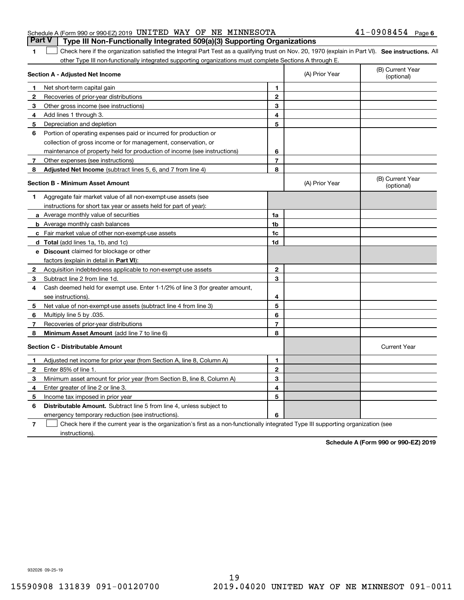|  | Schedule A (Form 990 or 990-EZ) 2019 UNITED WAY OF NE MINNESOTA |  |                                                                                       | $41 - 0908454$ Page 6 |  |
|--|-----------------------------------------------------------------|--|---------------------------------------------------------------------------------------|-----------------------|--|
|  |                                                                 |  | <b>Part V</b> Type III Non-Functionally Integrated 509(a)(3) Supporting Organizations |                       |  |

1 Check here if the organization satisfied the Integral Part Test as a qualifying trust on Nov. 20, 1970 (explain in Part VI). See instructions. All other Type III non-functionally integrated supporting organizations must complete Sections A through E.

| 1<br>Net short-term capital gain<br>1<br>$\overline{2}$<br>2<br>Recoveries of prior-year distributions<br>3<br>3<br>Other gross income (see instructions)<br>4<br>Add lines 1 through 3.<br>4<br>5<br>5<br>Depreciation and depletion<br>6<br>Portion of operating expenses paid or incurred for production or<br>collection of gross income or for management, conservation, or<br>maintenance of property held for production of income (see instructions)<br>6<br>$\overline{7}$<br>Other expenses (see instructions)<br>7<br>8<br><b>Adjusted Net Income</b> (subtract lines 5, 6, and 7 from line 4)<br>8<br>(B) Current Year<br><b>Section B - Minimum Asset Amount</b><br>(A) Prior Year<br>(optional)<br>Aggregate fair market value of all non-exempt-use assets (see<br>1.<br>instructions for short tax year or assets held for part of year):<br>1a<br>a Average monthly value of securities<br>1 <sub>b</sub><br><b>b</b> Average monthly cash balances<br>c Fair market value of other non-exempt-use assets<br>1c<br>1d<br><b>d</b> Total (add lines 1a, 1b, and 1c)<br>e Discount claimed for blockage or other<br>factors (explain in detail in Part VI):<br>$\mathbf{2}$<br>Acquisition indebtedness applicable to non-exempt-use assets<br>2<br>3<br>Subtract line 2 from line 1d.<br>3<br>Cash deemed held for exempt use. Enter 1-1/2% of line 3 (for greater amount,<br>4<br>see instructions).<br>4<br>5<br>5<br>Net value of non-exempt-use assets (subtract line 4 from line 3)<br>6<br>Multiply line 5 by .035.<br>6<br>7<br>Recoveries of prior-year distributions<br>7<br>8<br>Minimum Asset Amount (add line 7 to line 6)<br>8<br><b>Section C - Distributable Amount</b><br><b>Current Year</b><br>$\mathbf{1}$<br>Adjusted net income for prior year (from Section A, line 8, Column A)<br>1<br>$\overline{2}$<br>Enter 85% of line 1<br>2<br>3<br>з<br>Minimum asset amount for prior year (from Section B, line 8, Column A)<br>4<br>Enter greater of line 2 or line 3.<br>4<br>5<br>5<br>Income tax imposed in prior year<br>Distributable Amount. Subtract line 5 from line 4, unless subject to<br>6<br>6<br>emergency temporary reduction (see instructions). | Section A - Adjusted Net Income | (A) Prior Year | (B) Current Year<br>(optional) |
|----------------------------------------------------------------------------------------------------------------------------------------------------------------------------------------------------------------------------------------------------------------------------------------------------------------------------------------------------------------------------------------------------------------------------------------------------------------------------------------------------------------------------------------------------------------------------------------------------------------------------------------------------------------------------------------------------------------------------------------------------------------------------------------------------------------------------------------------------------------------------------------------------------------------------------------------------------------------------------------------------------------------------------------------------------------------------------------------------------------------------------------------------------------------------------------------------------------------------------------------------------------------------------------------------------------------------------------------------------------------------------------------------------------------------------------------------------------------------------------------------------------------------------------------------------------------------------------------------------------------------------------------------------------------------------------------------------------------------------------------------------------------------------------------------------------------------------------------------------------------------------------------------------------------------------------------------------------------------------------------------------------------------------------------------------------------------------------------------------------------------------------------------------------------------------------------------|---------------------------------|----------------|--------------------------------|
|                                                                                                                                                                                                                                                                                                                                                                                                                                                                                                                                                                                                                                                                                                                                                                                                                                                                                                                                                                                                                                                                                                                                                                                                                                                                                                                                                                                                                                                                                                                                                                                                                                                                                                                                                                                                                                                                                                                                                                                                                                                                                                                                                                                                    |                                 |                |                                |
|                                                                                                                                                                                                                                                                                                                                                                                                                                                                                                                                                                                                                                                                                                                                                                                                                                                                                                                                                                                                                                                                                                                                                                                                                                                                                                                                                                                                                                                                                                                                                                                                                                                                                                                                                                                                                                                                                                                                                                                                                                                                                                                                                                                                    |                                 |                |                                |
|                                                                                                                                                                                                                                                                                                                                                                                                                                                                                                                                                                                                                                                                                                                                                                                                                                                                                                                                                                                                                                                                                                                                                                                                                                                                                                                                                                                                                                                                                                                                                                                                                                                                                                                                                                                                                                                                                                                                                                                                                                                                                                                                                                                                    |                                 |                |                                |
|                                                                                                                                                                                                                                                                                                                                                                                                                                                                                                                                                                                                                                                                                                                                                                                                                                                                                                                                                                                                                                                                                                                                                                                                                                                                                                                                                                                                                                                                                                                                                                                                                                                                                                                                                                                                                                                                                                                                                                                                                                                                                                                                                                                                    |                                 |                |                                |
|                                                                                                                                                                                                                                                                                                                                                                                                                                                                                                                                                                                                                                                                                                                                                                                                                                                                                                                                                                                                                                                                                                                                                                                                                                                                                                                                                                                                                                                                                                                                                                                                                                                                                                                                                                                                                                                                                                                                                                                                                                                                                                                                                                                                    |                                 |                |                                |
|                                                                                                                                                                                                                                                                                                                                                                                                                                                                                                                                                                                                                                                                                                                                                                                                                                                                                                                                                                                                                                                                                                                                                                                                                                                                                                                                                                                                                                                                                                                                                                                                                                                                                                                                                                                                                                                                                                                                                                                                                                                                                                                                                                                                    |                                 |                |                                |
|                                                                                                                                                                                                                                                                                                                                                                                                                                                                                                                                                                                                                                                                                                                                                                                                                                                                                                                                                                                                                                                                                                                                                                                                                                                                                                                                                                                                                                                                                                                                                                                                                                                                                                                                                                                                                                                                                                                                                                                                                                                                                                                                                                                                    |                                 |                |                                |
|                                                                                                                                                                                                                                                                                                                                                                                                                                                                                                                                                                                                                                                                                                                                                                                                                                                                                                                                                                                                                                                                                                                                                                                                                                                                                                                                                                                                                                                                                                                                                                                                                                                                                                                                                                                                                                                                                                                                                                                                                                                                                                                                                                                                    |                                 |                |                                |
|                                                                                                                                                                                                                                                                                                                                                                                                                                                                                                                                                                                                                                                                                                                                                                                                                                                                                                                                                                                                                                                                                                                                                                                                                                                                                                                                                                                                                                                                                                                                                                                                                                                                                                                                                                                                                                                                                                                                                                                                                                                                                                                                                                                                    |                                 |                |                                |
|                                                                                                                                                                                                                                                                                                                                                                                                                                                                                                                                                                                                                                                                                                                                                                                                                                                                                                                                                                                                                                                                                                                                                                                                                                                                                                                                                                                                                                                                                                                                                                                                                                                                                                                                                                                                                                                                                                                                                                                                                                                                                                                                                                                                    |                                 |                |                                |
|                                                                                                                                                                                                                                                                                                                                                                                                                                                                                                                                                                                                                                                                                                                                                                                                                                                                                                                                                                                                                                                                                                                                                                                                                                                                                                                                                                                                                                                                                                                                                                                                                                                                                                                                                                                                                                                                                                                                                                                                                                                                                                                                                                                                    |                                 |                |                                |
|                                                                                                                                                                                                                                                                                                                                                                                                                                                                                                                                                                                                                                                                                                                                                                                                                                                                                                                                                                                                                                                                                                                                                                                                                                                                                                                                                                                                                                                                                                                                                                                                                                                                                                                                                                                                                                                                                                                                                                                                                                                                                                                                                                                                    |                                 |                |                                |
|                                                                                                                                                                                                                                                                                                                                                                                                                                                                                                                                                                                                                                                                                                                                                                                                                                                                                                                                                                                                                                                                                                                                                                                                                                                                                                                                                                                                                                                                                                                                                                                                                                                                                                                                                                                                                                                                                                                                                                                                                                                                                                                                                                                                    |                                 |                |                                |
|                                                                                                                                                                                                                                                                                                                                                                                                                                                                                                                                                                                                                                                                                                                                                                                                                                                                                                                                                                                                                                                                                                                                                                                                                                                                                                                                                                                                                                                                                                                                                                                                                                                                                                                                                                                                                                                                                                                                                                                                                                                                                                                                                                                                    |                                 |                |                                |
|                                                                                                                                                                                                                                                                                                                                                                                                                                                                                                                                                                                                                                                                                                                                                                                                                                                                                                                                                                                                                                                                                                                                                                                                                                                                                                                                                                                                                                                                                                                                                                                                                                                                                                                                                                                                                                                                                                                                                                                                                                                                                                                                                                                                    |                                 |                |                                |
|                                                                                                                                                                                                                                                                                                                                                                                                                                                                                                                                                                                                                                                                                                                                                                                                                                                                                                                                                                                                                                                                                                                                                                                                                                                                                                                                                                                                                                                                                                                                                                                                                                                                                                                                                                                                                                                                                                                                                                                                                                                                                                                                                                                                    |                                 |                |                                |
|                                                                                                                                                                                                                                                                                                                                                                                                                                                                                                                                                                                                                                                                                                                                                                                                                                                                                                                                                                                                                                                                                                                                                                                                                                                                                                                                                                                                                                                                                                                                                                                                                                                                                                                                                                                                                                                                                                                                                                                                                                                                                                                                                                                                    |                                 |                |                                |
|                                                                                                                                                                                                                                                                                                                                                                                                                                                                                                                                                                                                                                                                                                                                                                                                                                                                                                                                                                                                                                                                                                                                                                                                                                                                                                                                                                                                                                                                                                                                                                                                                                                                                                                                                                                                                                                                                                                                                                                                                                                                                                                                                                                                    |                                 |                |                                |
|                                                                                                                                                                                                                                                                                                                                                                                                                                                                                                                                                                                                                                                                                                                                                                                                                                                                                                                                                                                                                                                                                                                                                                                                                                                                                                                                                                                                                                                                                                                                                                                                                                                                                                                                                                                                                                                                                                                                                                                                                                                                                                                                                                                                    |                                 |                |                                |
|                                                                                                                                                                                                                                                                                                                                                                                                                                                                                                                                                                                                                                                                                                                                                                                                                                                                                                                                                                                                                                                                                                                                                                                                                                                                                                                                                                                                                                                                                                                                                                                                                                                                                                                                                                                                                                                                                                                                                                                                                                                                                                                                                                                                    |                                 |                |                                |
|                                                                                                                                                                                                                                                                                                                                                                                                                                                                                                                                                                                                                                                                                                                                                                                                                                                                                                                                                                                                                                                                                                                                                                                                                                                                                                                                                                                                                                                                                                                                                                                                                                                                                                                                                                                                                                                                                                                                                                                                                                                                                                                                                                                                    |                                 |                |                                |
|                                                                                                                                                                                                                                                                                                                                                                                                                                                                                                                                                                                                                                                                                                                                                                                                                                                                                                                                                                                                                                                                                                                                                                                                                                                                                                                                                                                                                                                                                                                                                                                                                                                                                                                                                                                                                                                                                                                                                                                                                                                                                                                                                                                                    |                                 |                |                                |
|                                                                                                                                                                                                                                                                                                                                                                                                                                                                                                                                                                                                                                                                                                                                                                                                                                                                                                                                                                                                                                                                                                                                                                                                                                                                                                                                                                                                                                                                                                                                                                                                                                                                                                                                                                                                                                                                                                                                                                                                                                                                                                                                                                                                    |                                 |                |                                |
|                                                                                                                                                                                                                                                                                                                                                                                                                                                                                                                                                                                                                                                                                                                                                                                                                                                                                                                                                                                                                                                                                                                                                                                                                                                                                                                                                                                                                                                                                                                                                                                                                                                                                                                                                                                                                                                                                                                                                                                                                                                                                                                                                                                                    |                                 |                |                                |
|                                                                                                                                                                                                                                                                                                                                                                                                                                                                                                                                                                                                                                                                                                                                                                                                                                                                                                                                                                                                                                                                                                                                                                                                                                                                                                                                                                                                                                                                                                                                                                                                                                                                                                                                                                                                                                                                                                                                                                                                                                                                                                                                                                                                    |                                 |                |                                |
|                                                                                                                                                                                                                                                                                                                                                                                                                                                                                                                                                                                                                                                                                                                                                                                                                                                                                                                                                                                                                                                                                                                                                                                                                                                                                                                                                                                                                                                                                                                                                                                                                                                                                                                                                                                                                                                                                                                                                                                                                                                                                                                                                                                                    |                                 |                |                                |
|                                                                                                                                                                                                                                                                                                                                                                                                                                                                                                                                                                                                                                                                                                                                                                                                                                                                                                                                                                                                                                                                                                                                                                                                                                                                                                                                                                                                                                                                                                                                                                                                                                                                                                                                                                                                                                                                                                                                                                                                                                                                                                                                                                                                    |                                 |                |                                |
|                                                                                                                                                                                                                                                                                                                                                                                                                                                                                                                                                                                                                                                                                                                                                                                                                                                                                                                                                                                                                                                                                                                                                                                                                                                                                                                                                                                                                                                                                                                                                                                                                                                                                                                                                                                                                                                                                                                                                                                                                                                                                                                                                                                                    |                                 |                |                                |
|                                                                                                                                                                                                                                                                                                                                                                                                                                                                                                                                                                                                                                                                                                                                                                                                                                                                                                                                                                                                                                                                                                                                                                                                                                                                                                                                                                                                                                                                                                                                                                                                                                                                                                                                                                                                                                                                                                                                                                                                                                                                                                                                                                                                    |                                 |                |                                |
|                                                                                                                                                                                                                                                                                                                                                                                                                                                                                                                                                                                                                                                                                                                                                                                                                                                                                                                                                                                                                                                                                                                                                                                                                                                                                                                                                                                                                                                                                                                                                                                                                                                                                                                                                                                                                                                                                                                                                                                                                                                                                                                                                                                                    |                                 |                |                                |
|                                                                                                                                                                                                                                                                                                                                                                                                                                                                                                                                                                                                                                                                                                                                                                                                                                                                                                                                                                                                                                                                                                                                                                                                                                                                                                                                                                                                                                                                                                                                                                                                                                                                                                                                                                                                                                                                                                                                                                                                                                                                                                                                                                                                    |                                 |                |                                |
|                                                                                                                                                                                                                                                                                                                                                                                                                                                                                                                                                                                                                                                                                                                                                                                                                                                                                                                                                                                                                                                                                                                                                                                                                                                                                                                                                                                                                                                                                                                                                                                                                                                                                                                                                                                                                                                                                                                                                                                                                                                                                                                                                                                                    |                                 |                |                                |
|                                                                                                                                                                                                                                                                                                                                                                                                                                                                                                                                                                                                                                                                                                                                                                                                                                                                                                                                                                                                                                                                                                                                                                                                                                                                                                                                                                                                                                                                                                                                                                                                                                                                                                                                                                                                                                                                                                                                                                                                                                                                                                                                                                                                    |                                 |                |                                |
|                                                                                                                                                                                                                                                                                                                                                                                                                                                                                                                                                                                                                                                                                                                                                                                                                                                                                                                                                                                                                                                                                                                                                                                                                                                                                                                                                                                                                                                                                                                                                                                                                                                                                                                                                                                                                                                                                                                                                                                                                                                                                                                                                                                                    |                                 |                |                                |
|                                                                                                                                                                                                                                                                                                                                                                                                                                                                                                                                                                                                                                                                                                                                                                                                                                                                                                                                                                                                                                                                                                                                                                                                                                                                                                                                                                                                                                                                                                                                                                                                                                                                                                                                                                                                                                                                                                                                                                                                                                                                                                                                                                                                    |                                 |                |                                |

**7**Check here if the current year is the organization's first as a non-functionally integrated Type III supporting organization (see instructions).

**Schedule A (Form 990 or 990-EZ) 2019**

932026 09-25-19

**1**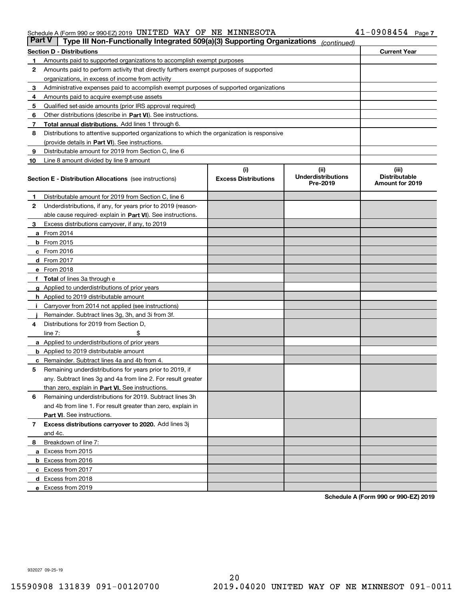### Schedule A (Form 990 or 990-EZ) 2019 <code>UNITED WAY OF NE MINNESOTA</code>  $41\text{--}0908454$  <code>Page</code>

| <b>Part V</b>                                           | Type III Non-Functionally Integrated 509(a)(3) Supporting Organizations                    |                                    | (continued)                                    |                                                  |  |  |  |
|---------------------------------------------------------|--------------------------------------------------------------------------------------------|------------------------------------|------------------------------------------------|--------------------------------------------------|--|--|--|
| <b>Current Year</b><br><b>Section D - Distributions</b> |                                                                                            |                                    |                                                |                                                  |  |  |  |
| 1                                                       | Amounts paid to supported organizations to accomplish exempt purposes                      |                                    |                                                |                                                  |  |  |  |
| 2                                                       | Amounts paid to perform activity that directly furthers exempt purposes of supported       |                                    |                                                |                                                  |  |  |  |
|                                                         | organizations, in excess of income from activity                                           |                                    |                                                |                                                  |  |  |  |
| 3                                                       | Administrative expenses paid to accomplish exempt purposes of supported organizations      |                                    |                                                |                                                  |  |  |  |
| 4                                                       | Amounts paid to acquire exempt-use assets                                                  |                                    |                                                |                                                  |  |  |  |
| 5                                                       | Qualified set-aside amounts (prior IRS approval required)                                  |                                    |                                                |                                                  |  |  |  |
| 6                                                       | Other distributions (describe in Part VI). See instructions.                               |                                    |                                                |                                                  |  |  |  |
| 7                                                       | <b>Total annual distributions.</b> Add lines 1 through 6.                                  |                                    |                                                |                                                  |  |  |  |
| 8                                                       | Distributions to attentive supported organizations to which the organization is responsive |                                    |                                                |                                                  |  |  |  |
|                                                         | (provide details in Part VI). See instructions.                                            |                                    |                                                |                                                  |  |  |  |
| 9                                                       | Distributable amount for 2019 from Section C, line 6                                       |                                    |                                                |                                                  |  |  |  |
| 10                                                      | Line 8 amount divided by line 9 amount                                                     |                                    |                                                |                                                  |  |  |  |
|                                                         | <b>Section E - Distribution Allocations</b> (see instructions)                             | (i)<br><b>Excess Distributions</b> | (iii)<br><b>Underdistributions</b><br>Pre-2019 | (iii)<br><b>Distributable</b><br>Amount for 2019 |  |  |  |
| 1                                                       | Distributable amount for 2019 from Section C, line 6                                       |                                    |                                                |                                                  |  |  |  |
| 2                                                       | Underdistributions, if any, for years prior to 2019 (reason-                               |                                    |                                                |                                                  |  |  |  |
|                                                         | able cause required- explain in Part VI). See instructions.                                |                                    |                                                |                                                  |  |  |  |
| З                                                       | Excess distributions carryover, if any, to 2019                                            |                                    |                                                |                                                  |  |  |  |
|                                                         | <b>a</b> From 2014                                                                         |                                    |                                                |                                                  |  |  |  |
|                                                         | <b>b</b> From 2015                                                                         |                                    |                                                |                                                  |  |  |  |
|                                                         | $c$ From 2016                                                                              |                                    |                                                |                                                  |  |  |  |
|                                                         | d From 2017                                                                                |                                    |                                                |                                                  |  |  |  |
|                                                         | e From 2018                                                                                |                                    |                                                |                                                  |  |  |  |
|                                                         | Total of lines 3a through e                                                                |                                    |                                                |                                                  |  |  |  |
| g                                                       | Applied to underdistributions of prior years                                               |                                    |                                                |                                                  |  |  |  |
|                                                         | <b>h</b> Applied to 2019 distributable amount                                              |                                    |                                                |                                                  |  |  |  |
|                                                         | Carryover from 2014 not applied (see instructions)                                         |                                    |                                                |                                                  |  |  |  |
|                                                         | Remainder. Subtract lines 3g, 3h, and 3i from 3f.                                          |                                    |                                                |                                                  |  |  |  |
| 4                                                       | Distributions for 2019 from Section D,                                                     |                                    |                                                |                                                  |  |  |  |
|                                                         | line $7:$                                                                                  |                                    |                                                |                                                  |  |  |  |
|                                                         | <b>a</b> Applied to underdistributions of prior years                                      |                                    |                                                |                                                  |  |  |  |
|                                                         | <b>b</b> Applied to 2019 distributable amount                                              |                                    |                                                |                                                  |  |  |  |
|                                                         | c Remainder. Subtract lines 4a and 4b from 4.                                              |                                    |                                                |                                                  |  |  |  |
| 5                                                       | Remaining underdistributions for years prior to 2019, if                                   |                                    |                                                |                                                  |  |  |  |
|                                                         | any. Subtract lines 3g and 4a from line 2. For result greater                              |                                    |                                                |                                                  |  |  |  |
|                                                         | than zero, explain in Part VI. See instructions.                                           |                                    |                                                |                                                  |  |  |  |
| 6                                                       | Remaining underdistributions for 2019. Subtract lines 3h                                   |                                    |                                                |                                                  |  |  |  |
|                                                         | and 4b from line 1. For result greater than zero, explain in                               |                                    |                                                |                                                  |  |  |  |
|                                                         | Part VI. See instructions.                                                                 |                                    |                                                |                                                  |  |  |  |
| 7                                                       | Excess distributions carryover to 2020. Add lines 3j                                       |                                    |                                                |                                                  |  |  |  |
|                                                         | and 4c.                                                                                    |                                    |                                                |                                                  |  |  |  |
| 8                                                       | Breakdown of line 7:                                                                       |                                    |                                                |                                                  |  |  |  |
|                                                         | a Excess from 2015                                                                         |                                    |                                                |                                                  |  |  |  |
|                                                         | <b>b</b> Excess from 2016                                                                  |                                    |                                                |                                                  |  |  |  |
|                                                         | c Excess from 2017                                                                         |                                    |                                                |                                                  |  |  |  |
|                                                         | d Excess from 2018                                                                         |                                    |                                                |                                                  |  |  |  |
|                                                         | e Excess from 2019                                                                         |                                    |                                                |                                                  |  |  |  |

**Schedule A (Form 990 or 990-EZ) 2019**

932027 09-25-19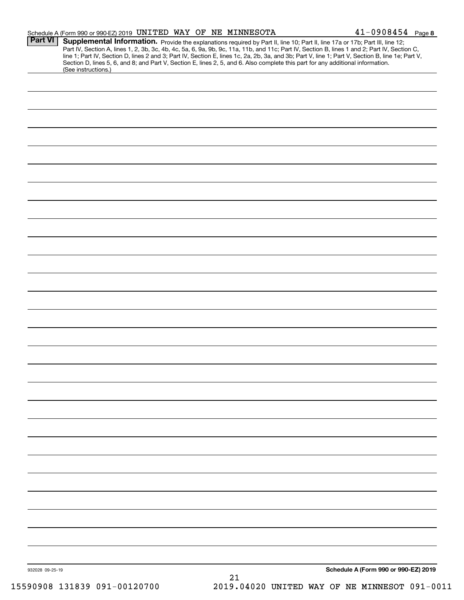|                | Schedule A (Form 990 or 990-EZ) 2019 UNITED WAY OF NE MINNESOTA                                                                                                                                                                                                                                                                                                                                                                   |  |  | $41 - 0908454$ Page 8 |  |
|----------------|-----------------------------------------------------------------------------------------------------------------------------------------------------------------------------------------------------------------------------------------------------------------------------------------------------------------------------------------------------------------------------------------------------------------------------------|--|--|-----------------------|--|
| <b>Part VI</b> | Supplemental Information. Provide the explanations required by Part II, line 10; Part II, line 17a or 17b; Part III, line 12;<br>Part IV, Section A, lines 1, 2, 3b, 3c, 4b, 4c, 5a, 6, 9a, 9b, 9c, 11a, 11b, and 11c; Part IV, Section B, lines 1 and 2; Part IV, Section C,<br>line 1; Part IV, Section D, lines 2 and 3; Part IV, Section E, lines 1c, 2a, 2b, 3a, and 3b; Part V, line 1; Part V, Section B, line 1e; Part V, |  |  |                       |  |
|                | Section D, lines 5, 6, and 8; and Part V, Section E, lines 2, 5, and 6. Also complete this part for any additional information.<br>(See instructions.)                                                                                                                                                                                                                                                                            |  |  |                       |  |
|                |                                                                                                                                                                                                                                                                                                                                                                                                                                   |  |  |                       |  |
|                |                                                                                                                                                                                                                                                                                                                                                                                                                                   |  |  |                       |  |
|                |                                                                                                                                                                                                                                                                                                                                                                                                                                   |  |  |                       |  |
|                |                                                                                                                                                                                                                                                                                                                                                                                                                                   |  |  |                       |  |
|                |                                                                                                                                                                                                                                                                                                                                                                                                                                   |  |  |                       |  |
|                |                                                                                                                                                                                                                                                                                                                                                                                                                                   |  |  |                       |  |
|                |                                                                                                                                                                                                                                                                                                                                                                                                                                   |  |  |                       |  |
|                |                                                                                                                                                                                                                                                                                                                                                                                                                                   |  |  |                       |  |
|                |                                                                                                                                                                                                                                                                                                                                                                                                                                   |  |  |                       |  |
|                |                                                                                                                                                                                                                                                                                                                                                                                                                                   |  |  |                       |  |
|                |                                                                                                                                                                                                                                                                                                                                                                                                                                   |  |  |                       |  |
|                |                                                                                                                                                                                                                                                                                                                                                                                                                                   |  |  |                       |  |
|                |                                                                                                                                                                                                                                                                                                                                                                                                                                   |  |  |                       |  |
|                |                                                                                                                                                                                                                                                                                                                                                                                                                                   |  |  |                       |  |
|                |                                                                                                                                                                                                                                                                                                                                                                                                                                   |  |  |                       |  |
|                |                                                                                                                                                                                                                                                                                                                                                                                                                                   |  |  |                       |  |
|                |                                                                                                                                                                                                                                                                                                                                                                                                                                   |  |  |                       |  |
|                |                                                                                                                                                                                                                                                                                                                                                                                                                                   |  |  |                       |  |
|                |                                                                                                                                                                                                                                                                                                                                                                                                                                   |  |  |                       |  |
|                |                                                                                                                                                                                                                                                                                                                                                                                                                                   |  |  |                       |  |
|                |                                                                                                                                                                                                                                                                                                                                                                                                                                   |  |  |                       |  |
|                |                                                                                                                                                                                                                                                                                                                                                                                                                                   |  |  |                       |  |
|                |                                                                                                                                                                                                                                                                                                                                                                                                                                   |  |  |                       |  |
|                |                                                                                                                                                                                                                                                                                                                                                                                                                                   |  |  |                       |  |
|                |                                                                                                                                                                                                                                                                                                                                                                                                                                   |  |  |                       |  |
|                |                                                                                                                                                                                                                                                                                                                                                                                                                                   |  |  |                       |  |
|                |                                                                                                                                                                                                                                                                                                                                                                                                                                   |  |  |                       |  |
|                |                                                                                                                                                                                                                                                                                                                                                                                                                                   |  |  |                       |  |
|                |                                                                                                                                                                                                                                                                                                                                                                                                                                   |  |  |                       |  |
|                |                                                                                                                                                                                                                                                                                                                                                                                                                                   |  |  |                       |  |
|                |                                                                                                                                                                                                                                                                                                                                                                                                                                   |  |  |                       |  |
|                |                                                                                                                                                                                                                                                                                                                                                                                                                                   |  |  |                       |  |
|                |                                                                                                                                                                                                                                                                                                                                                                                                                                   |  |  |                       |  |
|                |                                                                                                                                                                                                                                                                                                                                                                                                                                   |  |  |                       |  |
|                |                                                                                                                                                                                                                                                                                                                                                                                                                                   |  |  |                       |  |
|                |                                                                                                                                                                                                                                                                                                                                                                                                                                   |  |  |                       |  |
|                |                                                                                                                                                                                                                                                                                                                                                                                                                                   |  |  |                       |  |
|                |                                                                                                                                                                                                                                                                                                                                                                                                                                   |  |  |                       |  |
|                |                                                                                                                                                                                                                                                                                                                                                                                                                                   |  |  |                       |  |
|                |                                                                                                                                                                                                                                                                                                                                                                                                                                   |  |  |                       |  |
|                | 932028 09-25-19                                                                                                                                                                                                                                                                                                                                                                                                                   |  |  |                       |  |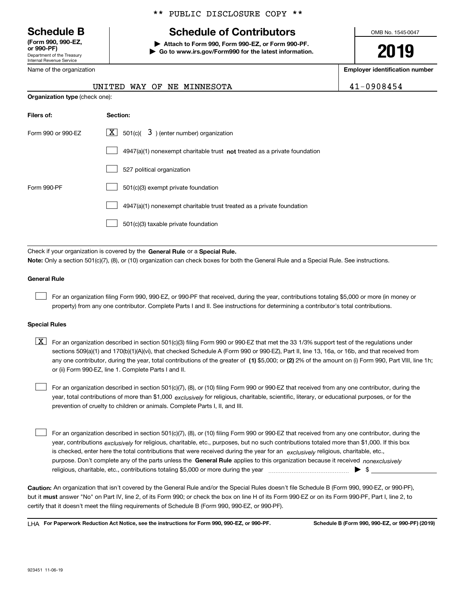Department of the Treasury Internal Revenue Service **(Form 990, 990-EZ, or 990-PF)**

# \*\* PUBLIC DISCLOSURE COPY \*\*

# **Schedule B Schedule of Contributors**

**| Attach to Form 990, Form 990-EZ, or Form 990-PF. | Go to www.irs.gov/Form990 for the latest information.** OMB No. 1545-0047

**2019**

**Employer identification number**

|  | 0908454 |  |
|--|---------|--|
|  |         |  |

| Name of the organization              |  |  |  |
|---------------------------------------|--|--|--|
| UNITED WAY OF NE MINNESOTA            |  |  |  |
| <b>Organization type</b> (check one): |  |  |  |

| Filers of:                                                                  | Section:                                                                  |  |  |
|-----------------------------------------------------------------------------|---------------------------------------------------------------------------|--|--|
| $ \mathbf{X} $ 501(c)( 3) (enter number) organization<br>Form 990 or 990-EZ |                                                                           |  |  |
|                                                                             | 4947(a)(1) nonexempt charitable trust not treated as a private foundation |  |  |
|                                                                             | 527 political organization                                                |  |  |
| Form 990-PF                                                                 | 501(c)(3) exempt private foundation                                       |  |  |
|                                                                             | 4947(a)(1) nonexempt charitable trust treated as a private foundation     |  |  |
|                                                                             | 501(c)(3) taxable private foundation                                      |  |  |

Check if your organization is covered by the **General Rule** or a **Special Rule. Note:**  Only a section 501(c)(7), (8), or (10) organization can check boxes for both the General Rule and a Special Rule. See instructions.

## **General Rule**

 $\mathcal{L}^{\text{max}}$ 

For an organization filing Form 990, 990-EZ, or 990-PF that received, during the year, contributions totaling \$5,000 or more (in money or property) from any one contributor. Complete Parts I and II. See instructions for determining a contributor's total contributions.

#### **Special Rules**

any one contributor, during the year, total contributions of the greater of  $\,$  (1) \$5,000; or **(2)** 2% of the amount on (i) Form 990, Part VIII, line 1h;  $\boxed{\textbf{X}}$  For an organization described in section 501(c)(3) filing Form 990 or 990-EZ that met the 33 1/3% support test of the regulations under sections 509(a)(1) and 170(b)(1)(A)(vi), that checked Schedule A (Form 990 or 990-EZ), Part II, line 13, 16a, or 16b, and that received from or (ii) Form 990-EZ, line 1. Complete Parts I and II.

year, total contributions of more than \$1,000 *exclusively* for religious, charitable, scientific, literary, or educational purposes, or for the For an organization described in section 501(c)(7), (8), or (10) filing Form 990 or 990-EZ that received from any one contributor, during the prevention of cruelty to children or animals. Complete Parts I, II, and III.  $\mathcal{L}^{\text{max}}$ 

purpose. Don't complete any of the parts unless the **General Rule** applies to this organization because it received *nonexclusively* year, contributions <sub>exclusively</sub> for religious, charitable, etc., purposes, but no such contributions totaled more than \$1,000. If this box is checked, enter here the total contributions that were received during the year for an  $\;$ exclusively religious, charitable, etc., For an organization described in section 501(c)(7), (8), or (10) filing Form 990 or 990-EZ that received from any one contributor, during the religious, charitable, etc., contributions totaling \$5,000 or more during the year  $\Box$ — $\Box$  =  $\Box$  $\mathcal{L}^{\text{max}}$ 

**Caution:**  An organization that isn't covered by the General Rule and/or the Special Rules doesn't file Schedule B (Form 990, 990-EZ, or 990-PF),  **must** but it answer "No" on Part IV, line 2, of its Form 990; or check the box on line H of its Form 990-EZ or on its Form 990-PF, Part I, line 2, to certify that it doesn't meet the filing requirements of Schedule B (Form 990, 990-EZ, or 990-PF).

**For Paperwork Reduction Act Notice, see the instructions for Form 990, 990-EZ, or 990-PF. Schedule B (Form 990, 990-EZ, or 990-PF) (2019)** LHA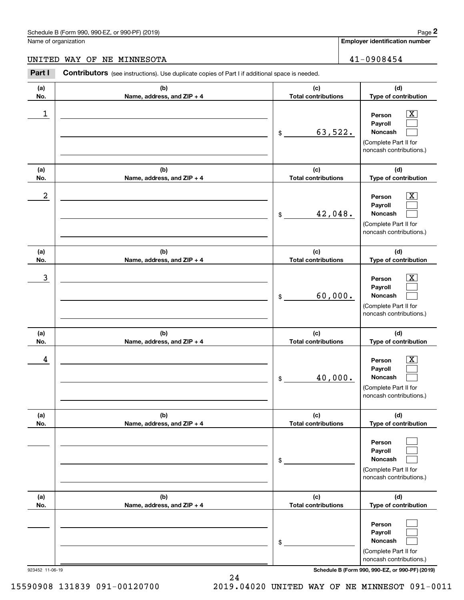# Schedule B (Form 990, 990-EZ, or 990-PF) (2019) Page 2

# UNITED WAY OF NE MINNESOTA  $41-0908454$

|                      | Schedule B (Form 990, 990-EZ, or 990-PF) (2019)                                                |                                   | Page 2                                                                                                      |
|----------------------|------------------------------------------------------------------------------------------------|-----------------------------------|-------------------------------------------------------------------------------------------------------------|
| Name of organization |                                                                                                |                                   | <b>Employer identification number</b>                                                                       |
| UNITED               | WAY OF<br>NE MINNESOTA                                                                         |                                   | 41-0908454                                                                                                  |
| Part I               | Contributors (see instructions). Use duplicate copies of Part I if additional space is needed. |                                   |                                                                                                             |
| (a)<br>No.           | (b)<br>Name, address, and ZIP + 4                                                              | (c)<br><b>Total contributions</b> | (d)<br>Type of contribution                                                                                 |
| 1                    |                                                                                                | 63,522.<br>\$                     | $\overline{\mathbf{X}}$<br>Person<br>Payroll<br>Noncash<br>(Complete Part II for<br>noncash contributions.) |
| (a)<br>No.           | (b)<br>Name, address, and ZIP + 4                                                              | (c)<br><b>Total contributions</b> | (d)<br>Type of contribution                                                                                 |
| $\boldsymbol{2}$     |                                                                                                | 42,048.<br>\$                     | $\overline{\mathbf{X}}$<br>Person<br>Payroll<br>Noncash<br>(Complete Part II for<br>noncash contributions.) |
| (a)<br>No.           | (b)<br>Name, address, and ZIP + 4                                                              | (c)<br><b>Total contributions</b> | (d)<br>Type of contribution                                                                                 |
| 3                    |                                                                                                | 60,000.<br>\$                     | $\overline{\mathbf{X}}$<br>Person<br>Payroll<br>Noncash<br>(Complete Part II for<br>noncash contributions.) |
| (a)<br>No.           | (b)<br>Name, address, and ZIP + 4                                                              | (c)<br><b>Total contributions</b> | (d)<br>Type of contribution                                                                                 |
| 4                    |                                                                                                | 40,000.<br>\$                     | $\mathbf{X}$<br>Person<br>Payroll<br>Noncash<br>(Complete Part II for<br>noncash contributions.)            |
| (a)<br>No.           | (b)<br>Name, address, and ZIP + 4                                                              | (c)<br><b>Total contributions</b> | (d)<br>Type of contribution                                                                                 |
|                      |                                                                                                | \$                                | Person<br>Payroll<br>Noncash<br>(Complete Part II for<br>noncash contributions.)                            |
| (a)<br>No.           | (b)<br>Name, address, and ZIP + 4                                                              | (c)<br><b>Total contributions</b> | (d)<br>Type of contribution                                                                                 |
|                      |                                                                                                | \$                                | Person<br>Payroll<br>Noncash<br>(Complete Part II for<br>noncash contributions.)                            |

923452 11-06-19 **Schedule B (Form 990, 990-EZ, or 990-PF) (2019)**

15590908 131839 091-00120700 2019.04020 UNITED WAY OF NE MINNESOT 091-0011

24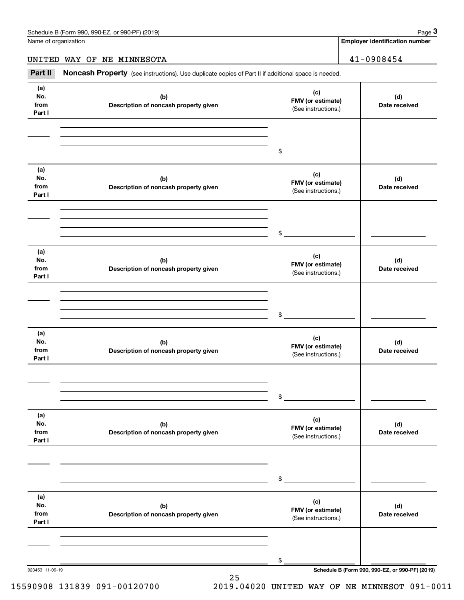**Employer identification number**

UNITED WAY OF NE MINNESOTA  $41-0908454$ 

(see instructions). Use duplicate copies of Part II if additional space is needed.<br> **3Part II Noncash Property** (see instructions). Use duplicate copies of Part II if additional space is needed.<br> **3Part II Noncash Prop** 

| (a)<br>No.<br>from<br>Part I | (b)<br>Description of noncash property given | (c)<br>FMV (or estimate)<br>(See instructions.) | (d)<br>Date received                            |
|------------------------------|----------------------------------------------|-------------------------------------------------|-------------------------------------------------|
|                              |                                              | $\mathfrak s$                                   |                                                 |
| (a)<br>No.<br>from<br>Part I | (b)<br>Description of noncash property given | (c)<br>FMV (or estimate)<br>(See instructions.) | (d)<br>Date received                            |
|                              |                                              | $\mathfrak s$                                   |                                                 |
| (a)<br>No.<br>from<br>Part I | (b)<br>Description of noncash property given | (c)<br>FMV (or estimate)<br>(See instructions.) | (d)<br>Date received                            |
|                              |                                              | $\frac{1}{2}$                                   |                                                 |
| (a)<br>No.<br>from<br>Part I | (b)<br>Description of noncash property given | (c)<br>FMV (or estimate)<br>(See instructions.) | (d)<br>Date received                            |
|                              |                                              | $\mathfrak{S}$                                  |                                                 |
| (a)<br>No.<br>from<br>Part I | (b)<br>Description of noncash property given | (c)<br>FMV (or estimate)<br>(See instructions.) | (d)<br>Date received                            |
|                              |                                              | \$                                              |                                                 |
| (a)<br>No.<br>from<br>Part I | (b)<br>Description of noncash property given | (c)<br>FMV (or estimate)<br>(See instructions.) | (d)<br>Date received                            |
|                              |                                              | \$                                              |                                                 |
| 923453 11-06-19              |                                              |                                                 | Schedule B (Form 990, 990-EZ, or 990-PF) (2019) |

25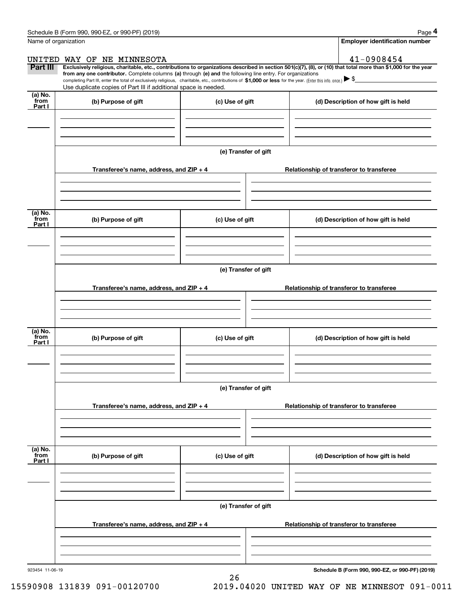|                           | Schedule B (Form 990, 990-EZ, or 990-PF) (2019)                                                                                                                                                                                                                                                                                                                                                                                                                                                                                      |                      |                                          | Page 4                                |  |  |  |
|---------------------------|--------------------------------------------------------------------------------------------------------------------------------------------------------------------------------------------------------------------------------------------------------------------------------------------------------------------------------------------------------------------------------------------------------------------------------------------------------------------------------------------------------------------------------------|----------------------|------------------------------------------|---------------------------------------|--|--|--|
| Name of organization      |                                                                                                                                                                                                                                                                                                                                                                                                                                                                                                                                      |                      |                                          | <b>Employer identification number</b> |  |  |  |
|                           | UNITED WAY OF NE MINNESOTA                                                                                                                                                                                                                                                                                                                                                                                                                                                                                                           |                      |                                          | 41-0908454                            |  |  |  |
| Part III                  | Exclusively religious, charitable, etc., contributions to organizations described in section 501(c)(7), (8), or (10) that total more than \$1,000 for the year<br>from any one contributor. Complete columns (a) through (e) and the following line entry. For organizations<br>completing Part III, enter the total of exclusively religious, charitable, etc., contributions of \$1,000 or less for the year. (Enter this info. once.) $\blacktriangleright$ \$<br>Use duplicate copies of Part III if additional space is needed. |                      |                                          |                                       |  |  |  |
| (a) No.<br>from<br>Part I | (b) Purpose of gift                                                                                                                                                                                                                                                                                                                                                                                                                                                                                                                  | (c) Use of gift      |                                          | (d) Description of how gift is held   |  |  |  |
|                           |                                                                                                                                                                                                                                                                                                                                                                                                                                                                                                                                      |                      |                                          |                                       |  |  |  |
|                           |                                                                                                                                                                                                                                                                                                                                                                                                                                                                                                                                      | (e) Transfer of gift |                                          |                                       |  |  |  |
|                           | Transferee's name, address, and $ZIP + 4$                                                                                                                                                                                                                                                                                                                                                                                                                                                                                            |                      | Relationship of transferor to transferee |                                       |  |  |  |
| (a) No.<br>from<br>Part I | (b) Purpose of gift                                                                                                                                                                                                                                                                                                                                                                                                                                                                                                                  | (c) Use of gift      |                                          | (d) Description of how gift is held   |  |  |  |
|                           |                                                                                                                                                                                                                                                                                                                                                                                                                                                                                                                                      |                      |                                          |                                       |  |  |  |
|                           | (e) Transfer of gift                                                                                                                                                                                                                                                                                                                                                                                                                                                                                                                 |                      |                                          |                                       |  |  |  |
|                           | Transferee's name, address, and ZIP + 4                                                                                                                                                                                                                                                                                                                                                                                                                                                                                              |                      | Relationship of transferor to transferee |                                       |  |  |  |
| (a) No.<br>from<br>Part I | (b) Purpose of gift                                                                                                                                                                                                                                                                                                                                                                                                                                                                                                                  | (c) Use of gift      |                                          | (d) Description of how gift is held   |  |  |  |
|                           |                                                                                                                                                                                                                                                                                                                                                                                                                                                                                                                                      | (e) Transfer of gift |                                          |                                       |  |  |  |
|                           | Transferee's name, address, and ZIP + 4                                                                                                                                                                                                                                                                                                                                                                                                                                                                                              |                      | Relationship of transferor to transferee |                                       |  |  |  |
| (a) No.<br>from<br>Part I | (b) Purpose of gift                                                                                                                                                                                                                                                                                                                                                                                                                                                                                                                  | (c) Use of gift      |                                          | (d) Description of how gift is held   |  |  |  |
|                           |                                                                                                                                                                                                                                                                                                                                                                                                                                                                                                                                      |                      |                                          |                                       |  |  |  |
|                           | Transferee's name, address, and ZIP + 4                                                                                                                                                                                                                                                                                                                                                                                                                                                                                              | (e) Transfer of gift | Relationship of transferor to transferee |                                       |  |  |  |
|                           |                                                                                                                                                                                                                                                                                                                                                                                                                                                                                                                                      |                      |                                          |                                       |  |  |  |

26

**Schedule B (Form 990, 990-EZ, or 990-PF) (2019)**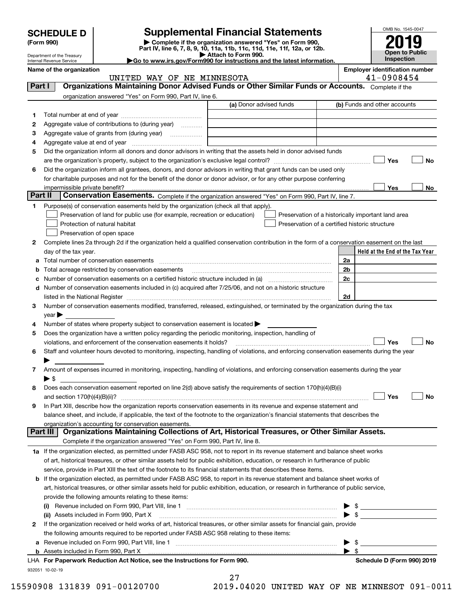|  |  |  |  | <b>SCHEDULE D</b> |
|--|--|--|--|-------------------|
|  |  |  |  |                   |

| (Form 990) |  |
|------------|--|
|------------|--|

# **SCHEDULE D Supplemental Financial Statements**

(Form 990)<br>
Pepartment of the Treasury<br>
Department of the Treasury<br>
Department of the Treasury<br>
Department of the Treasury<br> **Co to www.irs.gov/Form990 for instructions and the latest information.**<br> **Co to www.irs.gov/Form9** 

| OMB No. 1545-0047                          |
|--------------------------------------------|
| 2019                                       |
| <b>Open to Public</b><br><b>Inspection</b> |

Department of the Treasury Internal Revenue Service

| Name of the organization |  |  |                            | <b>Employer identification number</b> |
|--------------------------|--|--|----------------------------|---------------------------------------|
|                          |  |  | UNITED WAY OF NE MINNESOTA | 1-0908454                             |

| Part I  | <b>Organizations Maintaining Donor Advised Funds or Other Similar Funds or Accounts.</b> Complete if the                                       |                         |                          |                                                    |
|---------|------------------------------------------------------------------------------------------------------------------------------------------------|-------------------------|--------------------------|----------------------------------------------------|
|         | organization answered "Yes" on Form 990, Part IV, line 6.                                                                                      |                         |                          | (b) Funds and other accounts                       |
|         |                                                                                                                                                | (a) Donor advised funds |                          |                                                    |
| 1.      |                                                                                                                                                |                         |                          |                                                    |
| 2       | Aggregate value of contributions to (during year)                                                                                              |                         |                          |                                                    |
| з       |                                                                                                                                                |                         |                          |                                                    |
| 4       |                                                                                                                                                |                         |                          |                                                    |
| 5       | Did the organization inform all donors and donor advisors in writing that the assets held in donor advised funds                               |                         |                          |                                                    |
|         |                                                                                                                                                |                         |                          | Yes<br>No                                          |
| 6       | Did the organization inform all grantees, donors, and donor advisors in writing that grant funds can be used only                              |                         |                          |                                                    |
|         | for charitable purposes and not for the benefit of the donor or donor advisor, or for any other purpose conferring                             |                         |                          |                                                    |
| Part II | impermissible private benefit?<br>Conservation Easements. Complete if the organization answered "Yes" on Form 990, Part IV, line 7.            |                         |                          | Yes<br>No                                          |
| 1.      | Purpose(s) of conservation easements held by the organization (check all that apply).                                                          |                         |                          |                                                    |
|         | Preservation of land for public use (for example, recreation or education)                                                                     |                         |                          | Preservation of a historically important land area |
|         | Protection of natural habitat                                                                                                                  |                         |                          | Preservation of a certified historic structure     |
|         | Preservation of open space                                                                                                                     |                         |                          |                                                    |
|         | Complete lines 2a through 2d if the organization held a qualified conservation contribution in the form of a conservation easement on the last |                         |                          |                                                    |
| 2       | day of the tax year.                                                                                                                           |                         |                          | Held at the End of the Tax Year                    |
|         |                                                                                                                                                |                         | 2a                       |                                                    |
|         |                                                                                                                                                |                         | 2 <sub>b</sub>           |                                                    |
|         | <b>b</b> Total acreage restricted by conservation easements                                                                                    |                         | 2c                       |                                                    |
|         | d Number of conservation easements included in (c) acquired after 7/25/06, and not on a historic structure                                     |                         |                          |                                                    |
|         |                                                                                                                                                |                         | 2d                       |                                                    |
| 3       | Number of conservation easements modified, transferred, released, extinguished, or terminated by the organization during the tax               |                         |                          |                                                    |
|         | $year \blacktriangleright$                                                                                                                     |                         |                          |                                                    |
| 4       | Number of states where property subject to conservation easement is located $\blacktriangleright$                                              |                         |                          |                                                    |
| 5       | Does the organization have a written policy regarding the periodic monitoring, inspection, handling of                                         |                         |                          |                                                    |
|         | violations, and enforcement of the conservation easements it holds?                                                                            |                         |                          | Yes<br><b>No</b>                                   |
| 6       | Staff and volunteer hours devoted to monitoring, inspecting, handling of violations, and enforcing conservation easements during the year      |                         |                          |                                                    |
|         |                                                                                                                                                |                         |                          |                                                    |
| 7       | Amount of expenses incurred in monitoring, inspecting, handling of violations, and enforcing conservation easements during the year            |                         |                          |                                                    |
|         | $\blacktriangleright$ \$                                                                                                                       |                         |                          |                                                    |
| 8       | Does each conservation easement reported on line 2(d) above satisfy the requirements of section 170(h)(4)(B)(i)                                |                         |                          |                                                    |
|         |                                                                                                                                                |                         |                          | Yes<br>No                                          |
| 9       | In Part XIII, describe how the organization reports conservation easements in its revenue and expense statement and                            |                         |                          |                                                    |
|         | balance sheet, and include, if applicable, the text of the footnote to the organization's financial statements that describes the              |                         |                          |                                                    |
|         | organization's accounting for conservation easements.                                                                                          |                         |                          |                                                    |
|         | Organizations Maintaining Collections of Art, Historical Treasures, or Other Similar Assets.<br>Part III                                       |                         |                          |                                                    |
|         | Complete if the organization answered "Yes" on Form 990, Part IV, line 8.                                                                      |                         |                          |                                                    |
|         | 1a If the organization elected, as permitted under FASB ASC 958, not to report in its revenue statement and balance sheet works                |                         |                          |                                                    |
|         | of art, historical treasures, or other similar assets held for public exhibition, education, or research in furtherance of public              |                         |                          |                                                    |
|         | service, provide in Part XIII the text of the footnote to its financial statements that describes these items.                                 |                         |                          |                                                    |
|         | <b>b</b> If the organization elected, as permitted under FASB ASC 958, to report in its revenue statement and balance sheet works of           |                         |                          |                                                    |
|         | art, historical treasures, or other similar assets held for public exhibition, education, or research in furtherance of public service,        |                         |                          |                                                    |
|         | provide the following amounts relating to these items:                                                                                         |                         |                          |                                                    |
|         |                                                                                                                                                |                         |                          | $\frac{1}{2}$                                      |
|         | (ii) Assets included in Form 990, Part X                                                                                                       |                         |                          | $\blacktriangleright$ \$                           |
| 2       | If the organization received or held works of art, historical treasures, or other similar assets for financial gain, provide                   |                         |                          |                                                    |
|         | the following amounts required to be reported under FASB ASC 958 relating to these items:                                                      |                         |                          |                                                    |
|         | a Revenue included on Form 990, Part VIII, line 1 [2000] [2000] [2000] [2000] [2000] [2000] [2000] [2000] [2000                                |                         |                          | $\frac{1}{2}$                                      |
|         |                                                                                                                                                |                         | $\blacktriangleright$ \$ |                                                    |
|         | LHA For Paperwork Reduction Act Notice, see the Instructions for Form 990.                                                                     |                         |                          | Schedule D (Form 990) 2019                         |
|         | 932051 10-02-19                                                                                                                                | $\mathbf{a}$            |                          |                                                    |

27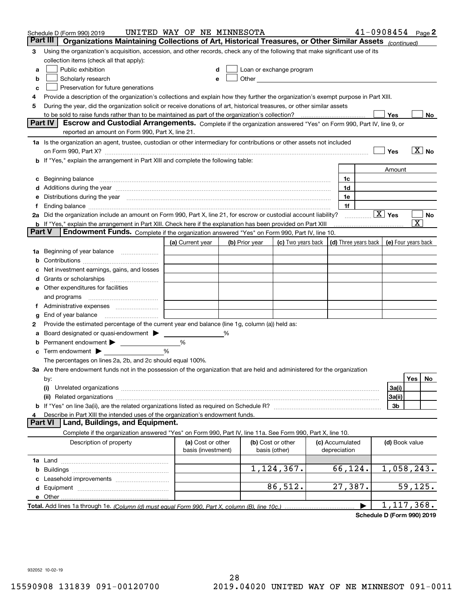|        | Schedule D (Form 990) 2019                                                                                                                                                                                                     | UNITED WAY OF NE MINNESOTA              |   |                |                                                      |                                 |                      | $41 - 0908454$ Page 2  |                       |                            |
|--------|--------------------------------------------------------------------------------------------------------------------------------------------------------------------------------------------------------------------------------|-----------------------------------------|---|----------------|------------------------------------------------------|---------------------------------|----------------------|------------------------|-----------------------|----------------------------|
|        | Part III<br>Organizations Maintaining Collections of Art, Historical Treasures, or Other Similar Assets (continued)                                                                                                            |                                         |   |                |                                                      |                                 |                      |                        |                       |                            |
| 3      | Using the organization's acquisition, accession, and other records, check any of the following that make significant use of its                                                                                                |                                         |   |                |                                                      |                                 |                      |                        |                       |                            |
|        | collection items (check all that apply):                                                                                                                                                                                       |                                         |   |                |                                                      |                                 |                      |                        |                       |                            |
| a      | Public exhibition                                                                                                                                                                                                              | d                                       |   |                | Loan or exchange program                             |                                 |                      |                        |                       |                            |
| b      | Scholarly research                                                                                                                                                                                                             | е                                       |   |                | Other <b>Committee Committee Committee Committee</b> |                                 |                      |                        |                       |                            |
| c      | Preservation for future generations                                                                                                                                                                                            |                                         |   |                |                                                      |                                 |                      |                        |                       |                            |
| 4      | Provide a description of the organization's collections and explain how they further the organization's exempt purpose in Part XIII.                                                                                           |                                         |   |                |                                                      |                                 |                      |                        |                       |                            |
| 5      | During the year, did the organization solicit or receive donations of art, historical treasures, or other similar assets                                                                                                       |                                         |   |                |                                                      |                                 |                      |                        |                       |                            |
|        | to be sold to raise funds rather than to be maintained as part of the organization's collection?                                                                                                                               |                                         |   |                |                                                      |                                 |                      | Yes                    |                       | No                         |
|        | <b>Part IV</b><br>Escrow and Custodial Arrangements. Complete if the organization answered "Yes" on Form 990, Part IV, line 9, or                                                                                              |                                         |   |                |                                                      |                                 |                      |                        |                       |                            |
|        | reported an amount on Form 990, Part X, line 21.                                                                                                                                                                               |                                         |   |                |                                                      |                                 |                      |                        |                       |                            |
|        | 1a Is the organization an agent, trustee, custodian or other intermediary for contributions or other assets not included                                                                                                       |                                         |   |                |                                                      |                                 |                      |                        |                       |                            |
|        | on Form 990, Part X? [11] matter and the contract of the contract of the contract of the contract of the contract of the contract of the contract of the contract of the contract of the contract of the contract of the contr |                                         |   |                |                                                      |                                 |                      | Yes                    |                       | $\overline{\mathbf{X}}$ No |
|        | If "Yes," explain the arrangement in Part XIII and complete the following table:                                                                                                                                               |                                         |   |                |                                                      |                                 |                      |                        |                       |                            |
|        |                                                                                                                                                                                                                                |                                         |   |                |                                                      |                                 |                      | Amount                 |                       |                            |
| c      | Beginning balance                                                                                                                                                                                                              |                                         |   |                |                                                      | 1c                              |                      |                        |                       |                            |
| d      | Additions during the year manufactured and an annual contract of the year manufactured and a set of the year manufactured and a set of the year manufactured and a set of the year manufactured and a set of the set of the se |                                         |   |                |                                                      | 1d                              |                      |                        |                       |                            |
| е      | Distributions during the year measurement contains and all the state of the state of the state of the state of                                                                                                                 |                                         |   |                |                                                      | 1e                              |                      |                        |                       |                            |
|        | Ending balance manufacture contract contract and contract contract contract contract contract contract contract contract contract contract contract contract contract contract contract contract contract contract contract co |                                         |   |                |                                                      | 1f                              |                      | $\boxed{\text{X}}$ Yes |                       |                            |
|        | 2a Did the organization include an amount on Form 990, Part X, line 21, for escrow or custodial account liability?                                                                                                             |                                         |   |                |                                                      |                                 |                      |                        | $\overline{\text{X}}$ | No                         |
| Part V | <b>b</b> If "Yes," explain the arrangement in Part XIII. Check here if the explanation has been provided on Part XIII<br>Endowment Funds. Complete if the organization answered "Yes" on Form 990, Part IV, line 10.           |                                         |   |                |                                                      |                                 |                      |                        |                       |                            |
|        |                                                                                                                                                                                                                                | (a) Current year                        |   | (b) Prior year | (c) Two years back                                   |                                 | (d) Three years back | (e) Four years back    |                       |                            |
| 1a     | Beginning of year balance                                                                                                                                                                                                      |                                         |   |                |                                                      |                                 |                      |                        |                       |                            |
| b      |                                                                                                                                                                                                                                |                                         |   |                |                                                      |                                 |                      |                        |                       |                            |
|        | Net investment earnings, gains, and losses                                                                                                                                                                                     |                                         |   |                |                                                      |                                 |                      |                        |                       |                            |
| a      |                                                                                                                                                                                                                                |                                         |   |                |                                                      |                                 |                      |                        |                       |                            |
| е      | Other expenditures for facilities                                                                                                                                                                                              |                                         |   |                |                                                      |                                 |                      |                        |                       |                            |
|        | and programs                                                                                                                                                                                                                   |                                         |   |                |                                                      |                                 |                      |                        |                       |                            |
| 1.     | Administrative expenses                                                                                                                                                                                                        |                                         |   |                |                                                      |                                 |                      |                        |                       |                            |
| g      | End of year balance                                                                                                                                                                                                            |                                         |   |                |                                                      |                                 |                      |                        |                       |                            |
| 2      | Provide the estimated percentage of the current year end balance (line 1g, column (a)) held as:                                                                                                                                |                                         |   |                |                                                      |                                 |                      |                        |                       |                            |
|        | Board designated or quasi-endowment > ____                                                                                                                                                                                     |                                         | % |                |                                                      |                                 |                      |                        |                       |                            |
| b      |                                                                                                                                                                                                                                | %                                       |   |                |                                                      |                                 |                      |                        |                       |                            |
| c      | Term endowment $\blacktriangleright$                                                                                                                                                                                           | %                                       |   |                |                                                      |                                 |                      |                        |                       |                            |
|        | The percentages on lines 2a, 2b, and 2c should equal 100%.                                                                                                                                                                     |                                         |   |                |                                                      |                                 |                      |                        |                       |                            |
|        | 3a Are there endowment funds not in the possession of the organization that are held and administered for the organization                                                                                                     |                                         |   |                |                                                      |                                 |                      |                        |                       |                            |
|        | by:                                                                                                                                                                                                                            |                                         |   |                |                                                      |                                 |                      |                        | Yes                   | No                         |
|        | (i)                                                                                                                                                                                                                            |                                         |   |                |                                                      |                                 |                      | 3a(i)                  |                       |                            |
|        |                                                                                                                                                                                                                                |                                         |   |                |                                                      |                                 |                      | 3a(ii)                 |                       |                            |
| b      |                                                                                                                                                                                                                                |                                         |   |                |                                                      |                                 |                      | 3b                     |                       |                            |
| 4      | Describe in Part XIII the intended uses of the organization's endowment funds.                                                                                                                                                 |                                         |   |                |                                                      |                                 |                      |                        |                       |                            |
|        | Land, Buildings, and Equipment.<br><b>Part VI</b>                                                                                                                                                                              |                                         |   |                |                                                      |                                 |                      |                        |                       |                            |
|        | Complete if the organization answered "Yes" on Form 990, Part IV, line 11a. See Form 990, Part X, line 10.                                                                                                                     |                                         |   |                |                                                      |                                 |                      |                        |                       |                            |
|        | Description of property                                                                                                                                                                                                        | (a) Cost or other<br>basis (investment) |   |                | (b) Cost or other<br>basis (other)                   | (c) Accumulated<br>depreciation |                      | (d) Book value         |                       |                            |
|        |                                                                                                                                                                                                                                |                                         |   |                |                                                      |                                 |                      |                        |                       |                            |
| b      |                                                                                                                                                                                                                                |                                         |   |                | 1,124,367.                                           | 66,124.                         |                      | 1,058,243.             |                       |                            |
|        |                                                                                                                                                                                                                                |                                         |   |                |                                                      |                                 |                      |                        |                       |                            |
| d      |                                                                                                                                                                                                                                |                                         |   |                | 86,512.                                              | 27,387.                         |                      |                        | 59, 125.              |                            |
|        | e Other                                                                                                                                                                                                                        |                                         |   |                |                                                      |                                 |                      |                        |                       |                            |
|        | Total. Add lines 1a through 1e. (Column (d) must equal Form 990. Part X, column (B), line 10c.)                                                                                                                                |                                         |   |                |                                                      |                                 |                      | 1, 117, 368.           |                       |                            |

**Schedule D (Form 990) 2019**

932052 10-02-19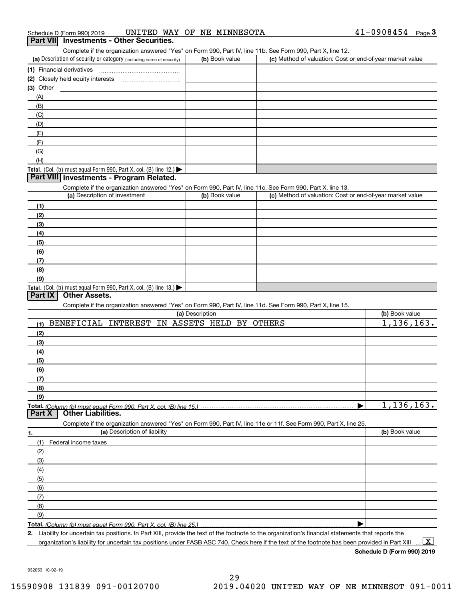| Schedule D (Form 990) 2019 |  |  | UNITED WAY OF NE MINNESOTA | $41 - 0908454$ | Page |  |
|----------------------------|--|--|----------------------------|----------------|------|--|
|                            |  |  |                            |                |      |  |

# **Part VII Investments - Other Securities.**

Complete if the organization answered "Yes" on Form 990, Part IV, line 11b. See Form 990, Part X, line 12.

| (a) Description of security or category (including name of security)                          | (b) Book value | (c) Method of valuation: Cost or end-of-year market value |
|-----------------------------------------------------------------------------------------------|----------------|-----------------------------------------------------------|
| (1) Financial derivatives                                                                     |                |                                                           |
| (2) Closely held equity interests                                                             |                |                                                           |
| $(3)$ Other                                                                                   |                |                                                           |
| (A)                                                                                           |                |                                                           |
| (B)                                                                                           |                |                                                           |
| (C)                                                                                           |                |                                                           |
| (D)                                                                                           |                |                                                           |
| (E)                                                                                           |                |                                                           |
| (F)                                                                                           |                |                                                           |
| (G)                                                                                           |                |                                                           |
| (H)                                                                                           |                |                                                           |
| <b>Total.</b> (Col. (b) must equal Form 990, Part X, col. (B) line 12.) $\blacktriangleright$ |                |                                                           |

## **Part VIII Investments - Program Related.**

Complete if the organization answered "Yes" on Form 990, Part IV, line 11c. See Form 990, Part X, line 13.

| (a) Description of investment                                                                 | (b) Book value | (c) Method of valuation: Cost or end-of-year market value |
|-----------------------------------------------------------------------------------------------|----------------|-----------------------------------------------------------|
| (1)                                                                                           |                |                                                           |
| (2)                                                                                           |                |                                                           |
| (3)                                                                                           |                |                                                           |
| (4)                                                                                           |                |                                                           |
| $\frac{1}{2}$                                                                                 |                |                                                           |
| (6)                                                                                           |                |                                                           |
| (7)                                                                                           |                |                                                           |
| (8)                                                                                           |                |                                                           |
| (9)                                                                                           |                |                                                           |
| <b>Total.</b> (Col. (b) must equal Form 990, Part X, col. (B) line 13.) $\blacktriangleright$ |                |                                                           |

## **Part IX Other Assets.**

Complete if the organization answered "Yes" on Form 990, Part IV, line 11d. See Form 990, Part X, line 15.

|        | (a) Description                                                                                                   | (b) Book value |
|--------|-------------------------------------------------------------------------------------------------------------------|----------------|
| (1)    | BENEFICIAL INTEREST<br>IN ASSETS HELD BY OTHERS                                                                   | 1, 136, 163.   |
| (2)    |                                                                                                                   |                |
| (3)    |                                                                                                                   |                |
| (4)    |                                                                                                                   |                |
| (5)    |                                                                                                                   |                |
| (6)    |                                                                                                                   |                |
| (7)    |                                                                                                                   |                |
| (8)    |                                                                                                                   |                |
| (9)    |                                                                                                                   |                |
| Part X | Total. (Column (b) must equal Form 990, Part X, col. (B) line 15.)<br><b>Other Liabilities.</b>                   | 1, 136, 163.   |
|        |                                                                                                                   |                |
|        |                                                                                                                   |                |
|        | Complete if the organization answered "Yes" on Form 990, Part IV, line 11e or 11f. See Form 990, Part X, line 25. |                |
| 1.     | (a) Description of liability                                                                                      | (b) Book value |
| (1)    | Federal income taxes                                                                                              |                |
| (2)    |                                                                                                                   |                |
| (3)    |                                                                                                                   |                |
| (4)    |                                                                                                                   |                |
| (5)    |                                                                                                                   |                |
| (6)    |                                                                                                                   |                |
| (7)    |                                                                                                                   |                |
| (8)    |                                                                                                                   |                |
| (9)    |                                                                                                                   |                |

**Total.**  *(Column (b) must equal Form 990, Part X, col. (B) line 25.)* 

**2.**Liability for uncertain tax positions. In Part XIII, provide the text of the footnote to the organization's financial statements that reports the organization's liability for uncertain tax positions under FASB ASC 740. Check here if the text of the footnote has been provided in Part XIII  $\boxed{\text{X}}$ 

**Schedule D (Form 990) 2019**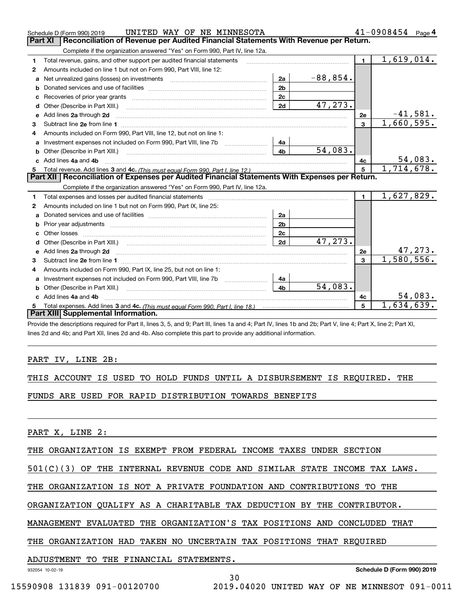|   | UNITED WAY OF NE MINNESOTA<br>Schedule D (Form 990) 2019                                                                |                |            |                | $41 - 0908454$ Page 4 |
|---|-------------------------------------------------------------------------------------------------------------------------|----------------|------------|----------------|-----------------------|
|   | Reconciliation of Revenue per Audited Financial Statements With Revenue per Return.<br>Part XI                          |                |            |                |                       |
|   | Complete if the organization answered "Yes" on Form 990, Part IV, line 12a.                                             |                |            |                |                       |
| 1 | Total revenue, gains, and other support per audited financial statements                                                |                |            | $\blacksquare$ | 1,619,014.            |
| 2 | Amounts included on line 1 but not on Form 990, Part VIII, line 12:                                                     |                |            |                |                       |
| a |                                                                                                                         | 2a             | $-88,854.$ |                |                       |
| b |                                                                                                                         | 2 <sub>b</sub> |            |                |                       |
|   |                                                                                                                         | 2c             |            |                |                       |
| d | Other (Describe in Part XIII.)                                                                                          | 2d             | 47,273.    |                |                       |
| e | Add lines 2a through 2d                                                                                                 |                |            | <b>2e</b>      | $-41,581.$            |
| 3 |                                                                                                                         |                |            | $\mathbf{3}$   | 1,660,595.            |
| 4 | Amounts included on Form 990, Part VIII, line 12, but not on line 1:                                                    |                |            |                |                       |
| a |                                                                                                                         | 4a             |            |                |                       |
|   |                                                                                                                         | 4 <sub>b</sub> | 54,083.    |                |                       |
|   | c Add lines 4a and 4b                                                                                                   |                |            | 4с             | 54,083.               |
|   |                                                                                                                         |                |            | 5              | 1,714,678.            |
|   | Part XII   Reconciliation of Expenses per Audited Financial Statements With Expenses per Return.                        |                |            |                |                       |
|   |                                                                                                                         |                |            |                |                       |
|   | Complete if the organization answered "Yes" on Form 990, Part IV, line 12a.                                             |                |            |                |                       |
| 1 | Total expenses and losses per audited financial statements                                                              |                |            | $\mathbf{1}$   | 1,627,829.            |
| 2 | Amounts included on line 1 but not on Form 990, Part IX, line 25:                                                       |                |            |                |                       |
| a |                                                                                                                         | 2a             |            |                |                       |
| b |                                                                                                                         | 2 <sub>b</sub> |            |                |                       |
|   |                                                                                                                         | 2c             |            |                |                       |
| d |                                                                                                                         | 2d             | 47,273.    |                |                       |
| e |                                                                                                                         |                |            | 2e             | <u>47,273.</u>        |
| з | Add lines 2a through 2d <b>contract and a contract and a contract a</b> contract a contract and a contract a contract a |                |            | 3              | 1,580,556.            |
| 4 | Amounts included on Form 990, Part IX, line 25, but not on line 1:                                                      |                |            |                |                       |
| a | Investment expenses not included on Form 990, Part VIII, line 7b [1000000000000000000000000000000000                    | 4a             |            |                |                       |
| b | Other (Describe in Part XIII.)                                                                                          | 4 <sub>b</sub> | 54,083.    |                |                       |
|   | c Add lines 4a and 4b                                                                                                   |                |            | 4c             | 54,083.               |
|   | Total expenses. Add lines 3 and 4c. (This must equal Form 990, Part I, line 18.) <b>Conservers</b> manufactured in the  |                |            | 5              | 1,634,639.            |
|   | Part XIII Supplemental Information.                                                                                     |                |            |                |                       |

Provide the descriptions required for Part II, lines 3, 5, and 9; Part III, lines 1a and 4; Part IV, lines 1b and 2b; Part V, line 4; Part X, line 2; Part XI, lines 2d and 4b; and Part XII, lines 2d and 4b. Also complete this part to provide any additional information.

# PART IV, LINE 2B:

|  |  |  |  |  |  |  |  |  | THIS ACCOUNT IS USED TO HOLD FUNDS UNTIL A DISBURSEMENT IS REQUIRED. THE |  |  |  |
|--|--|--|--|--|--|--|--|--|--------------------------------------------------------------------------|--|--|--|
|--|--|--|--|--|--|--|--|--|--------------------------------------------------------------------------|--|--|--|

FUNDS ARE USED FOR RAPID DISTRIBUTION TOWARDS BENEFITS

PART X, LINE 2:

THE ORGANIZATION IS EXEMPT FROM FEDERAL INCOME TAXES UNDER SECTION

501(C)(3) OF THE INTERNAL REVENUE CODE AND SIMILAR STATE INCOME TAX LAWS.

THE ORGANIZATION IS NOT A PRIVATE FOUNDATION AND CONTRIBUTIONS TO THE

ORGANIZATION QUALIFY AS A CHARITABLE TAX DEDUCTION BY THE CONTRIBUTOR.

MANAGEMENT EVALUATED THE ORGANIZATION'S TAX POSITIONS AND CONCLUDED THAT

THE ORGANIZATION HAD TAKEN NO UNCERTAIN TAX POSITIONS THAT REQUIRED

## ADJUSTMENT TO THE FINANCIAL STATEMENTS.

932054 10-02-19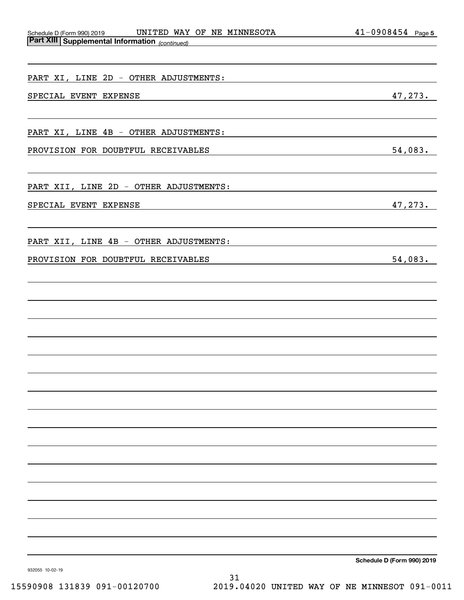| Schedule D (Form 990) 2019 |                                                       | UNITED |  | WAY OF NE MINNESOTA | 0908454 | Page 5 |
|----------------------------|-------------------------------------------------------|--------|--|---------------------|---------|--------|
|                            | <b>Part XIII Supplemental Information</b> (continued) |        |  |                     |         |        |

| PART XI, LINE 2D - OTHER ADJUSTMENTS:                                                                                                                        |            |
|--------------------------------------------------------------------------------------------------------------------------------------------------------------|------------|
| SPECIAL EVENT EXPENSE<br><u> 1989 - Johann Stein, mars an de Brazilian (b. 1989)</u>                                                                         | 47,273.    |
| PART XI, LINE 4B - OTHER ADJUSTMENTS:                                                                                                                        |            |
| PROVISION FOR DOUBTFUL RECEIVABLES<br><u> 1989 - Johann Stoff, deutscher Stoffen und der Stoffen und der Stoffen und der Stoffen und der Stoffen und der</u> | $54,083$ . |
| PART XII, LINE 2D - OTHER ADJUSTMENTS:                                                                                                                       |            |
| SPECIAL EVENT EXPENSE                                                                                                                                        | 47,273.    |
| PART XII, LINE 4B - OTHER ADJUSTMENTS:                                                                                                                       |            |
| PROVISION FOR DOUBTFUL RECEIVABLES                                                                                                                           | 54,083.    |
|                                                                                                                                                              |            |
|                                                                                                                                                              |            |
|                                                                                                                                                              |            |
|                                                                                                                                                              |            |
|                                                                                                                                                              |            |
|                                                                                                                                                              |            |
|                                                                                                                                                              |            |
|                                                                                                                                                              |            |
|                                                                                                                                                              |            |
|                                                                                                                                                              |            |
|                                                                                                                                                              |            |

**Schedule D (Form 990) 2019**

932055 10-02-19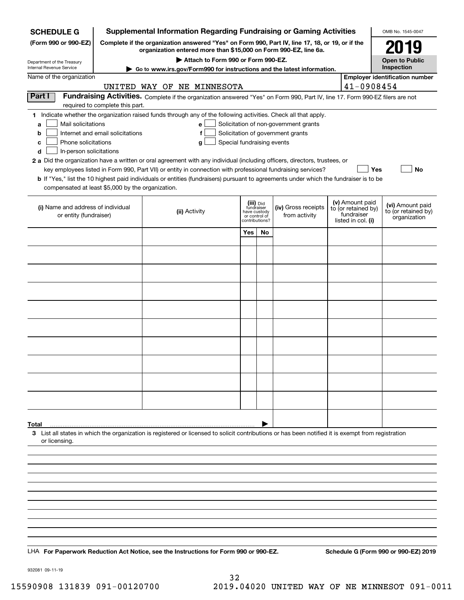| <b>SCHEDULE G</b>                                                                        | <b>Supplemental Information Regarding Fundraising or Gaming Activities</b><br>OMB No. 1545-0047                                                                     |                                                                                                                                                                                                                                                                                                                                                                                                                                                                                                                                                           |                                                                            |    |                                                                            |  |                                                                            |                                                         |
|------------------------------------------------------------------------------------------|---------------------------------------------------------------------------------------------------------------------------------------------------------------------|-----------------------------------------------------------------------------------------------------------------------------------------------------------------------------------------------------------------------------------------------------------------------------------------------------------------------------------------------------------------------------------------------------------------------------------------------------------------------------------------------------------------------------------------------------------|----------------------------------------------------------------------------|----|----------------------------------------------------------------------------|--|----------------------------------------------------------------------------|---------------------------------------------------------|
| (Form 990 or 990-EZ)                                                                     | Complete if the organization answered "Yes" on Form 990, Part IV, line 17, 18, or 19, or if the<br>organization entered more than \$15,000 on Form 990-EZ, line 6a. | 2019                                                                                                                                                                                                                                                                                                                                                                                                                                                                                                                                                      |                                                                            |    |                                                                            |  |                                                                            |                                                         |
| Department of the Treasury<br>Internal Revenue Service                                   | Attach to Form 990 or Form 990-EZ.<br><b>Open to Public</b><br>Inspection<br>Go to www.irs.gov/Form990 for instructions and the latest information.                 |                                                                                                                                                                                                                                                                                                                                                                                                                                                                                                                                                           |                                                                            |    |                                                                            |  |                                                                            |                                                         |
| Name of the organization                                                                 |                                                                                                                                                                     |                                                                                                                                                                                                                                                                                                                                                                                                                                                                                                                                                           |                                                                            |    |                                                                            |  |                                                                            | <b>Employer identification number</b>                   |
|                                                                                          |                                                                                                                                                                     | UNITED WAY OF NE MINNESOTA                                                                                                                                                                                                                                                                                                                                                                                                                                                                                                                                |                                                                            |    |                                                                            |  | 41-0908454                                                                 |                                                         |
| Part I                                                                                   | required to complete this part.                                                                                                                                     | Fundraising Activities. Complete if the organization answered "Yes" on Form 990, Part IV, line 17. Form 990-EZ filers are not                                                                                                                                                                                                                                                                                                                                                                                                                             |                                                                            |    |                                                                            |  |                                                                            |                                                         |
| Mail solicitations<br>a<br>b<br>Phone solicitations<br>с<br>In-person solicitations<br>d | Internet and email solicitations                                                                                                                                    | 1 Indicate whether the organization raised funds through any of the following activities. Check all that apply.<br>e<br>f<br>Special fundraising events<br>g<br>2 a Did the organization have a written or oral agreement with any individual (including officers, directors, trustees, or<br>key employees listed in Form 990, Part VII) or entity in connection with professional fundraising services?<br><b>b</b> If "Yes," list the 10 highest paid individuals or entities (fundraisers) pursuant to agreements under which the fundraiser is to be |                                                                            |    | Solicitation of non-government grants<br>Solicitation of government grants |  | Yes                                                                        | No                                                      |
| compensated at least \$5,000 by the organization.                                        |                                                                                                                                                                     |                                                                                                                                                                                                                                                                                                                                                                                                                                                                                                                                                           |                                                                            |    |                                                                            |  |                                                                            |                                                         |
| (i) Name and address of individual<br>or entity (fundraiser)                             |                                                                                                                                                                     | (ii) Activity                                                                                                                                                                                                                                                                                                                                                                                                                                                                                                                                             | (iii) Did<br>fundraiser<br>have custody<br>or control of<br>contributions? |    | (iv) Gross receipts<br>from activity                                       |  | (v) Amount paid<br>to (or retained by)<br>fundraiser<br>listed in col. (i) | (vi) Amount paid<br>to (or retained by)<br>organization |
|                                                                                          |                                                                                                                                                                     |                                                                                                                                                                                                                                                                                                                                                                                                                                                                                                                                                           | Yes                                                                        | No |                                                                            |  |                                                                            |                                                         |
|                                                                                          |                                                                                                                                                                     |                                                                                                                                                                                                                                                                                                                                                                                                                                                                                                                                                           |                                                                            |    |                                                                            |  |                                                                            |                                                         |
|                                                                                          |                                                                                                                                                                     |                                                                                                                                                                                                                                                                                                                                                                                                                                                                                                                                                           |                                                                            |    |                                                                            |  |                                                                            |                                                         |
|                                                                                          |                                                                                                                                                                     |                                                                                                                                                                                                                                                                                                                                                                                                                                                                                                                                                           |                                                                            |    |                                                                            |  |                                                                            |                                                         |
|                                                                                          |                                                                                                                                                                     |                                                                                                                                                                                                                                                                                                                                                                                                                                                                                                                                                           |                                                                            |    |                                                                            |  |                                                                            |                                                         |
|                                                                                          |                                                                                                                                                                     |                                                                                                                                                                                                                                                                                                                                                                                                                                                                                                                                                           |                                                                            |    |                                                                            |  |                                                                            |                                                         |
|                                                                                          |                                                                                                                                                                     |                                                                                                                                                                                                                                                                                                                                                                                                                                                                                                                                                           |                                                                            |    |                                                                            |  |                                                                            |                                                         |
|                                                                                          |                                                                                                                                                                     |                                                                                                                                                                                                                                                                                                                                                                                                                                                                                                                                                           |                                                                            |    |                                                                            |  |                                                                            |                                                         |
|                                                                                          |                                                                                                                                                                     |                                                                                                                                                                                                                                                                                                                                                                                                                                                                                                                                                           |                                                                            |    |                                                                            |  |                                                                            |                                                         |
|                                                                                          |                                                                                                                                                                     |                                                                                                                                                                                                                                                                                                                                                                                                                                                                                                                                                           |                                                                            |    |                                                                            |  |                                                                            |                                                         |
|                                                                                          |                                                                                                                                                                     |                                                                                                                                                                                                                                                                                                                                                                                                                                                                                                                                                           |                                                                            |    |                                                                            |  |                                                                            |                                                         |
|                                                                                          |                                                                                                                                                                     |                                                                                                                                                                                                                                                                                                                                                                                                                                                                                                                                                           |                                                                            |    |                                                                            |  |                                                                            |                                                         |
|                                                                                          |                                                                                                                                                                     |                                                                                                                                                                                                                                                                                                                                                                                                                                                                                                                                                           |                                                                            |    |                                                                            |  |                                                                            |                                                         |
| Total<br>or licensing.                                                                   |                                                                                                                                                                     | 3 List all states in which the organization is registered or licensed to solicit contributions or has been notified it is exempt from registration                                                                                                                                                                                                                                                                                                                                                                                                        |                                                                            |    |                                                                            |  |                                                                            |                                                         |
|                                                                                          |                                                                                                                                                                     |                                                                                                                                                                                                                                                                                                                                                                                                                                                                                                                                                           |                                                                            |    |                                                                            |  |                                                                            |                                                         |
|                                                                                          |                                                                                                                                                                     |                                                                                                                                                                                                                                                                                                                                                                                                                                                                                                                                                           |                                                                            |    |                                                                            |  |                                                                            |                                                         |
|                                                                                          |                                                                                                                                                                     |                                                                                                                                                                                                                                                                                                                                                                                                                                                                                                                                                           |                                                                            |    |                                                                            |  |                                                                            |                                                         |
|                                                                                          |                                                                                                                                                                     |                                                                                                                                                                                                                                                                                                                                                                                                                                                                                                                                                           |                                                                            |    |                                                                            |  |                                                                            |                                                         |
|                                                                                          |                                                                                                                                                                     |                                                                                                                                                                                                                                                                                                                                                                                                                                                                                                                                                           |                                                                            |    |                                                                            |  |                                                                            |                                                         |
|                                                                                          |                                                                                                                                                                     |                                                                                                                                                                                                                                                                                                                                                                                                                                                                                                                                                           |                                                                            |    |                                                                            |  |                                                                            |                                                         |
|                                                                                          |                                                                                                                                                                     |                                                                                                                                                                                                                                                                                                                                                                                                                                                                                                                                                           |                                                                            |    |                                                                            |  |                                                                            |                                                         |
|                                                                                          |                                                                                                                                                                     | LHA For Paperwork Reduction Act Notice, see the Instructions for Form 990 or 990-EZ.                                                                                                                                                                                                                                                                                                                                                                                                                                                                      |                                                                            |    |                                                                            |  |                                                                            | Schedule G (Form 990 or 990-EZ) 2019                    |

932081 09-11-19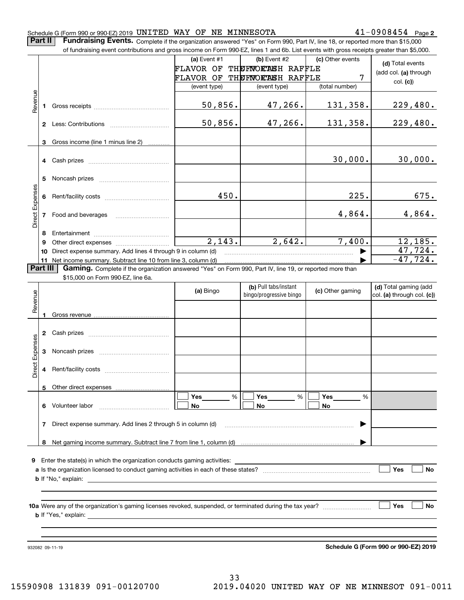|                 | $41 - 0908454$ Page 2<br>Schedule G (Form 990 or 990-EZ) 2019 UNITED WAY OF NE MINNESOTA<br>Part II<br>Fundraising Events. Complete if the organization answered "Yes" on Form 990, Part IV, line 18, or reported more than \$15,000 |                                                                                                                                           |              |                         |                  |                                      |  |  |  |
|-----------------|--------------------------------------------------------------------------------------------------------------------------------------------------------------------------------------------------------------------------------------|-------------------------------------------------------------------------------------------------------------------------------------------|--------------|-------------------------|------------------|--------------------------------------|--|--|--|
|                 |                                                                                                                                                                                                                                      |                                                                                                                                           |              |                         |                  |                                      |  |  |  |
|                 |                                                                                                                                                                                                                                      | of fundraising event contributions and gross income on Form 990-EZ, lines 1 and 6b. List events with gross receipts greater than \$5,000. |              |                         |                  |                                      |  |  |  |
|                 |                                                                                                                                                                                                                                      |                                                                                                                                           | (a) Event #1 | (b) Event #2            | (c) Other events | (d) Total events                     |  |  |  |
|                 |                                                                                                                                                                                                                                      |                                                                                                                                           | FLAVOR OF    | THUFWORTHEH RAFFLE      |                  | (add col. (a) through                |  |  |  |
|                 |                                                                                                                                                                                                                                      |                                                                                                                                           | FLAVOR OF    | THEFNORTHEH RAFFLE      | 7                | col. (c)                             |  |  |  |
|                 |                                                                                                                                                                                                                                      |                                                                                                                                           | (event type) | (event type)            | (total number)   |                                      |  |  |  |
| Revenue         | 1                                                                                                                                                                                                                                    |                                                                                                                                           | 50,856.      | 47,266.                 | <u>131,358.</u>  | <u>229,480.</u>                      |  |  |  |
|                 |                                                                                                                                                                                                                                      |                                                                                                                                           | 50,856.      | 47,266.                 | 131,358.         | 229,480.                             |  |  |  |
|                 |                                                                                                                                                                                                                                      |                                                                                                                                           |              |                         |                  |                                      |  |  |  |
|                 | 3                                                                                                                                                                                                                                    | Gross income (line 1 minus line 2)                                                                                                        |              |                         |                  |                                      |  |  |  |
|                 |                                                                                                                                                                                                                                      |                                                                                                                                           |              |                         |                  |                                      |  |  |  |
|                 | 4                                                                                                                                                                                                                                    |                                                                                                                                           |              |                         | 30,000.          | 30,000.                              |  |  |  |
|                 |                                                                                                                                                                                                                                      |                                                                                                                                           |              |                         |                  |                                      |  |  |  |
|                 | 5                                                                                                                                                                                                                                    |                                                                                                                                           |              |                         |                  |                                      |  |  |  |
|                 |                                                                                                                                                                                                                                      |                                                                                                                                           |              |                         |                  |                                      |  |  |  |
|                 | 6                                                                                                                                                                                                                                    |                                                                                                                                           | 450.         |                         | 225.             | 675.                                 |  |  |  |
| Direct Expenses |                                                                                                                                                                                                                                      |                                                                                                                                           |              |                         |                  |                                      |  |  |  |
|                 | 7                                                                                                                                                                                                                                    |                                                                                                                                           |              |                         | 4,864.           | 4,864.                               |  |  |  |
|                 |                                                                                                                                                                                                                                      |                                                                                                                                           |              |                         |                  |                                      |  |  |  |
|                 | 8                                                                                                                                                                                                                                    |                                                                                                                                           |              |                         |                  |                                      |  |  |  |
|                 | 9                                                                                                                                                                                                                                    |                                                                                                                                           | 2,143.       | 2,642.                  | 7,400.           | 12, 185.                             |  |  |  |
|                 | 10                                                                                                                                                                                                                                   | Direct expense summary. Add lines 4 through 9 in column (d)                                                                               |              |                         |                  | 47,724.                              |  |  |  |
|                 |                                                                                                                                                                                                                                      | 11 Net income summary. Subtract line 10 from line 3, column (d)                                                                           |              |                         |                  | $-47,724.$                           |  |  |  |
|                 | Part III                                                                                                                                                                                                                             | Gaming. Complete if the organization answered "Yes" on Form 990, Part IV, line 19, or reported more than                                  |              |                         |                  |                                      |  |  |  |
|                 |                                                                                                                                                                                                                                      | \$15,000 on Form 990-EZ, line 6a.                                                                                                         |              |                         |                  |                                      |  |  |  |
|                 |                                                                                                                                                                                                                                      |                                                                                                                                           | (a) Bingo    | (b) Pull tabs/instant   | (c) Other gaming | (d) Total gaming (add                |  |  |  |
| Revenue         |                                                                                                                                                                                                                                      |                                                                                                                                           |              | bingo/progressive bingo |                  | col. (a) through col. (c))           |  |  |  |
|                 |                                                                                                                                                                                                                                      |                                                                                                                                           |              |                         |                  |                                      |  |  |  |
|                 | 1                                                                                                                                                                                                                                    |                                                                                                                                           |              |                         |                  |                                      |  |  |  |
|                 |                                                                                                                                                                                                                                      |                                                                                                                                           |              |                         |                  |                                      |  |  |  |
|                 | 2                                                                                                                                                                                                                                    |                                                                                                                                           |              |                         |                  |                                      |  |  |  |
| Expenses        |                                                                                                                                                                                                                                      |                                                                                                                                           |              |                         |                  |                                      |  |  |  |
|                 | 3                                                                                                                                                                                                                                    |                                                                                                                                           |              |                         |                  |                                      |  |  |  |
| ä               |                                                                                                                                                                                                                                      |                                                                                                                                           |              |                         |                  |                                      |  |  |  |
| έ               |                                                                                                                                                                                                                                      |                                                                                                                                           |              |                         |                  |                                      |  |  |  |
|                 |                                                                                                                                                                                                                                      |                                                                                                                                           |              |                         |                  |                                      |  |  |  |
|                 |                                                                                                                                                                                                                                      |                                                                                                                                           |              |                         |                  |                                      |  |  |  |
|                 |                                                                                                                                                                                                                                      |                                                                                                                                           | Yes<br>%     | %<br>Yes                | Yes<br>%         |                                      |  |  |  |
|                 |                                                                                                                                                                                                                                      | 6 Volunteer labor                                                                                                                         | No           | No.                     | No               |                                      |  |  |  |
|                 |                                                                                                                                                                                                                                      |                                                                                                                                           |              |                         |                  |                                      |  |  |  |
|                 | 7                                                                                                                                                                                                                                    | Direct expense summary. Add lines 2 through 5 in column (d)                                                                               |              |                         | ▶                |                                      |  |  |  |
|                 |                                                                                                                                                                                                                                      |                                                                                                                                           |              |                         |                  |                                      |  |  |  |
|                 |                                                                                                                                                                                                                                      |                                                                                                                                           |              |                         |                  |                                      |  |  |  |
|                 |                                                                                                                                                                                                                                      |                                                                                                                                           |              |                         |                  |                                      |  |  |  |
| 9               |                                                                                                                                                                                                                                      |                                                                                                                                           |              |                         |                  |                                      |  |  |  |
|                 | Yes<br>No                                                                                                                                                                                                                            |                                                                                                                                           |              |                         |                  |                                      |  |  |  |
|                 |                                                                                                                                                                                                                                      |                                                                                                                                           |              |                         |                  |                                      |  |  |  |
|                 |                                                                                                                                                                                                                                      |                                                                                                                                           |              |                         |                  |                                      |  |  |  |
|                 |                                                                                                                                                                                                                                      |                                                                                                                                           |              |                         |                  |                                      |  |  |  |
|                 |                                                                                                                                                                                                                                      |                                                                                                                                           |              |                         |                  | Yes<br>No                            |  |  |  |
|                 |                                                                                                                                                                                                                                      |                                                                                                                                           |              |                         |                  |                                      |  |  |  |
|                 |                                                                                                                                                                                                                                      |                                                                                                                                           |              |                         |                  |                                      |  |  |  |
|                 |                                                                                                                                                                                                                                      |                                                                                                                                           |              |                         |                  |                                      |  |  |  |
|                 |                                                                                                                                                                                                                                      |                                                                                                                                           |              |                         |                  | Schedule G (Form 990 or 990-EZ) 2019 |  |  |  |
|                 |                                                                                                                                                                                                                                      | 932082 09-11-19                                                                                                                           |              |                         |                  |                                      |  |  |  |

**Schedule G (Form 990 or 990-EZ) 2019**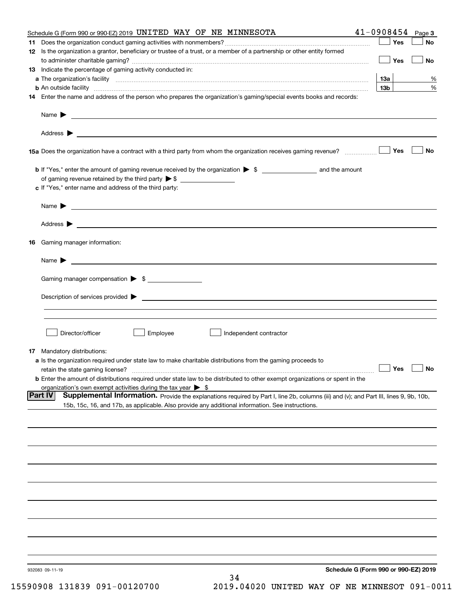| Schedule G (Form 990 or 990-EZ) 2019 UNITED WAY OF NE MINNESOTA                                                                                                                                                                          | $41 - 0908454$ Page 3                |           |
|------------------------------------------------------------------------------------------------------------------------------------------------------------------------------------------------------------------------------------------|--------------------------------------|-----------|
|                                                                                                                                                                                                                                          | Yes                                  | No        |
| 12 Is the organization a grantor, beneficiary or trustee of a trust, or a member of a partnership or other entity formed                                                                                                                 | Yes                                  | <b>No</b> |
| 13 Indicate the percentage of gaming activity conducted in:                                                                                                                                                                              |                                      |           |
|                                                                                                                                                                                                                                          | <u>13a</u>                           | %         |
| <b>b</b> An outside facility <i>www.communicality www.communicality.communicality www.communicality www.communicality.communicality www.communicality.com</i>                                                                            | 13 <sub>b</sub>                      | %         |
| 14 Enter the name and address of the person who prepares the organization's gaming/special events books and records:                                                                                                                     |                                      |           |
|                                                                                                                                                                                                                                          |                                      |           |
|                                                                                                                                                                                                                                          |                                      |           |
|                                                                                                                                                                                                                                          |                                      |           |
| 15a Does the organization have a contract with a third party from whom the organization receives gaming revenue?                                                                                                                         | Yes                                  | No        |
| <b>b</b> If "Yes," enter the amount of gaming revenue received by the organization $\triangleright$ \$ ____________________ and the amount                                                                                               |                                      |           |
|                                                                                                                                                                                                                                          |                                      |           |
| c If "Yes," enter name and address of the third party:                                                                                                                                                                                   |                                      |           |
|                                                                                                                                                                                                                                          |                                      |           |
| Name $\blacktriangleright$ $\_\_$                                                                                                                                                                                                        |                                      |           |
|                                                                                                                                                                                                                                          |                                      |           |
|                                                                                                                                                                                                                                          |                                      |           |
| 16 Gaming manager information:                                                                                                                                                                                                           |                                      |           |
|                                                                                                                                                                                                                                          |                                      |           |
| Name $\blacktriangleright$ $\frac{1}{\sqrt{1-\frac{1}{2}}\left(1-\frac{1}{2}\right)}$                                                                                                                                                    |                                      |           |
| Gaming manager compensation > \$                                                                                                                                                                                                         |                                      |           |
|                                                                                                                                                                                                                                          |                                      |           |
|                                                                                                                                                                                                                                          |                                      |           |
|                                                                                                                                                                                                                                          |                                      |           |
|                                                                                                                                                                                                                                          |                                      |           |
| Director/officer<br>Employee<br>∫ Independent contractor                                                                                                                                                                                 |                                      |           |
|                                                                                                                                                                                                                                          |                                      |           |
| 17 Mandatory distributions:                                                                                                                                                                                                              |                                      |           |
| a Is the organization required under state law to make charitable distributions from the gaming proceeds to                                                                                                                              |                                      |           |
| retain the state gaming license?                                                                                                                                                                                                         | $\Box$ Yes $\Box$ No                 |           |
| <b>b</b> Enter the amount of distributions required under state law to be distributed to other exempt organizations or spent in the                                                                                                      |                                      |           |
| organization's own exempt activities during the tax year $\triangleright$ \$<br><b>Part IV</b><br>Supplemental Information. Provide the explanations required by Part I, line 2b, columns (iii) and (v); and Part III, lines 9, 9b, 10b, |                                      |           |
| 15b, 15c, 16, and 17b, as applicable. Also provide any additional information. See instructions.                                                                                                                                         |                                      |           |
|                                                                                                                                                                                                                                          |                                      |           |
|                                                                                                                                                                                                                                          |                                      |           |
|                                                                                                                                                                                                                                          |                                      |           |
|                                                                                                                                                                                                                                          |                                      |           |
|                                                                                                                                                                                                                                          |                                      |           |
|                                                                                                                                                                                                                                          |                                      |           |
|                                                                                                                                                                                                                                          |                                      |           |
|                                                                                                                                                                                                                                          |                                      |           |
|                                                                                                                                                                                                                                          |                                      |           |
|                                                                                                                                                                                                                                          |                                      |           |
|                                                                                                                                                                                                                                          |                                      |           |
|                                                                                                                                                                                                                                          |                                      |           |
|                                                                                                                                                                                                                                          |                                      |           |
|                                                                                                                                                                                                                                          |                                      |           |
|                                                                                                                                                                                                                                          |                                      |           |
| 932083 09-11-19                                                                                                                                                                                                                          | Schedule G (Form 990 or 990-EZ) 2019 |           |
| 34                                                                                                                                                                                                                                       |                                      |           |
|                                                                                                                                                                                                                                          |                                      |           |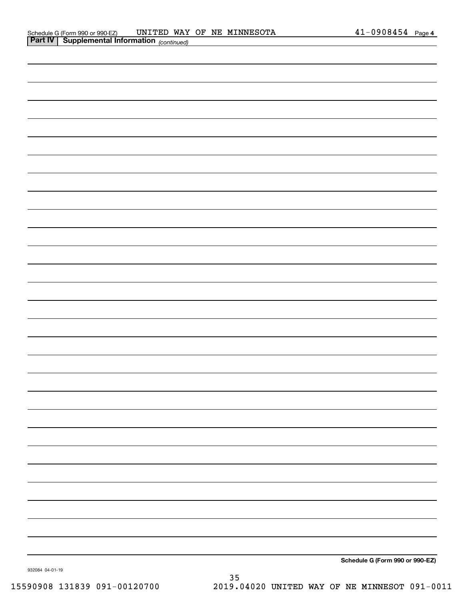|                 | <b>Part IV Supplemental Information</b> (continued) |  |                                 |
|-----------------|-----------------------------------------------------|--|---------------------------------|
|                 |                                                     |  |                                 |
|                 |                                                     |  |                                 |
|                 |                                                     |  |                                 |
|                 |                                                     |  |                                 |
|                 |                                                     |  |                                 |
|                 |                                                     |  |                                 |
|                 |                                                     |  |                                 |
|                 |                                                     |  |                                 |
|                 |                                                     |  |                                 |
|                 |                                                     |  |                                 |
|                 |                                                     |  |                                 |
|                 |                                                     |  |                                 |
|                 |                                                     |  |                                 |
|                 |                                                     |  |                                 |
|                 |                                                     |  |                                 |
|                 |                                                     |  |                                 |
|                 |                                                     |  |                                 |
|                 |                                                     |  |                                 |
|                 |                                                     |  |                                 |
|                 |                                                     |  |                                 |
|                 |                                                     |  |                                 |
|                 |                                                     |  |                                 |
|                 |                                                     |  |                                 |
|                 |                                                     |  |                                 |
|                 |                                                     |  |                                 |
|                 |                                                     |  |                                 |
|                 |                                                     |  |                                 |
|                 |                                                     |  |                                 |
|                 |                                                     |  | Schedule G (Form 990 or 990-EZ) |
| 932084 04-01-19 |                                                     |  |                                 |

932084 04-01-19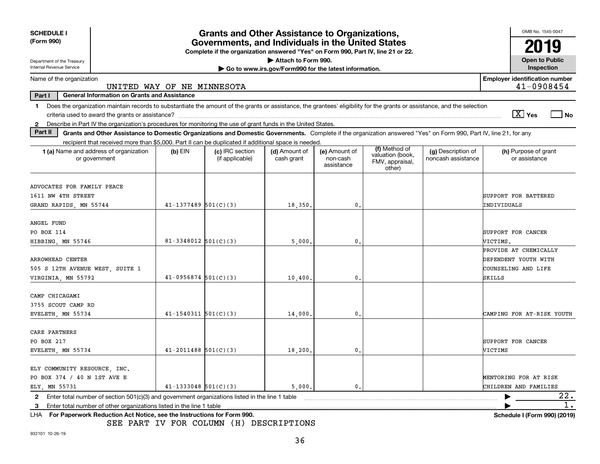| <b>SCHEDULE I</b><br>(Form 990)                                                                                                                                                                                                                                                                                 | <b>Grants and Other Assistance to Organizations,</b><br>Governments, and Individuals in the United States |                            |                                                                                                     |                                                                              |                                         |                                                                |                                                                                                                                                                    |                                                                                |
|-----------------------------------------------------------------------------------------------------------------------------------------------------------------------------------------------------------------------------------------------------------------------------------------------------------------|-----------------------------------------------------------------------------------------------------------|----------------------------|-----------------------------------------------------------------------------------------------------|------------------------------------------------------------------------------|-----------------------------------------|----------------------------------------------------------------|--------------------------------------------------------------------------------------------------------------------------------------------------------------------|--------------------------------------------------------------------------------|
|                                                                                                                                                                                                                                                                                                                 |                                                                                                           |                            | Complete if the organization answered "Yes" on Form 990, Part IV, line 21 or 22.                    |                                                                              |                                         |                                                                |                                                                                                                                                                    | 2019                                                                           |
| Department of the Treasury<br>Internal Revenue Service                                                                                                                                                                                                                                                          |                                                                                                           |                            |                                                                                                     | Attach to Form 990.<br>Go to www.irs.gov/Form990 for the latest information. |                                         |                                                                |                                                                                                                                                                    | <b>Open to Public</b><br>Inspection                                            |
| Name of the organization                                                                                                                                                                                                                                                                                        | UNITED WAY OF NE MINNESOTA                                                                                |                            |                                                                                                     |                                                                              |                                         |                                                                |                                                                                                                                                                    | <b>Employer identification number</b><br>41-0908454                            |
| Part I                                                                                                                                                                                                                                                                                                          | <b>General Information on Grants and Assistance</b>                                                       |                            |                                                                                                     |                                                                              |                                         |                                                                |                                                                                                                                                                    |                                                                                |
| Does the organization maintain records to substantiate the amount of the grants or assistance, the grantees' eligibility for the grants or assistance, and the selection<br>1.<br>Describe in Part IV the organization's procedures for monitoring the use of grant funds in the United States.<br>$\mathbf{2}$ |                                                                                                           |                            |                                                                                                     |                                                                              |                                         |                                                                |                                                                                                                                                                    | $\boxed{\text{X}}$ Yes<br>l No                                                 |
| Part II                                                                                                                                                                                                                                                                                                         |                                                                                                           |                            |                                                                                                     |                                                                              |                                         |                                                                | Grants and Other Assistance to Domestic Organizations and Domestic Governments. Complete if the organization answered "Yes" on Form 990, Part IV, line 21, for any |                                                                                |
|                                                                                                                                                                                                                                                                                                                 |                                                                                                           |                            | recipient that received more than \$5,000. Part II can be duplicated if additional space is needed. |                                                                              |                                         |                                                                |                                                                                                                                                                    |                                                                                |
| 1 (a) Name and address of organization<br>or government                                                                                                                                                                                                                                                         |                                                                                                           | $(b)$ EIN                  | (c) IRC section<br>(if applicable)                                                                  | (d) Amount of<br>cash grant                                                  | (e) Amount of<br>non-cash<br>assistance | (f) Method of<br>valuation (book,<br>FMV, appraisal,<br>other) | (g) Description of<br>noncash assistance                                                                                                                           | (h) Purpose of grant<br>or assistance                                          |
| ADVOCATES FOR FAMILY PEACE<br>1611 NW 4TH STREET<br>GRAND RAPIDS, MN 55744                                                                                                                                                                                                                                      |                                                                                                           | $41 - 1377489$ 501(C)(3)   |                                                                                                     | 18,350.                                                                      | 0.                                      |                                                                |                                                                                                                                                                    | SUPPORT FOR BATTERED<br>INDIVIDUALS                                            |
| ANGEL FUND<br>PO BOX 114<br>HIBBING, MN 55746                                                                                                                                                                                                                                                                   |                                                                                                           | 81-3348012 $501(C)(3)$     |                                                                                                     | 5,000.                                                                       | 0.                                      |                                                                |                                                                                                                                                                    | SUPPORT FOR CANCER<br>VICTIMS.                                                 |
| ARROWHEAD CENTER<br>505 S 12TH AVENUE WEST, SUITE 1<br>VIRGINIA, MN 55792                                                                                                                                                                                                                                       |                                                                                                           | $41-0956874$ 501(C)(3)     |                                                                                                     | 10,400                                                                       | 0                                       |                                                                |                                                                                                                                                                    | PROVIDE AT CHEMICALLY<br>DEPENDENT YOUTH WITH<br>COUNSELING AND LIFE<br>SKILLS |
| CAMP CHICAGAMI<br>3755 SCOUT CAMP RD<br>EVELETH MN 55734                                                                                                                                                                                                                                                        |                                                                                                           | $41 - 1540311$ $501(C)(3)$ |                                                                                                     | 14,000                                                                       | 0.                                      |                                                                |                                                                                                                                                                    | CAMPING FOR AT-RISK YOUTH                                                      |
| CARE PARTNERS<br>PO BOX 217<br>EVELETH, MN 55734                                                                                                                                                                                                                                                                |                                                                                                           | $41 - 2011488$ 501(C)(3)   |                                                                                                     | 18, 200.                                                                     | $\mathbf{0}$ .                          |                                                                |                                                                                                                                                                    | SUPPORT FOR CANCER<br>VICTIMS                                                  |
| ELY COMMUNITY RESOURCE, INC.<br>PO BOX 374 / 40 N 1ST AVE E<br>ELY MN 55731                                                                                                                                                                                                                                     |                                                                                                           | $41 - 1333048$ 501(C)(3)   |                                                                                                     | 5,000.                                                                       | $\mathbf{0}$ .                          |                                                                |                                                                                                                                                                    | <b>MENTORING FOR AT RISK</b><br>CHILDREN AND FAMILIES                          |
| Enter total number of section $501(c)(3)$ and government organizations listed in the line 1 table<br>$\mathbf{2}$                                                                                                                                                                                               |                                                                                                           |                            |                                                                                                     |                                                                              |                                         |                                                                |                                                                                                                                                                    | 22.<br>$1$ .                                                                   |
| Enter total number of other organizations listed in the line 1 table<br>3<br>For Paperwork Reduction Act Notice, see the Instructions for Form 990.<br>LHA.                                                                                                                                                     |                                                                                                           |                            |                                                                                                     |                                                                              |                                         |                                                                |                                                                                                                                                                    | Schedule I (Form 990) (2019)                                                   |

SEE PART IV FOR COLUMN (H) DESCRIPTIONS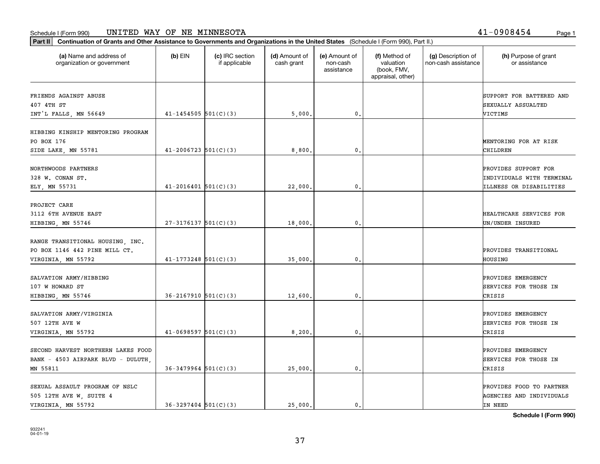## Schedule I (Form 990) Page 1 UNITED WAY OF NE MINNESOTA 41-0908454

organization or government

**Part II Continuation of Grants and Other Assistance to Governments and Organizations in the United States**  (Schedule I (Form 990), Part II.)

if applicable

 $(b)$  EIN  $(c)$  IRC section

**(a) (b) (c) (d) (e) (f) (g) (h)** Name and address of

(d) Amount of cash grant

(e) Amount of non-cashassistance

(f) Method of valuation (book, FMV, appraisal, other)

(g) Description of non-cash assistance

| FRIENDS AGAINST ABUSE<br>407 4TH ST |                            |         |                | SUPPORT FOR BATTERED AND<br>SEXUALLY ASSUALTED |
|-------------------------------------|----------------------------|---------|----------------|------------------------------------------------|
| INT'L FALLS, MN 56649               | $41 - 1454505$ 501(C)(3)   | 5,000.  | $\mathbf{0}$ . | VICTIMS                                        |
| HIBBING KINSHIP MENTORING PROGRAM   |                            |         |                |                                                |
| PO BOX 176                          |                            |         |                | MENTORING FOR AT RISK                          |
| SIDE LAKE, MN 55781                 | $41 - 2006723$ 501(C)(3)   | 8,800.  | 0.             | CHILDREN                                       |
| NORTHWOODS PARTNERS                 |                            |         |                | PROVIDES SUPPORT FOR                           |
| 328 W. CONAN ST.                    |                            |         |                | INDIVIDUALS WITH TERMINAL                      |
| ELY, MN 55731                       | $41 - 2016401$ 501(C)(3)   | 22,000  | $\mathbf{0}$ . | <b>ILLNESS OR DISABILITIES</b>                 |
| PROJECT CARE                        |                            |         |                |                                                |
| 3112 6TH AVENUE EAST                |                            |         |                | HEALTHCARE SERVICES FOR                        |
| HIBBING, MN 55746                   | $27-3176137$ 501(C)(3)     | 18,000  | 0.             | UN/UNDER INSURED                               |
| RANGE TRANSITIONAL HOUSING, INC.    |                            |         |                |                                                |
| PO BOX 1146 442 PINE MILL CT.       |                            |         |                | PROVIDES TRANSITIONAL                          |
| VIRGINIA, MN 55792                  | $41 - 1773248$ 501(C)(3)   | 35,000. | 0.             | HOUSING                                        |
| SALVATION ARMY/HIBBING              |                            |         |                | PROVIDES EMERGENCY                             |
| 107 W HOWARD ST                     |                            |         |                | SERVICES FOR THOSE IN                          |
| HIBBING, MN 55746                   | $36 - 2167910$ $501(C)(3)$ | 12,600  | $\mathbf{0}$ . | CRISIS                                         |
| SALVATION ARMY/VIRGINIA             |                            |         |                | PROVIDES EMERGENCY                             |
| 507 12TH AVE W                      |                            |         |                | SERVICES FOR THOSE IN                          |
| VIRGINIA, MN 55792                  | $41 - 0698597$ 501(C)(3)   | 8,200   | 0.             | CRISIS                                         |
| SECOND HARVEST NORTHERN LAKES FOOD  |                            |         |                | PROVIDES EMERGENCY                             |
| BANK - 4503 AIRPARK BLVD - DULUTH   |                            |         |                | SERVICES FOR THOSE IN                          |
| MN 55811                            | $36 - 3479964$ 501(C)(3)   | 25,000. | 0.             | CRISIS                                         |
| SEXUAL ASSAULT PROGRAM OF NSLC      |                            |         |                | PROVIDES FOOD TO PARTNER                       |
| 505 12TH AVE W, SUITE 4             |                            |         |                | AGENCIES AND INDIVIDUALS                       |
| VIRGINIA, MN 55792                  | $36 - 3297404$ $501(C)(3)$ | 25,000. | 0.             | IN NEED                                        |

**Schedule I (Form 990)**

(h) Purpose of grant or assistance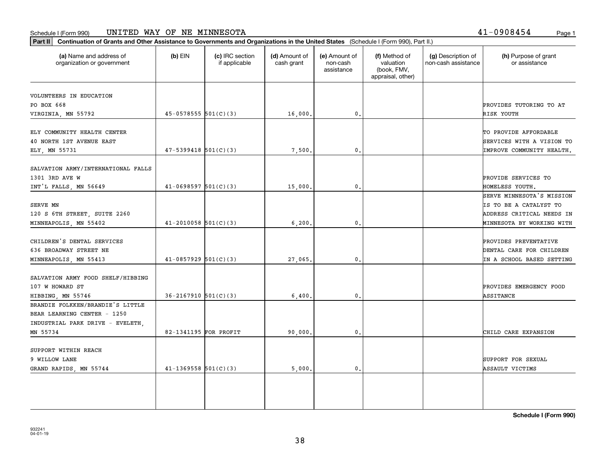#### Schedule I (Form 990) Page 1 UNITED WAY OF NE MINNESOTA

| (a) Name and address of<br>organization or government                                               | $(b)$ EIN                  | (c) IRC section<br>if applicable | (d) Amount of<br>cash grant | (e) Amount of<br>non-cash<br>assistance | (f) Method of<br>valuation<br>(book, FMV,<br>appraisal, other) | (g) Description of<br>non-cash assistance | (h) Purpose of grant<br>or assistance                                          |
|-----------------------------------------------------------------------------------------------------|----------------------------|----------------------------------|-----------------------------|-----------------------------------------|----------------------------------------------------------------|-------------------------------------------|--------------------------------------------------------------------------------|
| VOLUNTEERS IN EDUCATION                                                                             |                            |                                  |                             |                                         |                                                                |                                           |                                                                                |
| PO BOX 668                                                                                          |                            |                                  |                             |                                         |                                                                |                                           | PROVIDES TUTORING TO AT                                                        |
| VIRGINIA, MN 55792                                                                                  | $45 - 0578555$ $501(C)(3)$ |                                  | 16,000.                     | 0                                       |                                                                |                                           | RISK YOUTH                                                                     |
| ELY COMMUNITY HEALTH CENTER<br><b>40 NORTH 1ST AVENUE EAST</b>                                      |                            |                                  |                             |                                         |                                                                |                                           | TO PROVIDE AFFORDABLE<br>SERVICES WITH A VISION TO                             |
| ELY, MN 55731                                                                                       | $47 - 5399418$ $501(C)(3)$ |                                  | 7,500.                      | $\mathbf{0}$                            |                                                                |                                           | IMPROVE COMMUNITY HEALTH.                                                      |
| SALVATION ARMY/INTERNATIONAL FALLS<br>1301 3RD AVE W                                                |                            |                                  |                             |                                         |                                                                |                                           | PROVIDE SERVICES TO                                                            |
| INT'L FALLS, MN 56649                                                                               | $41 - 0698597$ 501(C)(3)   |                                  | 15,000.                     | $\mathbf{0}$                            |                                                                |                                           | HOMELESS YOUTH.                                                                |
|                                                                                                     |                            |                                  |                             |                                         |                                                                |                                           | SERVE MINNESOTA'S MISSION                                                      |
| SERVE MN                                                                                            |                            |                                  |                             |                                         |                                                                |                                           | IS TO BE A CATALYST TO                                                         |
| 120 S 6TH STREET, SUITE 2260                                                                        |                            |                                  |                             |                                         |                                                                |                                           | ADDRESS CRITICAL NEEDS IN                                                      |
| MINNEAPOLIS, MN 55402                                                                               | $41 - 2010058$ 501(C)(3)   |                                  | 6, 200.                     | 0                                       |                                                                |                                           | MINNESOTA BY WORKING WITH                                                      |
| CHILDREN'S DENTAL SERVICES<br>636 BROADWAY STREET NE                                                | $41-0857929$ $501(C)(3)$   |                                  |                             | $\mathbf{0}$                            |                                                                |                                           | PROVIDES PREVENTATIVE<br>DENTAL CARE FOR CHILDREN<br>IN A SCHOOL BASED SETTING |
| MINNEAPOLIS, MN 55413                                                                               |                            |                                  | 27,065.                     |                                         |                                                                |                                           |                                                                                |
| SALVATION ARMY FOOD SHELF/HIBBING<br>107 W HOWARD ST                                                |                            |                                  |                             |                                         |                                                                |                                           | PROVIDES EMERGENCY FOOD                                                        |
| HIBBING, MN 55746                                                                                   | $36 - 2167910$ $501(C)(3)$ |                                  | 6,400.                      | $\mathbf{0}$                            |                                                                |                                           | ASSITANCE                                                                      |
| BRANDIE FOLKKEN/BRANDIE'S LITTLE<br>BEAR LEARNING CENTER - 1250<br>INDUSTRIAL PARK DRIVE - EVELETH, |                            |                                  |                             |                                         |                                                                |                                           |                                                                                |
| MN 55734                                                                                            | 82-1341195 FOR PROFIT      |                                  | 90,000.                     | 0.                                      |                                                                |                                           | CHILD CARE EXPANSION                                                           |
| SUPPORT WITHIN REACH<br>9 WILLOW LANE                                                               |                            |                                  |                             |                                         |                                                                |                                           | SUPPORT FOR SEXUAL                                                             |
| GRAND RAPIDS, MN 55744                                                                              | $41 - 1369558$ $501(C)(3)$ |                                  | 5.000.                      | 0                                       |                                                                |                                           | ASSAULT VICTIMS                                                                |

**Part II Continuation of Grants and Other Assistance to Governments and Organizations in the United States**  (Schedule I (Form 990), Part II.)

41-0908454

**Schedule I (Form 990)**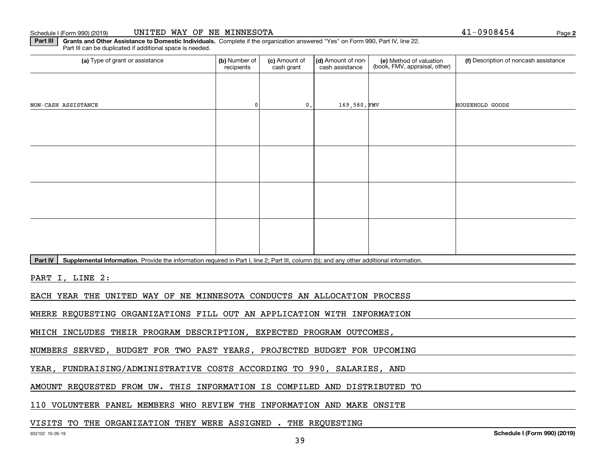Schedule I (Form 990) (2019)

| UNITED WAY OF NE MINNESOTA |  |  |  |
|----------------------------|--|--|--|
|----------------------------|--|--|--|

**2**41-0908454

**Part III | Grants and Other Assistance to Domestic Individuals. Complete if the organization answered "Yes" on Form 990, Part IV, line 22.** Part III can be duplicated if additional space is needed.

| (a) Type of grant or assistance                                                                                                                      | (b) Number of<br>recipients | (c) Amount of<br>cash grant | (d) Amount of non-<br>cash assistance | (e) Method of valuation<br>(book, FMV, appraisal, other) | (f) Description of noncash assistance |  |  |  |  |
|------------------------------------------------------------------------------------------------------------------------------------------------------|-----------------------------|-----------------------------|---------------------------------------|----------------------------------------------------------|---------------------------------------|--|--|--|--|
|                                                                                                                                                      |                             |                             |                                       |                                                          |                                       |  |  |  |  |
| NON-CASH ASSISTANCE                                                                                                                                  | $\Omega$                    | $\mathfrak o$ .             | 169,580.FMV                           |                                                          | HOUSEHOLD GOODS                       |  |  |  |  |
|                                                                                                                                                      |                             |                             |                                       |                                                          |                                       |  |  |  |  |
|                                                                                                                                                      |                             |                             |                                       |                                                          |                                       |  |  |  |  |
|                                                                                                                                                      |                             |                             |                                       |                                                          |                                       |  |  |  |  |
|                                                                                                                                                      |                             |                             |                                       |                                                          |                                       |  |  |  |  |
|                                                                                                                                                      |                             |                             |                                       |                                                          |                                       |  |  |  |  |
|                                                                                                                                                      |                             |                             |                                       |                                                          |                                       |  |  |  |  |
|                                                                                                                                                      |                             |                             |                                       |                                                          |                                       |  |  |  |  |
|                                                                                                                                                      |                             |                             |                                       |                                                          |                                       |  |  |  |  |
| Supplemental Information. Provide the information required in Part I, line 2; Part III, column (b); and any other additional information.<br>Part IV |                             |                             |                                       |                                                          |                                       |  |  |  |  |
| PART I, LINE 2:                                                                                                                                      |                             |                             |                                       |                                                          |                                       |  |  |  |  |
| EACH YEAR THE UNITED WAY OF NE MINNESOTA CONDUCTS AN ALLOCATION PROCESS                                                                              |                             |                             |                                       |                                                          |                                       |  |  |  |  |
| WHERE REQUESTING ORGANIZATIONS FILL OUT AN APPLICATION WITH INFORMATION                                                                              |                             |                             |                                       |                                                          |                                       |  |  |  |  |
| WHICH INCLUDES THEIR PROGRAM DESCRIPTION, EXPECTED PROGRAM OUTCOMES,                                                                                 |                             |                             |                                       |                                                          |                                       |  |  |  |  |

NUMBERS SERVED, BUDGET FOR TWO PAST YEARS, PROJECTED BUDGET FOR UPCOMING

YEAR, FUNDRAISING/ADMINISTRATIVE COSTS ACCORDING TO 990, SALARIES, AND

AMOUNT REQUESTED FROM UW. THIS INFORMATION IS COMPILED AND DISTRIBUTED TO

110 VOLUNTEER PANEL MEMBERS WHO REVIEW THE INFORMATION AND MAKE ONSITE

VISITS TO THE ORGANIZATION THEY WERE ASSIGNED . THE REQUESTING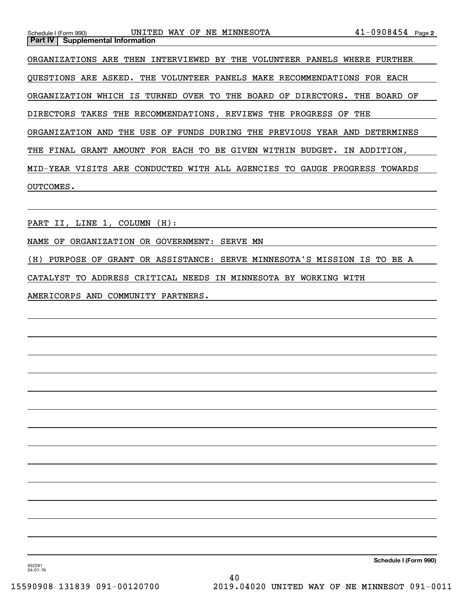| Schedule I (Form 990) | UNITED<br>WAY OF                                             | NE MINNESOTA | 41-0908454 Page 2                                                         |
|-----------------------|--------------------------------------------------------------|--------------|---------------------------------------------------------------------------|
| Part IV               | <b>Supplemental Information</b>                              |              |                                                                           |
|                       |                                                              |              | ORGANIZATIONS ARE THEN INTERVIEWED BY THE VOLUNTEER PANELS WHERE FURTHER  |
|                       |                                                              |              | QUESTIONS ARE ASKED. THE VOLUNTEER PANELS MAKE RECOMMENDATIONS FOR EACH   |
|                       | ORGANIZATION WHICH IS TURNED OVER TO THE BOARD OF DIRECTORS. |              | THE BOARD OF                                                              |
|                       | DIRECTORS TAKES THE RECOMMENDATIONS, REVIEWS THE PROGRESS OF |              | THE                                                                       |
| ORGANIZATION AND      | USE<br>OF<br>THE                                             |              | FUNDS DURING THE PREVIOUS YEAR AND DETERMINES                             |
|                       | THE FINAL GRANT AMOUNT FOR EACH TO BE GIVEN WITHIN BUDGET.   |              | IN ADDITION,                                                              |
|                       |                                                              |              | MID-YEAR VISITS ARE CONDUCTED WITH ALL AGENCIES TO GAUGE PROGRESS TOWARDS |
| OUTCOMES.             |                                                              |              |                                                                           |
|                       |                                                              |              |                                                                           |

PART II, LINE 1, COLUMN (H):

NAME OF ORGANIZATION OR GOVERNMENT: SERVE MN

(H) PURPOSE OF GRANT OR ASSISTANCE: SERVE MINNESOTA'S MISSION IS TO BE A

CATALYST TO ADDRESS CRITICAL NEEDS IN MINNESOTA BY WORKING WITH

AMERICORPS AND COMMUNITY PARTNERS.

**Schedule I (Form 990)**

932291 04-01-19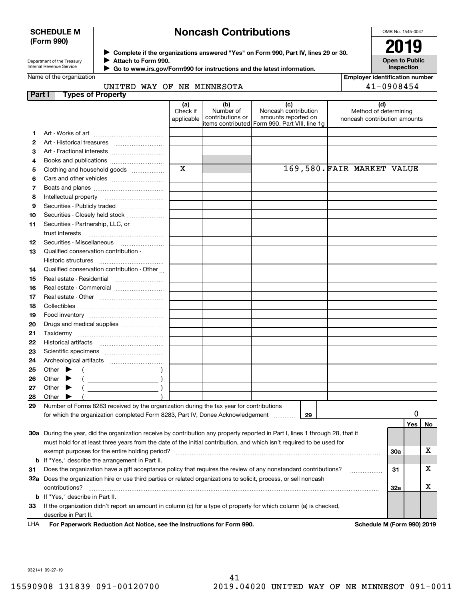# **SCHEDULE M (Form 990)**

# **Noncash Contributions**

OMB No. 1545-0047

| Department of the Treasurv |
|----------------------------|
| Internal Revenue Service   |

**Complete if the organizations answered "Yes" on Form 990, Part IV, lines 29 or 30.** <sup>J</sup>**2019 Attach to Form 990.** J

**Open to Public Inspection**

**Employer identification number**

|  | Name of the organization |  |
|--|--------------------------|--|

 **Go to www.irs.gov/Form990 for instructions and the latest information.** J

| <b>Part I</b><br>(d)<br>(a)<br>(b)<br>(c)<br>Number of<br>Noncash contribution<br>Check if<br>Method of determining<br>contributions or<br>amounts reported on<br>applicable<br>noncash contribution amounts<br>items contributed Form 990, Part VIII, line 1g<br>1<br>2<br>З<br>Art - Fractional interests<br>4<br>Books and publications<br>$\mathbf x$<br>169,580. FAIR MARKET VALUE<br>Clothing and household goods<br>5<br>6<br>7<br>8<br>Securities - Publicly traded<br>9<br>Securities - Closely held stock<br>10<br>Securities - Partnership, LLC, or<br>11<br>trust interests<br>Securities - Miscellaneous<br>12<br>Qualified conservation contribution -<br>13<br>Historic structures<br>Qualified conservation contribution - Other<br>14<br>Real estate - Residential<br>15<br>16<br>Real estate - Commercial<br>17<br>Real estate - Other contracts and the state of the state of the state of the state of the state of the state o<br>18<br>19<br>20<br>Drugs and medical supplies<br>21<br>22<br>23<br>24<br>25<br>Other<br>$\left(\begin{array}{ccc}\n\end{array}\right)$<br>$(\begin{array}{ccccccccc} \text{---} & \text{---} & \text{---} & \text{---} & \text{---} \end{array})$<br>26<br>Other<br>27<br>Other<br>28<br>Other<br>29<br>Number of Forms 8283 received by the organization during the tax year for contributions<br>for which the organization completed Form 8283, Part IV, Donee Acknowledgement<br>29<br>Yes<br><b>No</b><br>30a During the year, did the organization receive by contribution any property reported in Part I, lines 1 through 28, that it<br>must hold for at least three years from the date of the initial contribution, and which isn't required to be used for | UNITED WAY OF NE MINNESOTA                                                                                                                                            |  |  |  |  | 41-0908454 |  |  |
|------------------------------------------------------------------------------------------------------------------------------------------------------------------------------------------------------------------------------------------------------------------------------------------------------------------------------------------------------------------------------------------------------------------------------------------------------------------------------------------------------------------------------------------------------------------------------------------------------------------------------------------------------------------------------------------------------------------------------------------------------------------------------------------------------------------------------------------------------------------------------------------------------------------------------------------------------------------------------------------------------------------------------------------------------------------------------------------------------------------------------------------------------------------------------------------------------------------------------------------------------------------------------------------------------------------------------------------------------------------------------------------------------------------------------------------------------------------------------------------------------------------------------------------------------------------------------------------------------------------------------------------------------------------------------------------------------------------------------|-----------------------------------------------------------------------------------------------------------------------------------------------------------------------|--|--|--|--|------------|--|--|
|                                                                                                                                                                                                                                                                                                                                                                                                                                                                                                                                                                                                                                                                                                                                                                                                                                                                                                                                                                                                                                                                                                                                                                                                                                                                                                                                                                                                                                                                                                                                                                                                                                                                                                                              | <b>Types of Property</b>                                                                                                                                              |  |  |  |  |            |  |  |
|                                                                                                                                                                                                                                                                                                                                                                                                                                                                                                                                                                                                                                                                                                                                                                                                                                                                                                                                                                                                                                                                                                                                                                                                                                                                                                                                                                                                                                                                                                                                                                                                                                                                                                                              |                                                                                                                                                                       |  |  |  |  |            |  |  |
|                                                                                                                                                                                                                                                                                                                                                                                                                                                                                                                                                                                                                                                                                                                                                                                                                                                                                                                                                                                                                                                                                                                                                                                                                                                                                                                                                                                                                                                                                                                                                                                                                                                                                                                              |                                                                                                                                                                       |  |  |  |  |            |  |  |
|                                                                                                                                                                                                                                                                                                                                                                                                                                                                                                                                                                                                                                                                                                                                                                                                                                                                                                                                                                                                                                                                                                                                                                                                                                                                                                                                                                                                                                                                                                                                                                                                                                                                                                                              |                                                                                                                                                                       |  |  |  |  |            |  |  |
|                                                                                                                                                                                                                                                                                                                                                                                                                                                                                                                                                                                                                                                                                                                                                                                                                                                                                                                                                                                                                                                                                                                                                                                                                                                                                                                                                                                                                                                                                                                                                                                                                                                                                                                              |                                                                                                                                                                       |  |  |  |  |            |  |  |
|                                                                                                                                                                                                                                                                                                                                                                                                                                                                                                                                                                                                                                                                                                                                                                                                                                                                                                                                                                                                                                                                                                                                                                                                                                                                                                                                                                                                                                                                                                                                                                                                                                                                                                                              |                                                                                                                                                                       |  |  |  |  |            |  |  |
|                                                                                                                                                                                                                                                                                                                                                                                                                                                                                                                                                                                                                                                                                                                                                                                                                                                                                                                                                                                                                                                                                                                                                                                                                                                                                                                                                                                                                                                                                                                                                                                                                                                                                                                              |                                                                                                                                                                       |  |  |  |  |            |  |  |
|                                                                                                                                                                                                                                                                                                                                                                                                                                                                                                                                                                                                                                                                                                                                                                                                                                                                                                                                                                                                                                                                                                                                                                                                                                                                                                                                                                                                                                                                                                                                                                                                                                                                                                                              |                                                                                                                                                                       |  |  |  |  |            |  |  |
|                                                                                                                                                                                                                                                                                                                                                                                                                                                                                                                                                                                                                                                                                                                                                                                                                                                                                                                                                                                                                                                                                                                                                                                                                                                                                                                                                                                                                                                                                                                                                                                                                                                                                                                              |                                                                                                                                                                       |  |  |  |  |            |  |  |
|                                                                                                                                                                                                                                                                                                                                                                                                                                                                                                                                                                                                                                                                                                                                                                                                                                                                                                                                                                                                                                                                                                                                                                                                                                                                                                                                                                                                                                                                                                                                                                                                                                                                                                                              |                                                                                                                                                                       |  |  |  |  |            |  |  |
|                                                                                                                                                                                                                                                                                                                                                                                                                                                                                                                                                                                                                                                                                                                                                                                                                                                                                                                                                                                                                                                                                                                                                                                                                                                                                                                                                                                                                                                                                                                                                                                                                                                                                                                              |                                                                                                                                                                       |  |  |  |  |            |  |  |
|                                                                                                                                                                                                                                                                                                                                                                                                                                                                                                                                                                                                                                                                                                                                                                                                                                                                                                                                                                                                                                                                                                                                                                                                                                                                                                                                                                                                                                                                                                                                                                                                                                                                                                                              |                                                                                                                                                                       |  |  |  |  |            |  |  |
|                                                                                                                                                                                                                                                                                                                                                                                                                                                                                                                                                                                                                                                                                                                                                                                                                                                                                                                                                                                                                                                                                                                                                                                                                                                                                                                                                                                                                                                                                                                                                                                                                                                                                                                              |                                                                                                                                                                       |  |  |  |  |            |  |  |
|                                                                                                                                                                                                                                                                                                                                                                                                                                                                                                                                                                                                                                                                                                                                                                                                                                                                                                                                                                                                                                                                                                                                                                                                                                                                                                                                                                                                                                                                                                                                                                                                                                                                                                                              |                                                                                                                                                                       |  |  |  |  |            |  |  |
|                                                                                                                                                                                                                                                                                                                                                                                                                                                                                                                                                                                                                                                                                                                                                                                                                                                                                                                                                                                                                                                                                                                                                                                                                                                                                                                                                                                                                                                                                                                                                                                                                                                                                                                              |                                                                                                                                                                       |  |  |  |  |            |  |  |
|                                                                                                                                                                                                                                                                                                                                                                                                                                                                                                                                                                                                                                                                                                                                                                                                                                                                                                                                                                                                                                                                                                                                                                                                                                                                                                                                                                                                                                                                                                                                                                                                                                                                                                                              |                                                                                                                                                                       |  |  |  |  |            |  |  |
|                                                                                                                                                                                                                                                                                                                                                                                                                                                                                                                                                                                                                                                                                                                                                                                                                                                                                                                                                                                                                                                                                                                                                                                                                                                                                                                                                                                                                                                                                                                                                                                                                                                                                                                              |                                                                                                                                                                       |  |  |  |  |            |  |  |
|                                                                                                                                                                                                                                                                                                                                                                                                                                                                                                                                                                                                                                                                                                                                                                                                                                                                                                                                                                                                                                                                                                                                                                                                                                                                                                                                                                                                                                                                                                                                                                                                                                                                                                                              |                                                                                                                                                                       |  |  |  |  |            |  |  |
|                                                                                                                                                                                                                                                                                                                                                                                                                                                                                                                                                                                                                                                                                                                                                                                                                                                                                                                                                                                                                                                                                                                                                                                                                                                                                                                                                                                                                                                                                                                                                                                                                                                                                                                              |                                                                                                                                                                       |  |  |  |  |            |  |  |
|                                                                                                                                                                                                                                                                                                                                                                                                                                                                                                                                                                                                                                                                                                                                                                                                                                                                                                                                                                                                                                                                                                                                                                                                                                                                                                                                                                                                                                                                                                                                                                                                                                                                                                                              |                                                                                                                                                                       |  |  |  |  |            |  |  |
|                                                                                                                                                                                                                                                                                                                                                                                                                                                                                                                                                                                                                                                                                                                                                                                                                                                                                                                                                                                                                                                                                                                                                                                                                                                                                                                                                                                                                                                                                                                                                                                                                                                                                                                              |                                                                                                                                                                       |  |  |  |  |            |  |  |
|                                                                                                                                                                                                                                                                                                                                                                                                                                                                                                                                                                                                                                                                                                                                                                                                                                                                                                                                                                                                                                                                                                                                                                                                                                                                                                                                                                                                                                                                                                                                                                                                                                                                                                                              |                                                                                                                                                                       |  |  |  |  |            |  |  |
|                                                                                                                                                                                                                                                                                                                                                                                                                                                                                                                                                                                                                                                                                                                                                                                                                                                                                                                                                                                                                                                                                                                                                                                                                                                                                                                                                                                                                                                                                                                                                                                                                                                                                                                              |                                                                                                                                                                       |  |  |  |  |            |  |  |
|                                                                                                                                                                                                                                                                                                                                                                                                                                                                                                                                                                                                                                                                                                                                                                                                                                                                                                                                                                                                                                                                                                                                                                                                                                                                                                                                                                                                                                                                                                                                                                                                                                                                                                                              |                                                                                                                                                                       |  |  |  |  |            |  |  |
|                                                                                                                                                                                                                                                                                                                                                                                                                                                                                                                                                                                                                                                                                                                                                                                                                                                                                                                                                                                                                                                                                                                                                                                                                                                                                                                                                                                                                                                                                                                                                                                                                                                                                                                              |                                                                                                                                                                       |  |  |  |  |            |  |  |
|                                                                                                                                                                                                                                                                                                                                                                                                                                                                                                                                                                                                                                                                                                                                                                                                                                                                                                                                                                                                                                                                                                                                                                                                                                                                                                                                                                                                                                                                                                                                                                                                                                                                                                                              |                                                                                                                                                                       |  |  |  |  |            |  |  |
|                                                                                                                                                                                                                                                                                                                                                                                                                                                                                                                                                                                                                                                                                                                                                                                                                                                                                                                                                                                                                                                                                                                                                                                                                                                                                                                                                                                                                                                                                                                                                                                                                                                                                                                              |                                                                                                                                                                       |  |  |  |  |            |  |  |
|                                                                                                                                                                                                                                                                                                                                                                                                                                                                                                                                                                                                                                                                                                                                                                                                                                                                                                                                                                                                                                                                                                                                                                                                                                                                                                                                                                                                                                                                                                                                                                                                                                                                                                                              |                                                                                                                                                                       |  |  |  |  |            |  |  |
|                                                                                                                                                                                                                                                                                                                                                                                                                                                                                                                                                                                                                                                                                                                                                                                                                                                                                                                                                                                                                                                                                                                                                                                                                                                                                                                                                                                                                                                                                                                                                                                                                                                                                                                              |                                                                                                                                                                       |  |  |  |  |            |  |  |
|                                                                                                                                                                                                                                                                                                                                                                                                                                                                                                                                                                                                                                                                                                                                                                                                                                                                                                                                                                                                                                                                                                                                                                                                                                                                                                                                                                                                                                                                                                                                                                                                                                                                                                                              |                                                                                                                                                                       |  |  |  |  |            |  |  |
|                                                                                                                                                                                                                                                                                                                                                                                                                                                                                                                                                                                                                                                                                                                                                                                                                                                                                                                                                                                                                                                                                                                                                                                                                                                                                                                                                                                                                                                                                                                                                                                                                                                                                                                              |                                                                                                                                                                       |  |  |  |  |            |  |  |
|                                                                                                                                                                                                                                                                                                                                                                                                                                                                                                                                                                                                                                                                                                                                                                                                                                                                                                                                                                                                                                                                                                                                                                                                                                                                                                                                                                                                                                                                                                                                                                                                                                                                                                                              |                                                                                                                                                                       |  |  |  |  |            |  |  |
|                                                                                                                                                                                                                                                                                                                                                                                                                                                                                                                                                                                                                                                                                                                                                                                                                                                                                                                                                                                                                                                                                                                                                                                                                                                                                                                                                                                                                                                                                                                                                                                                                                                                                                                              |                                                                                                                                                                       |  |  |  |  |            |  |  |
| х                                                                                                                                                                                                                                                                                                                                                                                                                                                                                                                                                                                                                                                                                                                                                                                                                                                                                                                                                                                                                                                                                                                                                                                                                                                                                                                                                                                                                                                                                                                                                                                                                                                                                                                            |                                                                                                                                                                       |  |  |  |  |            |  |  |
| exempt purposes for the entire holding period?<br><b>30a</b>                                                                                                                                                                                                                                                                                                                                                                                                                                                                                                                                                                                                                                                                                                                                                                                                                                                                                                                                                                                                                                                                                                                                                                                                                                                                                                                                                                                                                                                                                                                                                                                                                                                                 |                                                                                                                                                                       |  |  |  |  |            |  |  |
| x<br>31<br>31                                                                                                                                                                                                                                                                                                                                                                                                                                                                                                                                                                                                                                                                                                                                                                                                                                                                                                                                                                                                                                                                                                                                                                                                                                                                                                                                                                                                                                                                                                                                                                                                                                                                                                                | If "Yes," describe the arrangement in Part II.<br>b<br>Does the organization have a gift acceptance policy that requires the review of any nonstandard contributions? |  |  |  |  |            |  |  |
| 32a Does the organization hire or use third parties or related organizations to solicit, process, or sell noncash                                                                                                                                                                                                                                                                                                                                                                                                                                                                                                                                                                                                                                                                                                                                                                                                                                                                                                                                                                                                                                                                                                                                                                                                                                                                                                                                                                                                                                                                                                                                                                                                            |                                                                                                                                                                       |  |  |  |  |            |  |  |
| х<br><b>32a</b><br>contributions?                                                                                                                                                                                                                                                                                                                                                                                                                                                                                                                                                                                                                                                                                                                                                                                                                                                                                                                                                                                                                                                                                                                                                                                                                                                                                                                                                                                                                                                                                                                                                                                                                                                                                            |                                                                                                                                                                       |  |  |  |  |            |  |  |
| If "Yes," describe in Part II.<br>b                                                                                                                                                                                                                                                                                                                                                                                                                                                                                                                                                                                                                                                                                                                                                                                                                                                                                                                                                                                                                                                                                                                                                                                                                                                                                                                                                                                                                                                                                                                                                                                                                                                                                          |                                                                                                                                                                       |  |  |  |  |            |  |  |
| If the organization didn't report an amount in column (c) for a type of property for which column (a) is checked,<br>33                                                                                                                                                                                                                                                                                                                                                                                                                                                                                                                                                                                                                                                                                                                                                                                                                                                                                                                                                                                                                                                                                                                                                                                                                                                                                                                                                                                                                                                                                                                                                                                                      |                                                                                                                                                                       |  |  |  |  |            |  |  |
| describe in Part II.<br>For Paperwork Reduction Act Notice, see the Instructions for Form 990.<br>Schedule M (Form 990) 2019<br>LHA                                                                                                                                                                                                                                                                                                                                                                                                                                                                                                                                                                                                                                                                                                                                                                                                                                                                                                                                                                                                                                                                                                                                                                                                                                                                                                                                                                                                                                                                                                                                                                                          |                                                                                                                                                                       |  |  |  |  |            |  |  |

932141 09-27-19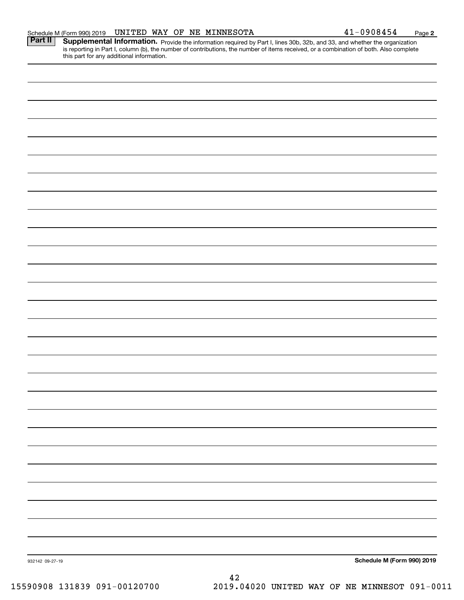|         | Schedule M (Form 990) 2019 |  |  | UNITED WAY OF NE MINNESOTA                                                                                                    | $-0908454$ | Page |
|---------|----------------------------|--|--|-------------------------------------------------------------------------------------------------------------------------------|------------|------|
| Part II |                            |  |  | <b>Supplemental Information</b> provide the information required by Part Llines 20b, 22b, and 22, and whether the examization |            |      |

Part II | Supplemental Information. Provide the information required by Part I, lines 30b, 32b, and 33, and whether the organization is reporting in Part I, column (b), the number of contributions, the number of items received, or a combination of both. Also complete this part for any additional information.

| 932142 09-27-19 |          | Schedule M (Form 990) 2019 |
|-----------------|----------|----------------------------|
|                 | $\bf 42$ |                            |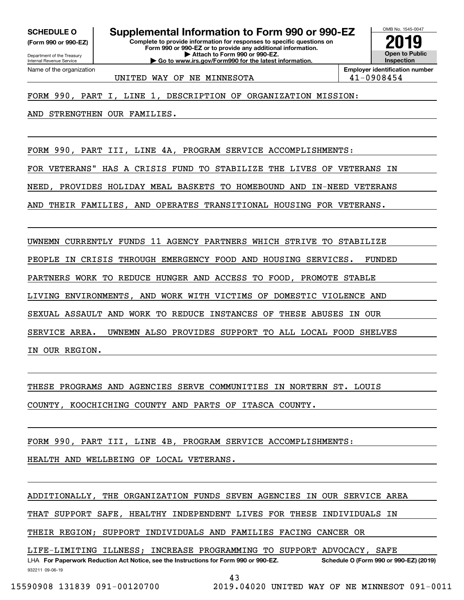**(Form 990 or 990-EZ)**

Department of the Treasury Internal Revenue Service Name of the organization

# **SCHEDULE O Supplemental Information to Form 990 or 990-EZ**

**Complete to provide information for responses to specific questions on Form 990 or 990-EZ or to provide any additional information. | Attach to Form 990 or 990-EZ. | Go to www.irs.gov/Form990 for the latest information.**



UNITED WAY OF NE MINNESOTA  $\vert$  41-0908454

FORM 990, PART I, LINE 1, DESCRIPTION OF ORGANIZATION MISSION:

AND STRENGTHEN OUR FAMILIES.

FORM 990, PART III, LINE 4A, PROGRAM SERVICE ACCOMPLISHMENTS:

FOR VETERANS" HAS A CRISIS FUND TO STABILIZE THE LIVES OF VETERANS IN

NEED, PROVIDES HOLIDAY MEAL BASKETS TO HOMEBOUND AND IN-NEED VETERANS

AND THEIR FAMILIES, AND OPERATES TRANSITIONAL HOUSING FOR VETERANS.

UWNEMN CURRENTLY FUNDS 11 AGENCY PARTNERS WHICH STRIVE TO STABILIZE

PEOPLE IN CRISIS THROUGH EMERGENCY FOOD AND HOUSING SERVICES. FUNDED

PARTNERS WORK TO REDUCE HUNGER AND ACCESS TO FOOD, PROMOTE STABLE

LIVING ENVIRONMENTS, AND WORK WITH VICTIMS OF DOMESTIC VIOLENCE AND

SEXUAL ASSAULT AND WORK TO REDUCE INSTANCES OF THESE ABUSES IN OUR

SERVICE AREA. UWNEMN ALSO PROVIDES SUPPORT TO ALL LOCAL FOOD SHELVES

IN OUR REGION.

THESE PROGRAMS AND AGENCIES SERVE COMMUNITIES IN NORTERN ST. LOUIS

COUNTY, KOOCHICHING COUNTY AND PARTS OF ITASCA COUNTY.

FORM 990, PART III, LINE 4B, PROGRAM SERVICE ACCOMPLISHMENTS:

HEALTH AND WELLBEING OF LOCAL VETERANS.

ADDITIONALLY, THE ORGANIZATION FUNDS SEVEN AGENCIES IN OUR SERVICE AREA

THAT SUPPORT SAFE, HEALTHY INDEPENDENT LIVES FOR THESE INDIVIDUALS IN

THEIR REGION; SUPPORT INDIVIDUALS AND FAMILIES FACING CANCER OR

LIFE-LIMITING ILLNESS; INCREASE PROGRAMMING TO SUPPORT ADVOCACY, SAFE

932211 09-06-19 LHA For Paperwork Reduction Act Notice, see the Instructions for Form 990 or 990-EZ. Schedule O (Form 990 or 990-EZ) (2019) 43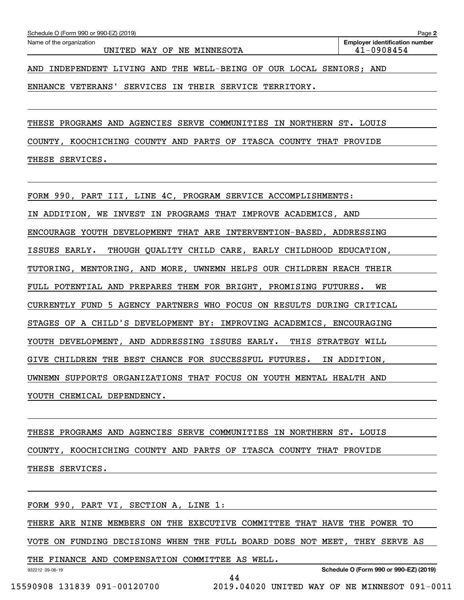ENHANCE VETERANS' SERVICES IN THEIR SERVICE TERRITORY.

THESE PROGRAMS AND AGENCIES SERVE COMMUNITIES IN NORTHERN ST. LOUIS

COUNTY, KOOCHICHING COUNTY AND PARTS OF ITASCA COUNTY THAT PROVIDE THESE SERVICES.

FORM 990, PART III, LINE 4C, PROGRAM SERVICE ACCOMPLISHMENTS:

IN ADDITION, WE INVEST IN PROGRAMS THAT IMPROVE ACADEMICS, AND

ENCOURAGE YOUTH DEVELOPMENT THAT ARE INTERVENTION-BASED, ADDRESSING

ISSUES EARLY. THOUGH QUALITY CHILD CARE, EARLY CHILDHOOD EDUCATION,

TUTORING, MENTORING, AND MORE, UWNEMN HELPS OUR CHILDREN REACH THEIR

FULL POTENTIAL AND PREPARES THEM FOR BRIGHT, PROMISING FUTURES. WE

CURRENTLY FUND 5 AGENCY PARTNERS WHO FOCUS ON RESULTS DURING CRITICAL

STAGES OF A CHILD'S DEVELOPMENT BY: IMPROVING ACADEMICS, ENCOURAGING

YOUTH DEVELOPMENT, AND ADDRESSING ISSUES EARLY. THIS STRATEGY WILL

GIVE CHILDREN THE BEST CHANCE FOR SUCCESSFUL FUTURES. IN ADDITION,

UWNEMN SUPPORTS ORGANIZATIONS THAT FOCUS ON YOUTH MENTAL HEALTH AND

YOUTH CHEMICAL DEPENDENCY.

THESE PROGRAMS AND AGENCIES SERVE COMMUNITIES IN NORTHERN ST. LOUIS COUNTY, KOOCHICHING COUNTY AND PARTS OF ITASCA COUNTY THAT PROVIDE THESE SERVICES.

FORM 990, PART VI, SECTION A, LINE 1:

THERE ARE NINE MEMBERS ON THE EXECUTIVE COMMITTEE THAT HAVE THE POWER TO

VOTE ON FUNDING DECISIONS WHEN THE FULL BOARD DOES NOT MEET, THEY SERVE AS

THE FINANCE AND COMPENSATION COMMITTEE AS WELL.

**Schedule O (Form 990 or 990-EZ) (2019)**

932212 09-06-19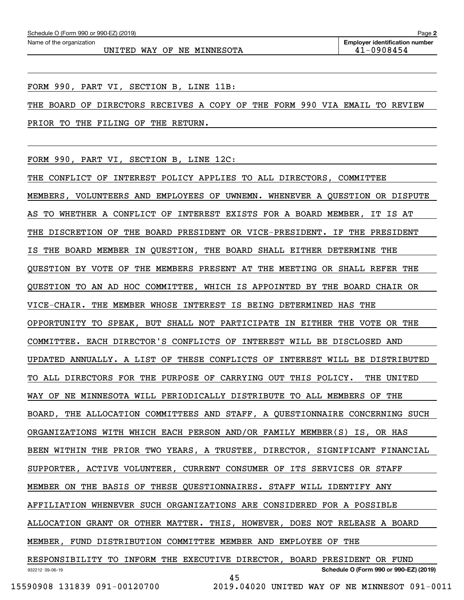FORM 990, PART VI, SECTION B, LINE 11B:

THE BOARD OF DIRECTORS RECEIVES A COPY OF THE FORM 990 VIA EMAIL TO REVIEW PRIOR TO THE FILING OF THE RETURN.

FORM 990, PART VI, SECTION B, LINE 12C:

932212 09-06-19 **Schedule O (Form 990 or 990-EZ) (2019)** THE CONFLICT OF INTEREST POLICY APPLIES TO ALL DIRECTORS, COMMITTEE MEMBERS, VOLUNTEERS AND EMPLOYEES OF UWNEMN. WHENEVER A QUESTION OR DISPUTE AS TO WHETHER A CONFLICT OF INTEREST EXISTS FOR A BOARD MEMBER, IT IS AT THE DISCRETION OF THE BOARD PRESIDENT OR VICE-PRESIDENT. IF THE PRESIDENT IS THE BOARD MEMBER IN QUESTION, THE BOARD SHALL EITHER DETERMINE THE QUESTION BY VOTE OF THE MEMBERS PRESENT AT THE MEETING OR SHALL REFER THE QUESTION TO AN AD HOC COMMITTEE, WHICH IS APPOINTED BY THE BOARD CHAIR OR VICE-CHAIR. THE MEMBER WHOSE INTEREST IS BEING DETERMINED HAS THE OPPORTUNITY TO SPEAK, BUT SHALL NOT PARTICIPATE IN EITHER THE VOTE OR THE COMMITTEE. EACH DIRECTOR'S CONFLICTS OF INTEREST WILL BE DISCLOSED AND UPDATED ANNUALLY. A LIST OF THESE CONFLICTS OF INTEREST WILL BE DISTRIBUTED TO ALL DIRECTORS FOR THE PURPOSE OF CARRYING OUT THIS POLICY. THE UNITED WAY OF NE MINNESOTA WILL PERIODICALLY DISTRIBUTE TO ALL MEMBERS OF THE BOARD, THE ALLOCATION COMMITTEES AND STAFF, A QUESTIONNAIRE CONCERNING SUCH ORGANIZATIONS WITH WHICH EACH PERSON AND/OR FAMILY MEMBER(S) IS, OR HAS BEEN WITHIN THE PRIOR TWO YEARS, A TRUSTEE, DIRECTOR, SIGNIFICANT FINANCIAL SUPPORTER, ACTIVE VOLUNTEER, CURRENT CONSUMER OF ITS SERVICES OR STAFF MEMBER ON THE BASIS OF THESE QUESTIONNAIRES. STAFF WILL IDENTIFY ANY AFFILIATION WHENEVER SUCH ORGANIZATIONS ARE CONSIDERED FOR A POSSIBLE ALLOCATION GRANT OR OTHER MATTER. THIS, HOWEVER, DOES NOT RELEASE A BOARD MEMBER, FUND DISTRIBUTION COMMITTEE MEMBER AND EMPLOYEE OF THE RESPONSIBILITY TO INFORM THE EXECUTIVE DIRECTOR, BOARD PRESIDENT OR FUND 45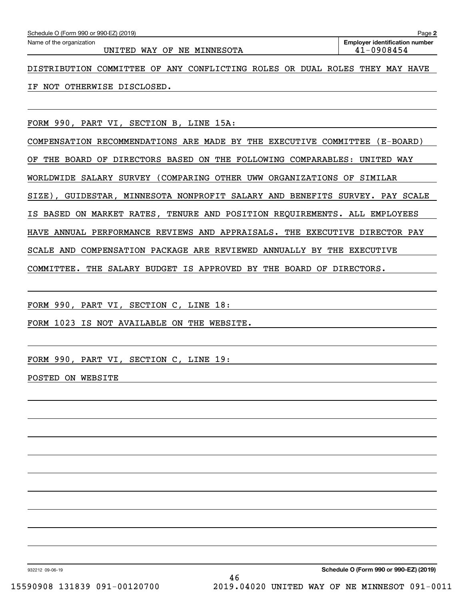| Schedule O (Form 990 or 990-EZ) (2019)                                          | Page 2                                |
|---------------------------------------------------------------------------------|---------------------------------------|
| Name of the organization                                                        | <b>Employer identification number</b> |
| UNITED<br>WAY<br>OF<br>NE MINNESOTA                                             | 41-0908454                            |
| COMMITTEE OF ANY CONFLICTING ROLES OR DUAL ROLES<br>DISTRIBUTION                | THEY<br>MAY HAVE                      |
| OTHERWISE DISCLOSED.<br>NOT<br>ΙF                                               |                                       |
|                                                                                 |                                       |
|                                                                                 |                                       |
| FORM 990.<br>SECTION B, LINE 15A:<br>PART VI,                                   |                                       |
| COMPENSATION RECOMMENDATIONS ARE MADE BY THE<br>EXECUTIVE COMMITTEE             | (E-BOARD)                             |
| DIRECTORS BASED ON<br>THE<br>FOLLOWING COMPARABLES:<br>ОF<br>THE<br>BOARD<br>OF | UNITED WAY                            |
| OTHER<br>(COMPARING)<br>SURVEY<br>UWW<br>ORGANIZATIONS<br>SALARY<br>WORLDWIDE   | SIMILAR<br>OF                         |
| $\overline{1}$<br>$\sim$ – – – $\sim$<br>$\cdots$                               | ---- <i>-</i> ---                     |

SIZE), GUIDESTAR, MINNESOTA NONPROFIT SALARY AND BENEFITS SURVEY. PAY SCALE

IS BASED ON MARKET RATES, TENURE AND POSITION REQUIREMENTS. ALL EMPLOYEES

HAVE ANNUAL PERFORMANCE REVIEWS AND APPRAISALS. THE EXECUTIVE DIRECTOR PAY

SCALE AND COMPENSATION PACKAGE ARE REVIEWED ANNUALLY BY THE EXECUTIVE

COMMITTEE. THE SALARY BUDGET IS APPROVED BY THE BOARD OF DIRECTORS.

FORM 990, PART VI, SECTION C, LINE 18:

FORM 1023 IS NOT AVAILABLE ON THE WEBSITE.

FORM 990, PART VI, SECTION C, LINE 19:

POSTED ON WEBSITE

932212 09-06-19